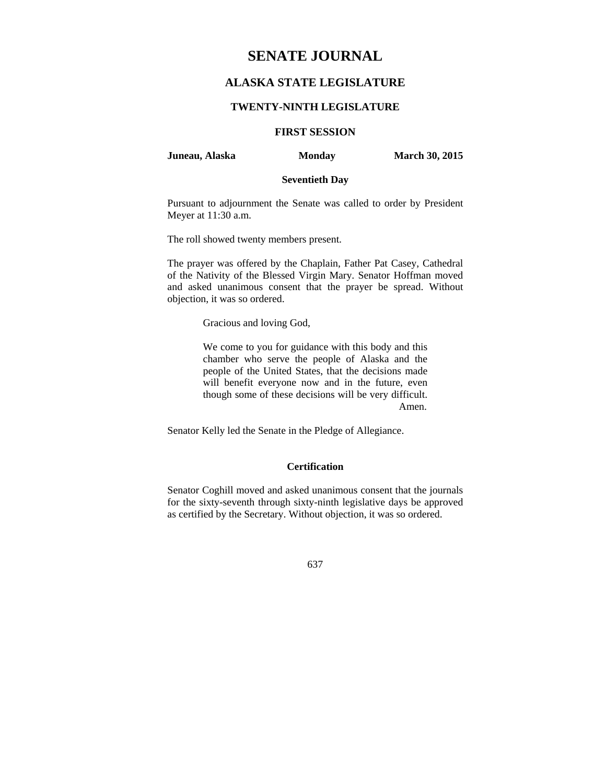# **SENATE JOURNAL**

# **ALASKA STATE LEGISLATURE**

#### **TWENTY-NINTH LEGISLATURE**

# **FIRST SESSION**

#### **Juneau, Alaska Monday March 30, 2015**

# **Seventieth Day**

Pursuant to adjournment the Senate was called to order by President Meyer at 11:30 a.m.

The roll showed twenty members present.

The prayer was offered by the Chaplain, Father Pat Casey, Cathedral of the Nativity of the Blessed Virgin Mary. Senator Hoffman moved and asked unanimous consent that the prayer be spread. Without objection, it was so ordered.

Gracious and loving God,

We come to you for guidance with this body and this chamber who serve the people of Alaska and the people of the United States, that the decisions made will benefit everyone now and in the future, even though some of these decisions will be very difficult. Amen.

Senator Kelly led the Senate in the Pledge of Allegiance.

# **Certification**

Senator Coghill moved and asked unanimous consent that the journals for the sixty-seventh through sixty-ninth legislative days be approved as certified by the Secretary. Without objection, it was so ordered.

637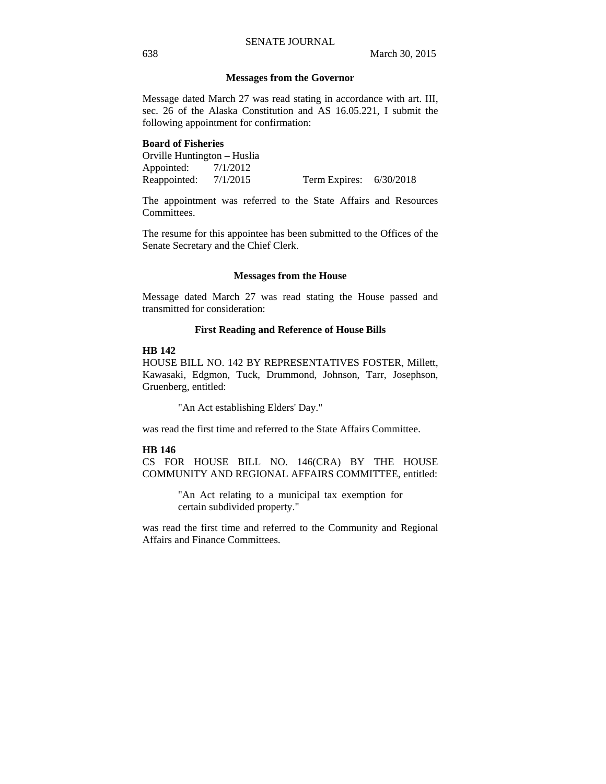#### **Messages from the Governor**

Message dated March 27 was read stating in accordance with art. III, sec. 26 of the Alaska Constitution and AS 16.05.221, I submit the following appointment for confirmation:

#### **Board of Fisheries**

Orville Huntington – Huslia Appointed: 7/1/2012<br>Reappointed: 7/1/2015 Reappointed: 7/1/2015 Term Expires: 6/30/2018

The appointment was referred to the State Affairs and Resources Committees.

The resume for this appointee has been submitted to the Offices of the Senate Secretary and the Chief Clerk.

#### **Messages from the House**

Message dated March 27 was read stating the House passed and transmitted for consideration:

#### **First Reading and Reference of House Bills**

#### **HB 142**

HOUSE BILL NO. 142 BY REPRESENTATIVES FOSTER, Millett, Kawasaki, Edgmon, Tuck, Drummond, Johnson, Tarr, Josephson, Gruenberg, entitled:

"An Act establishing Elders' Day."

was read the first time and referred to the State Affairs Committee.

#### **HB 146**

CS FOR HOUSE BILL NO. 146(CRA) BY THE HOUSE COMMUNITY AND REGIONAL AFFAIRS COMMITTEE, entitled:

> "An Act relating to a municipal tax exemption for certain subdivided property."

was read the first time and referred to the Community and Regional Affairs and Finance Committees.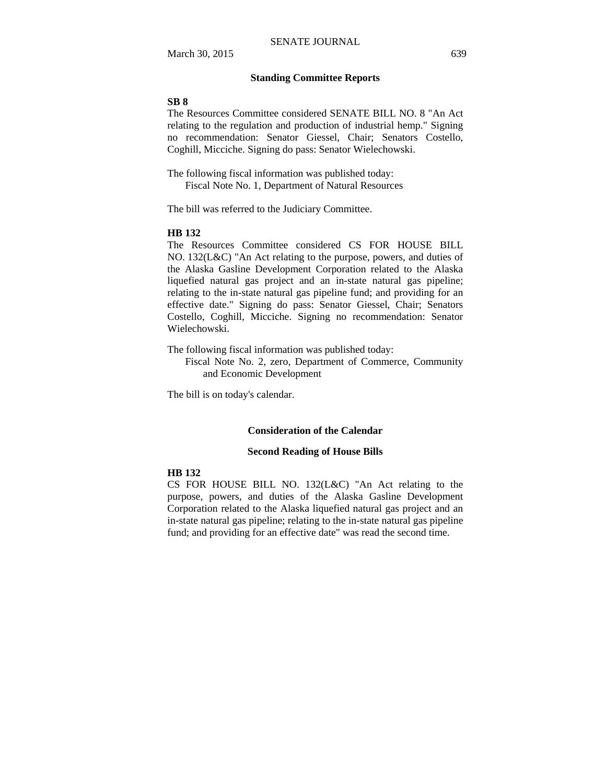# **Standing Committee Reports**

#### **SB 8**

The Resources Committee considered SENATE BILL NO. 8 "An Act relating to the regulation and production of industrial hemp." Signing no recommendation: Senator Giessel, Chair; Senators Costello, Coghill, Micciche. Signing do pass: Senator Wielechowski.

The following fiscal information was published today: Fiscal Note No. 1, Department of Natural Resources

The bill was referred to the Judiciary Committee.

#### **HB 132**

The Resources Committee considered CS FOR HOUSE BILL NO. 132(L&C) "An Act relating to the purpose, powers, and duties of the Alaska Gasline Development Corporation related to the Alaska liquefied natural gas project and an in-state natural gas pipeline; relating to the in-state natural gas pipeline fund; and providing for an effective date." Signing do pass: Senator Giessel, Chair; Senators Costello, Coghill, Micciche. Signing no recommendation: Senator Wielechowski.

The following fiscal information was published today:

Fiscal Note No. 2, zero, Department of Commerce, Community and Economic Development

The bill is on today's calendar.

### **Consideration of the Calendar**

#### **Second Reading of House Bills**

#### **HB 132**

CS FOR HOUSE BILL NO. 132(L&C) "An Act relating to the purpose, powers, and duties of the Alaska Gasline Development Corporation related to the Alaska liquefied natural gas project and an in-state natural gas pipeline; relating to the in-state natural gas pipeline fund; and providing for an effective date" was read the second time.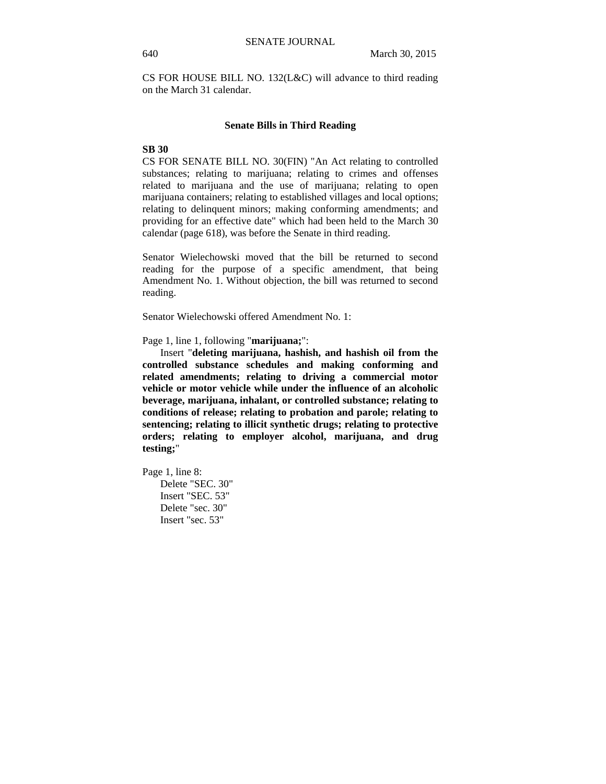CS FOR HOUSE BILL NO. 132(L&C) will advance to third reading on the March 31 calendar.

#### **Senate Bills in Third Reading**

# **SB 30**

CS FOR SENATE BILL NO. 30(FIN) "An Act relating to controlled substances; relating to marijuana; relating to crimes and offenses related to marijuana and the use of marijuana; relating to open marijuana containers; relating to established villages and local options; relating to delinquent minors; making conforming amendments; and providing for an effective date" which had been held to the March 30 calendar (page 618), was before the Senate in third reading.

Senator Wielechowski moved that the bill be returned to second reading for the purpose of a specific amendment, that being Amendment No. 1. Without objection, the bill was returned to second reading.

Senator Wielechowski offered Amendment No. 1:

Page 1, line 1, following "**marijuana;**":

Insert "**deleting marijuana, hashish, and hashish oil from the controlled substance schedules and making conforming and related amendments; relating to driving a commercial motor vehicle or motor vehicle while under the influence of an alcoholic beverage, marijuana, inhalant, or controlled substance; relating to conditions of release; relating to probation and parole; relating to sentencing; relating to illicit synthetic drugs; relating to protective orders; relating to employer alcohol, marijuana, and drug testing;**"

Page 1, line 8: Delete "SEC. 30" Insert "SEC. 53" Delete "sec. 30" Insert "sec. 53"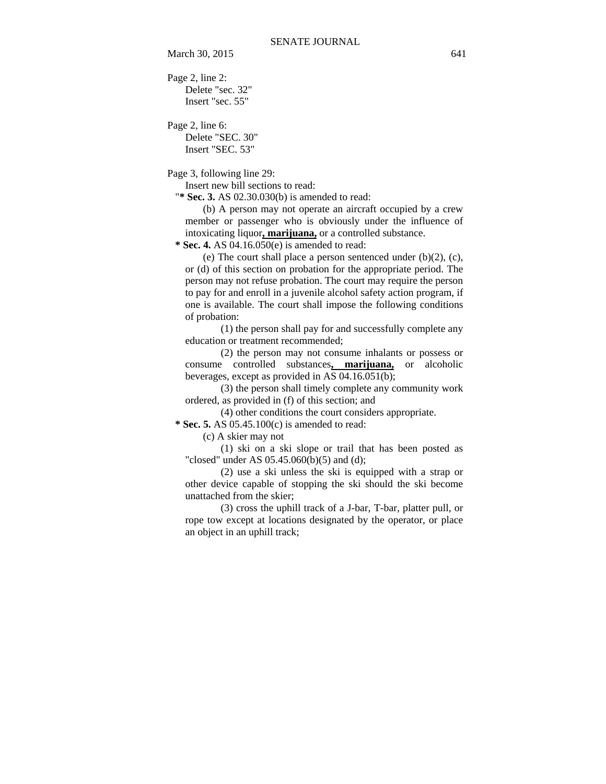March 30, 2015 641

Page 2, line 2: Delete "sec. 32" Insert "sec. 55"

Page 2, line 6: Delete "SEC. 30" Insert "SEC. 53"

Page 3, following line 29:

Insert new bill sections to read:

"**\* Sec. 3.** AS 02.30.030(b) is amended to read:

(b) A person may not operate an aircraft occupied by a crew member or passenger who is obviously under the influence of intoxicating liquor**, marijuana,** or a controlled substance.

 **\* Sec. 4.** AS 04.16.050(e) is amended to read:

(e) The court shall place a person sentenced under  $(b)(2)$ ,  $(c)$ , or (d) of this section on probation for the appropriate period. The person may not refuse probation. The court may require the person to pay for and enroll in a juvenile alcohol safety action program, if one is available. The court shall impose the following conditions of probation:

(1) the person shall pay for and successfully complete any education or treatment recommended;

(2) the person may not consume inhalants or possess or consume controlled substances**, marijuana,** or alcoholic beverages, except as provided in AS 04.16.051(b);

(3) the person shall timely complete any community work ordered, as provided in (f) of this section; and

(4) other conditions the court considers appropriate.

 **\* Sec. 5.** AS 05.45.100(c) is amended to read:

(c) A skier may not

(1) ski on a ski slope or trail that has been posted as "closed" under AS  $05.45.060(b)(5)$  and (d);

(2) use a ski unless the ski is equipped with a strap or other device capable of stopping the ski should the ski become unattached from the skier;

(3) cross the uphill track of a J-bar, T-bar, platter pull, or rope tow except at locations designated by the operator, or place an object in an uphill track;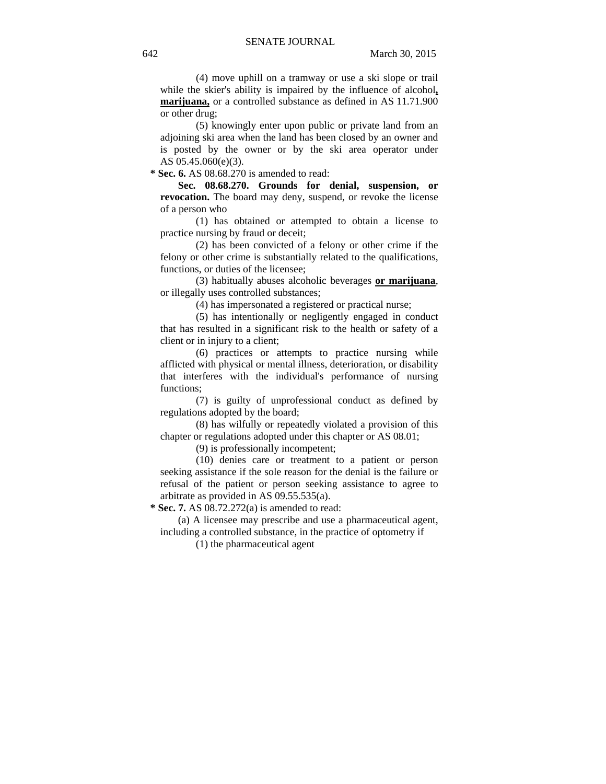(4) move uphill on a tramway or use a ski slope or trail while the skier's ability is impaired by the influence of alcohol**, marijuana,** or a controlled substance as defined in AS 11.71.900 or other drug;

(5) knowingly enter upon public or private land from an adjoining ski area when the land has been closed by an owner and is posted by the owner or by the ski area operator under AS 05.45.060(e)(3).

 **\* Sec. 6.** AS 08.68.270 is amended to read:

**Sec. 08.68.270. Grounds for denial, suspension, or revocation.** The board may deny, suspend, or revoke the license of a person who

(1) has obtained or attempted to obtain a license to practice nursing by fraud or deceit;

(2) has been convicted of a felony or other crime if the felony or other crime is substantially related to the qualifications, functions, or duties of the licensee;

(3) habitually abuses alcoholic beverages **or marijuana**, or illegally uses controlled substances;

(4) has impersonated a registered or practical nurse;

(5) has intentionally or negligently engaged in conduct that has resulted in a significant risk to the health or safety of a client or in injury to a client;

(6) practices or attempts to practice nursing while afflicted with physical or mental illness, deterioration, or disability that interferes with the individual's performance of nursing functions;

(7) is guilty of unprofessional conduct as defined by regulations adopted by the board;

(8) has wilfully or repeatedly violated a provision of this chapter or regulations adopted under this chapter or AS 08.01;

(9) is professionally incompetent;

(10) denies care or treatment to a patient or person seeking assistance if the sole reason for the denial is the failure or refusal of the patient or person seeking assistance to agree to arbitrate as provided in AS 09.55.535(a).

 **\* Sec. 7.** AS 08.72.272(a) is amended to read:

(a) A licensee may prescribe and use a pharmaceutical agent, including a controlled substance, in the practice of optometry if

(1) the pharmaceutical agent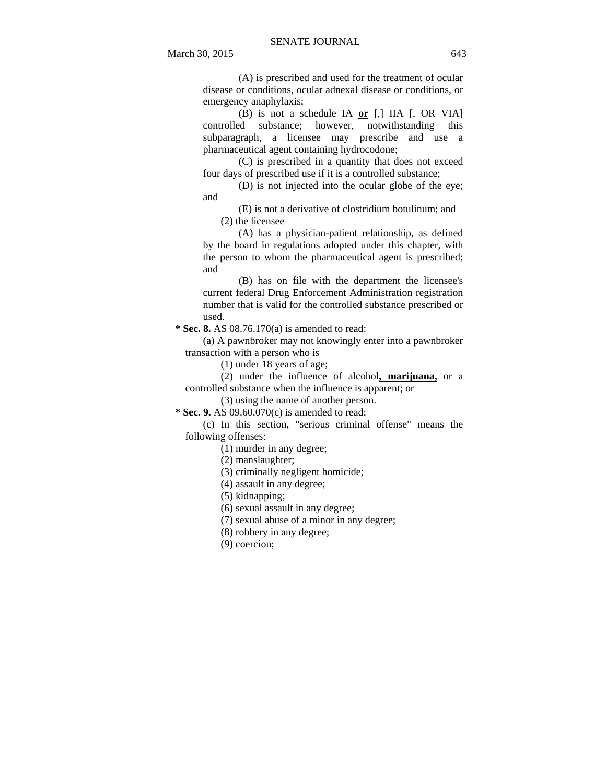(A) is prescribed and used for the treatment of ocular disease or conditions, ocular adnexal disease or conditions, or emergency anaphylaxis;

(B) is not a schedule IA **or** [,] IIA [, OR VIA] controlled substance; however, notwithstanding this subparagraph, a licensee may prescribe and use a pharmaceutical agent containing hydrocodone;

(C) is prescribed in a quantity that does not exceed four days of prescribed use if it is a controlled substance;

(D) is not injected into the ocular globe of the eye; and

(E) is not a derivative of clostridium botulinum; and (2) the licensee

(A) has a physician-patient relationship, as defined by the board in regulations adopted under this chapter, with the person to whom the pharmaceutical agent is prescribed; and

(B) has on file with the department the licensee's current federal Drug Enforcement Administration registration number that is valid for the controlled substance prescribed or used.

 **\* Sec. 8.** AS 08.76.170(a) is amended to read:

(a) A pawnbroker may not knowingly enter into a pawnbroker transaction with a person who is

(1) under 18 years of age;

(2) under the influence of alcohol**, marijuana,** or a controlled substance when the influence is apparent; or

(3) using the name of another person.

 **\* Sec. 9.** AS 09.60.070(c) is amended to read:

(c) In this section, "serious criminal offense" means the following offenses:

(1) murder in any degree;

(2) manslaughter;

(3) criminally negligent homicide;

(4) assault in any degree;

(5) kidnapping;

(6) sexual assault in any degree;

(7) sexual abuse of a minor in any degree;

(8) robbery in any degree;

(9) coercion;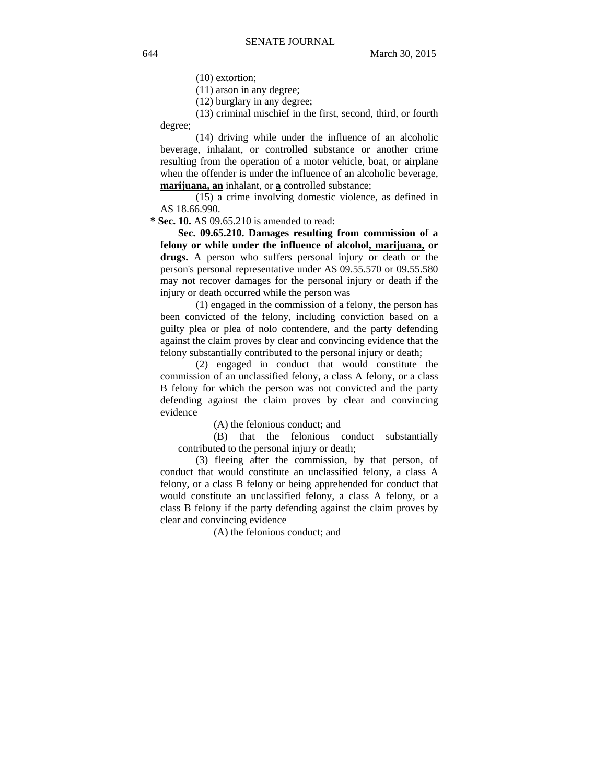(10) extortion;

(11) arson in any degree;

(12) burglary in any degree;

(13) criminal mischief in the first, second, third, or fourth degree;

(14) driving while under the influence of an alcoholic beverage, inhalant, or controlled substance or another crime resulting from the operation of a motor vehicle, boat, or airplane when the offender is under the influence of an alcoholic beverage, **marijuana, an** inhalant, or **a** controlled substance;

(15) a crime involving domestic violence, as defined in AS 18.66.990.

 **\* Sec. 10.** AS 09.65.210 is amended to read:

**Sec. 09.65.210. Damages resulting from commission of a felony or while under the influence of alcohol, marijuana, or drugs.** A person who suffers personal injury or death or the person's personal representative under AS 09.55.570 or 09.55.580 may not recover damages for the personal injury or death if the injury or death occurred while the person was

(1) engaged in the commission of a felony, the person has been convicted of the felony, including conviction based on a guilty plea or plea of nolo contendere, and the party defending against the claim proves by clear and convincing evidence that the felony substantially contributed to the personal injury or death;

(2) engaged in conduct that would constitute the commission of an unclassified felony, a class A felony, or a class B felony for which the person was not convicted and the party defending against the claim proves by clear and convincing evidence

(A) the felonious conduct; and

(B) that the felonious conduct substantially contributed to the personal injury or death;

(3) fleeing after the commission, by that person, of conduct that would constitute an unclassified felony, a class A felony, or a class B felony or being apprehended for conduct that would constitute an unclassified felony, a class A felony, or a class B felony if the party defending against the claim proves by clear and convincing evidence

(A) the felonious conduct; and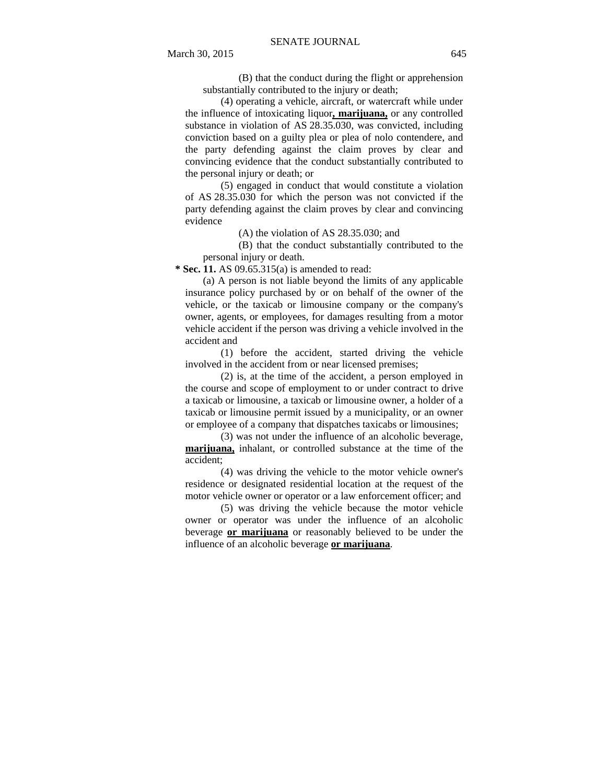(B) that the conduct during the flight or apprehension substantially contributed to the injury or death;

(4) operating a vehicle, aircraft, or watercraft while under the influence of intoxicating liquor**, marijuana,** or any controlled substance in violation of AS 28.35.030, was convicted, including conviction based on a guilty plea or plea of nolo contendere, and the party defending against the claim proves by clear and convincing evidence that the conduct substantially contributed to the personal injury or death; or

(5) engaged in conduct that would constitute a violation of AS 28.35.030 for which the person was not convicted if the party defending against the claim proves by clear and convincing evidence

(A) the violation of AS 28.35.030; and

(B) that the conduct substantially contributed to the personal injury or death.

 **\* Sec. 11.** AS 09.65.315(a) is amended to read:

(a) A person is not liable beyond the limits of any applicable insurance policy purchased by or on behalf of the owner of the vehicle, or the taxicab or limousine company or the company's owner, agents, or employees, for damages resulting from a motor vehicle accident if the person was driving a vehicle involved in the accident and

(1) before the accident, started driving the vehicle involved in the accident from or near licensed premises;

(2) is, at the time of the accident, a person employed in the course and scope of employment to or under contract to drive a taxicab or limousine, a taxicab or limousine owner, a holder of a taxicab or limousine permit issued by a municipality, or an owner or employee of a company that dispatches taxicabs or limousines;

(3) was not under the influence of an alcoholic beverage, **marijuana,** inhalant, or controlled substance at the time of the accident;

(4) was driving the vehicle to the motor vehicle owner's residence or designated residential location at the request of the motor vehicle owner or operator or a law enforcement officer; and

(5) was driving the vehicle because the motor vehicle owner or operator was under the influence of an alcoholic beverage **or marijuana** or reasonably believed to be under the influence of an alcoholic beverage **or marijuana**.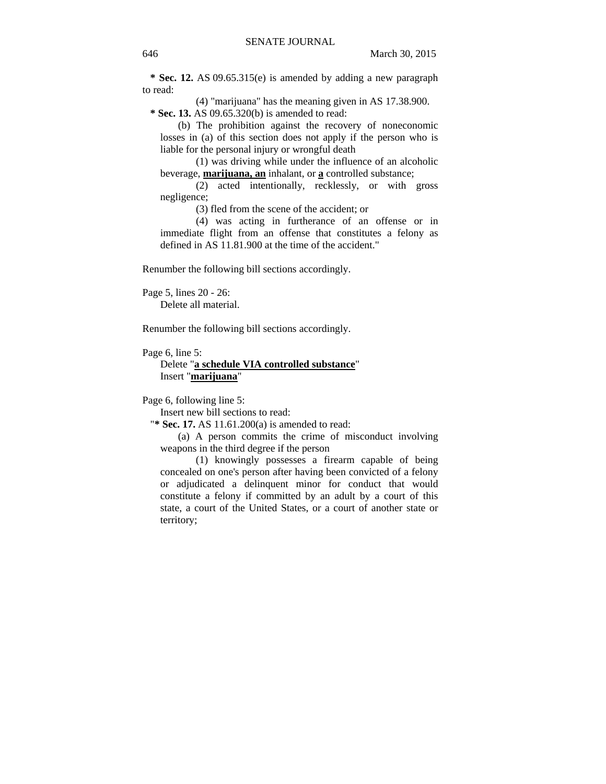**\* Sec. 12.** AS 09.65.315(e) is amended by adding a new paragraph to read:

(4) "marijuana" has the meaning given in AS 17.38.900.  **\* Sec. 13.** AS 09.65.320(b) is amended to read:

(b) The prohibition against the recovery of noneconomic losses in (a) of this section does not apply if the person who is liable for the personal injury or wrongful death

(1) was driving while under the influence of an alcoholic beverage, **marijuana, an** inhalant, or **a** controlled substance;

(2) acted intentionally, recklessly, or with gross negligence;

(3) fled from the scene of the accident; or

(4) was acting in furtherance of an offense or in immediate flight from an offense that constitutes a felony as defined in AS 11.81.900 at the time of the accident."

Renumber the following bill sections accordingly.

Page 5, lines 20 - 26: Delete all material.

Renumber the following bill sections accordingly.

Page 6, line 5:

Delete "**a schedule VIA controlled substance**" Insert "**marijuana**"

Page 6, following line 5:

Insert new bill sections to read:

"**\* Sec. 17.** AS 11.61.200(a) is amended to read:

(a) A person commits the crime of misconduct involving weapons in the third degree if the person

(1) knowingly possesses a firearm capable of being concealed on one's person after having been convicted of a felony or adjudicated a delinquent minor for conduct that would constitute a felony if committed by an adult by a court of this state, a court of the United States, or a court of another state or territory;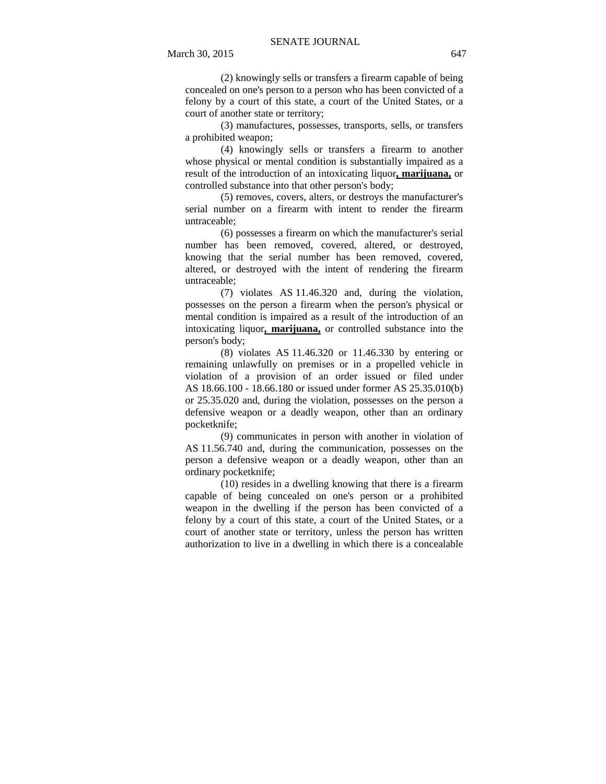(2) knowingly sells or transfers a firearm capable of being concealed on one's person to a person who has been convicted of a felony by a court of this state, a court of the United States, or a court of another state or territory;

(3) manufactures, possesses, transports, sells, or transfers a prohibited weapon;

(4) knowingly sells or transfers a firearm to another whose physical or mental condition is substantially impaired as a result of the introduction of an intoxicating liquor**, marijuana,** or controlled substance into that other person's body;

(5) removes, covers, alters, or destroys the manufacturer's serial number on a firearm with intent to render the firearm untraceable;

(6) possesses a firearm on which the manufacturer's serial number has been removed, covered, altered, or destroyed, knowing that the serial number has been removed, covered, altered, or destroyed with the intent of rendering the firearm untraceable;

(7) violates AS 11.46.320 and, during the violation, possesses on the person a firearm when the person's physical or mental condition is impaired as a result of the introduction of an intoxicating liquor**, marijuana,** or controlled substance into the person's body;

(8) violates AS 11.46.320 or 11.46.330 by entering or remaining unlawfully on premises or in a propelled vehicle in violation of a provision of an order issued or filed under AS 18.66.100 - 18.66.180 or issued under former AS 25.35.010(b) or 25.35.020 and, during the violation, possesses on the person a defensive weapon or a deadly weapon, other than an ordinary pocketknife;

(9) communicates in person with another in violation of AS 11.56.740 and, during the communication, possesses on the person a defensive weapon or a deadly weapon, other than an ordinary pocketknife;

(10) resides in a dwelling knowing that there is a firearm capable of being concealed on one's person or a prohibited weapon in the dwelling if the person has been convicted of a felony by a court of this state, a court of the United States, or a court of another state or territory, unless the person has written authorization to live in a dwelling in which there is a concealable

March 30, 2015 647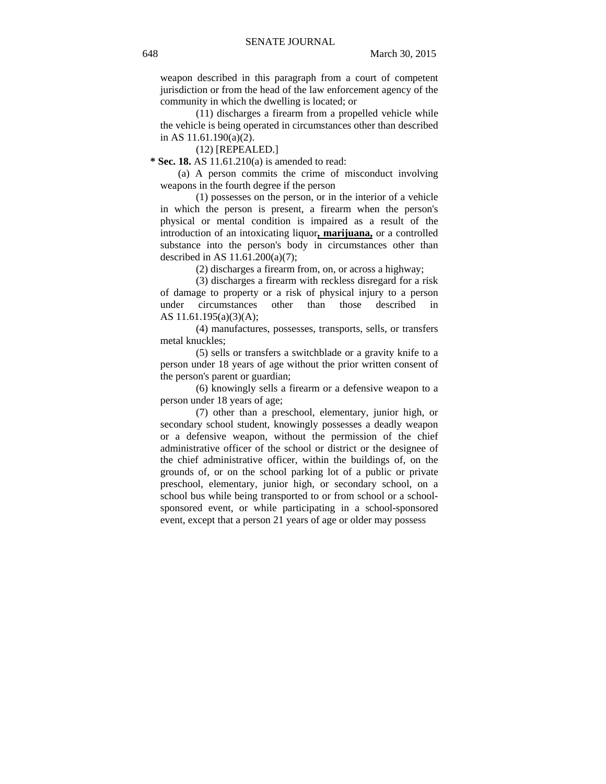weapon described in this paragraph from a court of competent jurisdiction or from the head of the law enforcement agency of the community in which the dwelling is located; or

(11) discharges a firearm from a propelled vehicle while the vehicle is being operated in circumstances other than described in AS 11.61.190(a)(2).

(12) [REPEALED.]

 **\* Sec. 18.** AS 11.61.210(a) is amended to read:

(a) A person commits the crime of misconduct involving weapons in the fourth degree if the person

(1) possesses on the person, or in the interior of a vehicle in which the person is present, a firearm when the person's physical or mental condition is impaired as a result of the introduction of an intoxicating liquor**, marijuana,** or a controlled substance into the person's body in circumstances other than described in AS 11.61.200(a)(7);

(2) discharges a firearm from, on, or across a highway;

(3) discharges a firearm with reckless disregard for a risk of damage to property or a risk of physical injury to a person under circumstances other than those described in AS 11.61.195(a)(3)(A);

(4) manufactures, possesses, transports, sells, or transfers metal knuckles;

(5) sells or transfers a switchblade or a gravity knife to a person under 18 years of age without the prior written consent of the person's parent or guardian;

(6) knowingly sells a firearm or a defensive weapon to a person under 18 years of age;

(7) other than a preschool, elementary, junior high, or secondary school student, knowingly possesses a deadly weapon or a defensive weapon, without the permission of the chief administrative officer of the school or district or the designee of the chief administrative officer, within the buildings of, on the grounds of, or on the school parking lot of a public or private preschool, elementary, junior high, or secondary school, on a school bus while being transported to or from school or a schoolsponsored event, or while participating in a school-sponsored event, except that a person 21 years of age or older may possess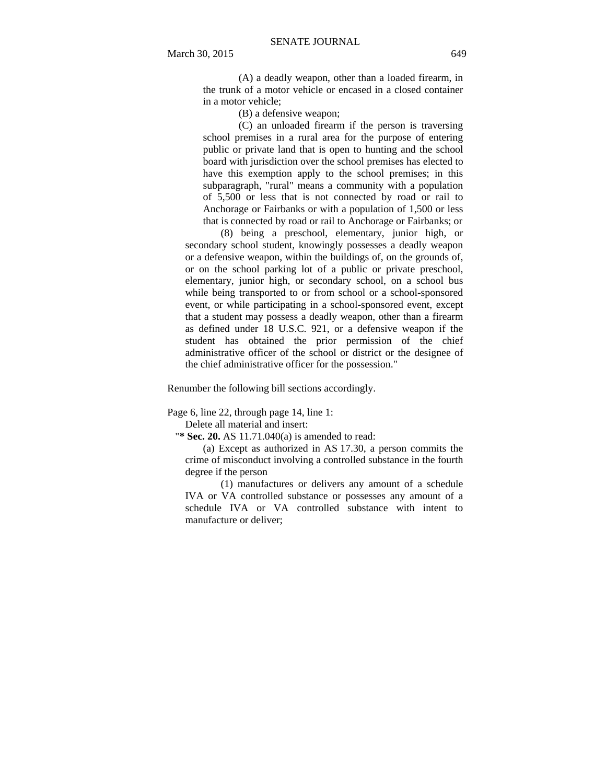(A) a deadly weapon, other than a loaded firearm, in the trunk of a motor vehicle or encased in a closed container in a motor vehicle;

(B) a defensive weapon;

(C) an unloaded firearm if the person is traversing school premises in a rural area for the purpose of entering public or private land that is open to hunting and the school board with jurisdiction over the school premises has elected to have this exemption apply to the school premises; in this subparagraph, "rural" means a community with a population of 5,500 or less that is not connected by road or rail to Anchorage or Fairbanks or with a population of 1,500 or less that is connected by road or rail to Anchorage or Fairbanks; or

(8) being a preschool, elementary, junior high, or secondary school student, knowingly possesses a deadly weapon or a defensive weapon, within the buildings of, on the grounds of, or on the school parking lot of a public or private preschool, elementary, junior high, or secondary school, on a school bus while being transported to or from school or a school-sponsored event, or while participating in a school-sponsored event, except that a student may possess a deadly weapon, other than a firearm as defined under 18 U.S.C. 921, or a defensive weapon if the student has obtained the prior permission of the chief administrative officer of the school or district or the designee of the chief administrative officer for the possession."

Renumber the following bill sections accordingly.

Page 6, line 22, through page 14, line 1:

Delete all material and insert:

"**\* Sec. 20.** AS 11.71.040(a) is amended to read:

(a) Except as authorized in AS 17.30, a person commits the crime of misconduct involving a controlled substance in the fourth degree if the person

(1) manufactures or delivers any amount of a schedule IVA or VA controlled substance or possesses any amount of a schedule IVA or VA controlled substance with intent to manufacture or deliver;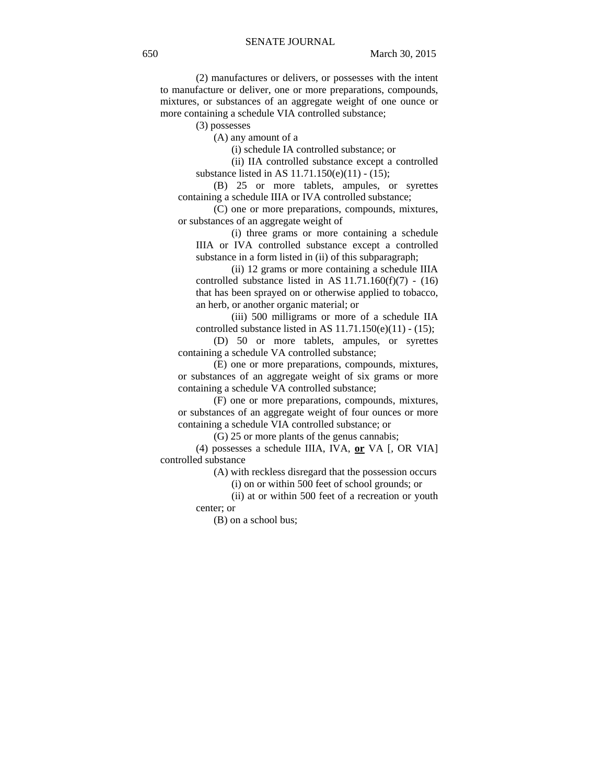(2) manufactures or delivers, or possesses with the intent to manufacture or deliver, one or more preparations, compounds, mixtures, or substances of an aggregate weight of one ounce or more containing a schedule VIA controlled substance;

(3) possesses

(A) any amount of a

(i) schedule IA controlled substance; or

(ii) IIA controlled substance except a controlled substance listed in AS 11.71.150(e)(11) - (15);

(B) 25 or more tablets, ampules, or syrettes containing a schedule IIIA or IVA controlled substance;

(C) one or more preparations, compounds, mixtures, or substances of an aggregate weight of

(i) three grams or more containing a schedule IIIA or IVA controlled substance except a controlled substance in a form listed in (ii) of this subparagraph;

(ii) 12 grams or more containing a schedule IIIA controlled substance listed in AS  $11.71.160(f)(7) - (16)$ that has been sprayed on or otherwise applied to tobacco, an herb, or another organic material; or

(iii) 500 milligrams or more of a schedule IIA controlled substance listed in AS  $11.71.150(e)(11) - (15)$ ;

(D) 50 or more tablets, ampules, or syrettes containing a schedule VA controlled substance;

(E) one or more preparations, compounds, mixtures, or substances of an aggregate weight of six grams or more containing a schedule VA controlled substance;

(F) one or more preparations, compounds, mixtures, or substances of an aggregate weight of four ounces or more containing a schedule VIA controlled substance; or

(G) 25 or more plants of the genus cannabis;

(4) possesses a schedule IIIA, IVA, **or** VA [, OR VIA] controlled substance

(A) with reckless disregard that the possession occurs

(i) on or within 500 feet of school grounds; or

(ii) at or within 500 feet of a recreation or youth center; or

(B) on a school bus;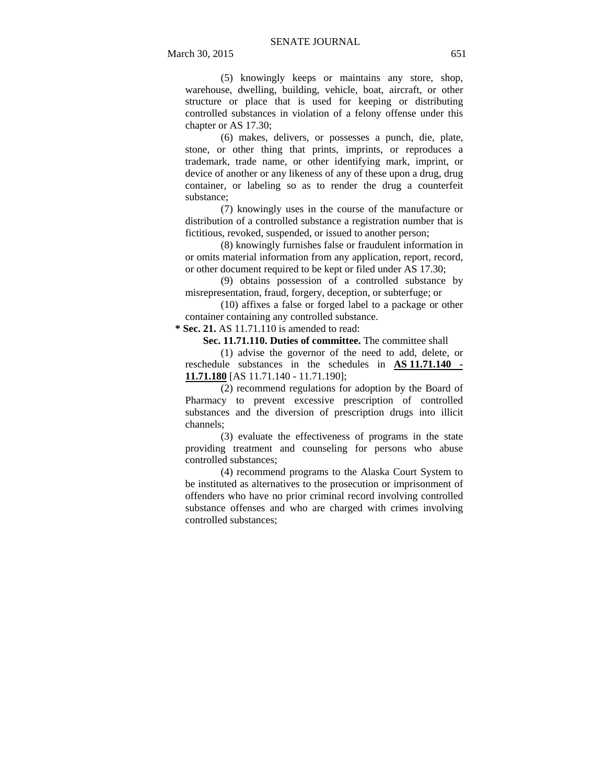(5) knowingly keeps or maintains any store, shop, warehouse, dwelling, building, vehicle, boat, aircraft, or other structure or place that is used for keeping or distributing controlled substances in violation of a felony offense under this chapter or AS 17.30;

(6) makes, delivers, or possesses a punch, die, plate, stone, or other thing that prints, imprints, or reproduces a trademark, trade name, or other identifying mark, imprint, or device of another or any likeness of any of these upon a drug, drug container, or labeling so as to render the drug a counterfeit substance;

(7) knowingly uses in the course of the manufacture or distribution of a controlled substance a registration number that is fictitious, revoked, suspended, or issued to another person;

(8) knowingly furnishes false or fraudulent information in or omits material information from any application, report, record, or other document required to be kept or filed under AS 17.30;

(9) obtains possession of a controlled substance by misrepresentation, fraud, forgery, deception, or subterfuge; or

(10) affixes a false or forged label to a package or other container containing any controlled substance.

 **\* Sec. 21.** AS 11.71.110 is amended to read:

**Sec. 11.71.110. Duties of committee.** The committee shall

(1) advise the governor of the need to add, delete, or reschedule substances in the schedules in **AS 11.71.140 - 11.71.180** [AS 11.71.140 - 11.71.190];

(2) recommend regulations for adoption by the Board of Pharmacy to prevent excessive prescription of controlled substances and the diversion of prescription drugs into illicit channels;

(3) evaluate the effectiveness of programs in the state providing treatment and counseling for persons who abuse controlled substances;

(4) recommend programs to the Alaska Court System to be instituted as alternatives to the prosecution or imprisonment of offenders who have no prior criminal record involving controlled substance offenses and who are charged with crimes involving controlled substances;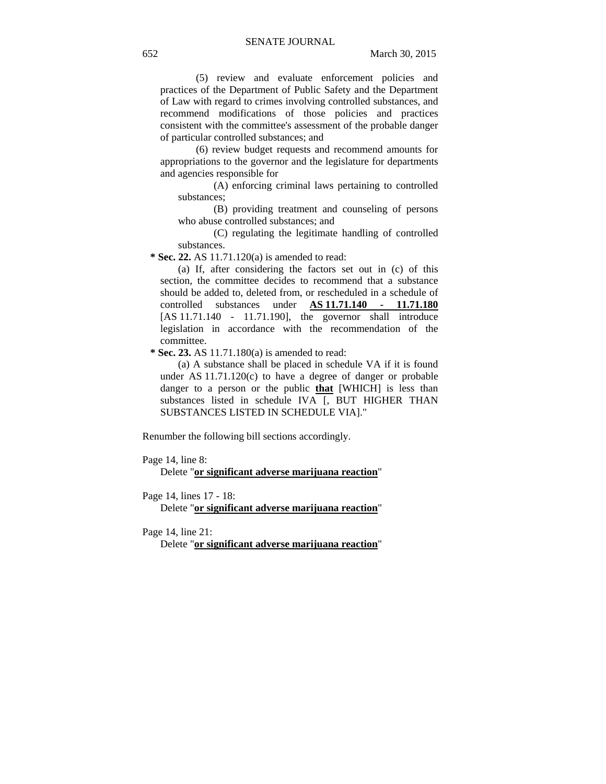(5) review and evaluate enforcement policies and practices of the Department of Public Safety and the Department of Law with regard to crimes involving controlled substances, and recommend modifications of those policies and practices consistent with the committee's assessment of the probable danger of particular controlled substances; and

(6) review budget requests and recommend amounts for appropriations to the governor and the legislature for departments and agencies responsible for

(A) enforcing criminal laws pertaining to controlled substances;

(B) providing treatment and counseling of persons who abuse controlled substances; and

(C) regulating the legitimate handling of controlled substances.

 **\* Sec. 22.** AS 11.71.120(a) is amended to read:

(a) If, after considering the factors set out in (c) of this section, the committee decides to recommend that a substance should be added to, deleted from, or rescheduled in a schedule of controlled substances under **AS 11.71.140 - 11.71.180** [AS 11.71.140 - 11.71.190], the governor shall introduce legislation in accordance with the recommendation of the committee.

 **\* Sec. 23.** AS 11.71.180(a) is amended to read:

(a) A substance shall be placed in schedule VA if it is found under AS 11.71.120(c) to have a degree of danger or probable danger to a person or the public **that** [WHICH] is less than substances listed in schedule IVA [, BUT HIGHER THAN SUBSTANCES LISTED IN SCHEDULE VIA]."

Renumber the following bill sections accordingly.

Page 14, line 8:

Delete "**or significant adverse marijuana reaction**"

Page 14, lines 17 - 18:

Delete "**or significant adverse marijuana reaction**"

Page 14, line 21:

Delete "**or significant adverse marijuana reaction**"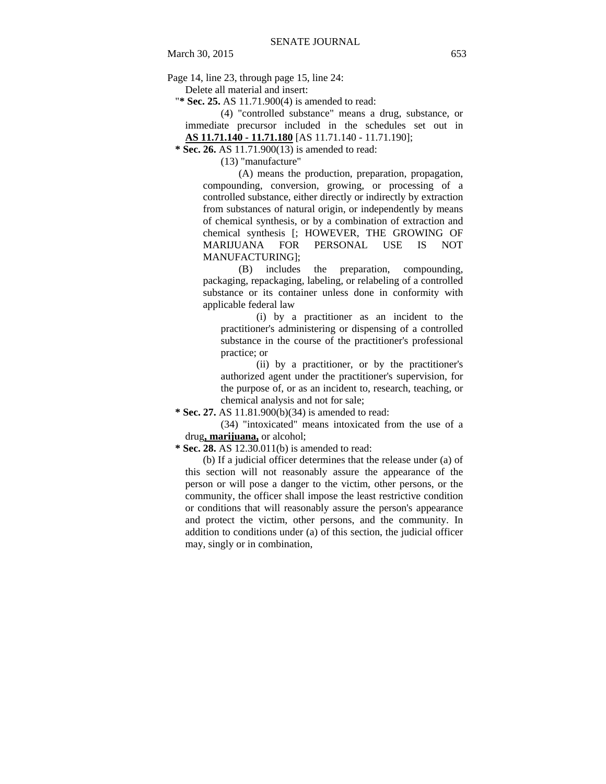Page 14, line 23, through page 15, line 24:

Delete all material and insert:

"**\* Sec. 25.** AS 11.71.900(4) is amended to read:

(4) "controlled substance" means a drug, substance, or immediate precursor included in the schedules set out in **AS 11.71.140 - 11.71.180** [AS 11.71.140 - 11.71.190];

 **\* Sec. 26.** AS 11.71.900(13) is amended to read:

(13) "manufacture"

(A) means the production, preparation, propagation, compounding, conversion, growing, or processing of a controlled substance, either directly or indirectly by extraction from substances of natural origin, or independently by means of chemical synthesis, or by a combination of extraction and chemical synthesis [; HOWEVER, THE GROWING OF MARIJUANA FOR PERSONAL USE IS NOT MANUFACTURING];

(B) includes the preparation, compounding, packaging, repackaging, labeling, or relabeling of a controlled substance or its container unless done in conformity with applicable federal law

(i) by a practitioner as an incident to the practitioner's administering or dispensing of a controlled substance in the course of the practitioner's professional practice; or

(ii) by a practitioner, or by the practitioner's authorized agent under the practitioner's supervision, for the purpose of, or as an incident to, research, teaching, or chemical analysis and not for sale;

 **\* Sec. 27.** AS 11.81.900(b)(34) is amended to read:

(34) "intoxicated" means intoxicated from the use of a drug**, marijuana,** or alcohol;

 **\* Sec. 28.** AS 12.30.011(b) is amended to read:

(b) If a judicial officer determines that the release under (a) of this section will not reasonably assure the appearance of the person or will pose a danger to the victim, other persons, or the community, the officer shall impose the least restrictive condition or conditions that will reasonably assure the person's appearance and protect the victim, other persons, and the community. In addition to conditions under (a) of this section, the judicial officer may, singly or in combination,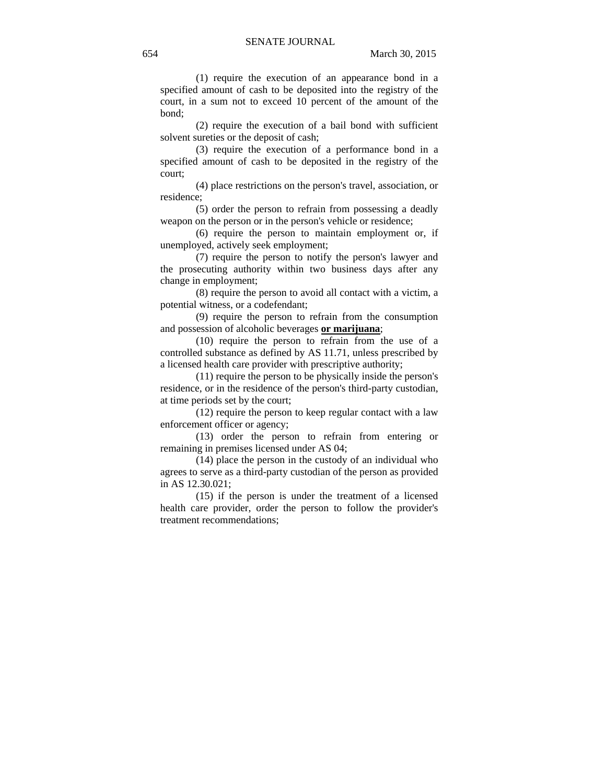(1) require the execution of an appearance bond in a specified amount of cash to be deposited into the registry of the court, in a sum not to exceed 10 percent of the amount of the bond;

(2) require the execution of a bail bond with sufficient solvent sureties or the deposit of cash;

(3) require the execution of a performance bond in a specified amount of cash to be deposited in the registry of the court;

(4) place restrictions on the person's travel, association, or residence;

(5) order the person to refrain from possessing a deadly weapon on the person or in the person's vehicle or residence;

(6) require the person to maintain employment or, if unemployed, actively seek employment;

(7) require the person to notify the person's lawyer and the prosecuting authority within two business days after any change in employment;

(8) require the person to avoid all contact with a victim, a potential witness, or a codefendant;

(9) require the person to refrain from the consumption and possession of alcoholic beverages **or marijuana**;

(10) require the person to refrain from the use of a controlled substance as defined by AS 11.71, unless prescribed by a licensed health care provider with prescriptive authority;

(11) require the person to be physically inside the person's residence, or in the residence of the person's third-party custodian, at time periods set by the court;

(12) require the person to keep regular contact with a law enforcement officer or agency;

(13) order the person to refrain from entering or remaining in premises licensed under AS 04;

(14) place the person in the custody of an individual who agrees to serve as a third-party custodian of the person as provided in AS 12.30.021;

(15) if the person is under the treatment of a licensed health care provider, order the person to follow the provider's treatment recommendations;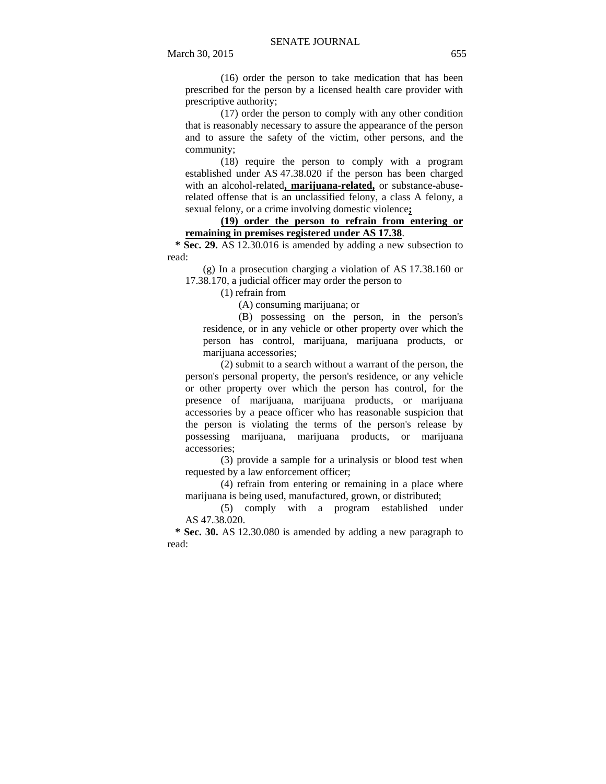(16) order the person to take medication that has been prescribed for the person by a licensed health care provider with prescriptive authority;

(17) order the person to comply with any other condition that is reasonably necessary to assure the appearance of the person and to assure the safety of the victim, other persons, and the community;

(18) require the person to comply with a program established under AS 47.38.020 if the person has been charged with an alcohol-related**, marijuana-related,** or substance-abuserelated offense that is an unclassified felony, a class A felony, a sexual felony, or a crime involving domestic violence**;**

**(19) order the person to refrain from entering or remaining in premises registered under AS 17.38**.

 **\* Sec. 29.** AS 12.30.016 is amended by adding a new subsection to read:

(g) In a prosecution charging a violation of AS 17.38.160 or 17.38.170, a judicial officer may order the person to

(1) refrain from

(A) consuming marijuana; or

(B) possessing on the person, in the person's residence, or in any vehicle or other property over which the person has control, marijuana, marijuana products, or marijuana accessories;

(2) submit to a search without a warrant of the person, the person's personal property, the person's residence, or any vehicle or other property over which the person has control, for the presence of marijuana, marijuana products, or marijuana accessories by a peace officer who has reasonable suspicion that the person is violating the terms of the person's release by possessing marijuana, marijuana products, or marijuana accessories;

(3) provide a sample for a urinalysis or blood test when requested by a law enforcement officer;

(4) refrain from entering or remaining in a place where marijuana is being used, manufactured, grown, or distributed;

(5) comply with a program established under AS 47.38.020.

 **\* Sec. 30.** AS 12.30.080 is amended by adding a new paragraph to read: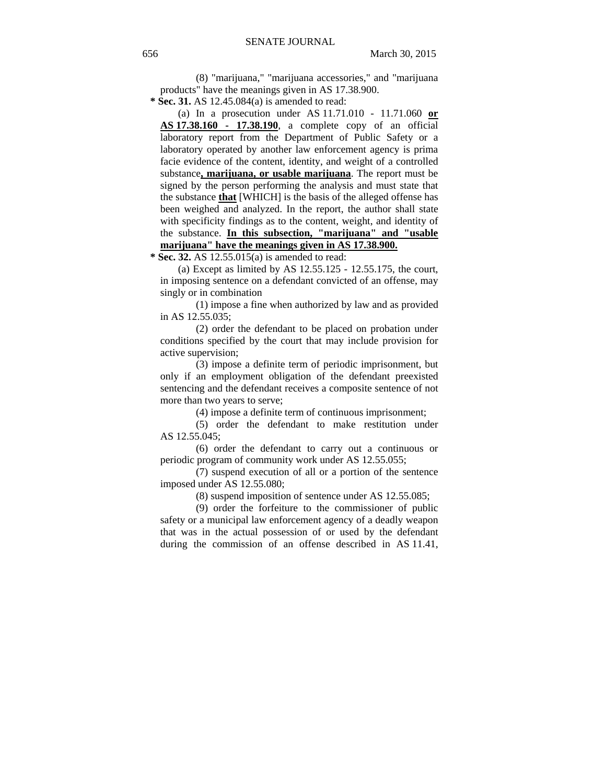(8) "marijuana," "marijuana accessories," and "marijuana products" have the meanings given in AS 17.38.900.

 **\* Sec. 31.** AS 12.45.084(a) is amended to read:

(a) In a prosecution under AS 11.71.010 - 11.71.060 **or AS 17.38.160 - 17.38.190**, a complete copy of an official laboratory report from the Department of Public Safety or a laboratory operated by another law enforcement agency is prima facie evidence of the content, identity, and weight of a controlled substance**, marijuana, or usable marijuana**. The report must be signed by the person performing the analysis and must state that the substance **that** [WHICH] is the basis of the alleged offense has been weighed and analyzed. In the report, the author shall state with specificity findings as to the content, weight, and identity of the substance. **In this subsection, "marijuana" and "usable marijuana" have the meanings given in AS 17.38.900.**

 **\* Sec. 32.** AS 12.55.015(a) is amended to read:

(a) Except as limited by AS  $12.55.125 - 12.55.175$ , the court, in imposing sentence on a defendant convicted of an offense, may singly or in combination

(1) impose a fine when authorized by law and as provided in AS 12.55.035;

(2) order the defendant to be placed on probation under conditions specified by the court that may include provision for active supervision;

(3) impose a definite term of periodic imprisonment, but only if an employment obligation of the defendant preexisted sentencing and the defendant receives a composite sentence of not more than two years to serve;

(4) impose a definite term of continuous imprisonment;

(5) order the defendant to make restitution under AS 12.55.045;

(6) order the defendant to carry out a continuous or periodic program of community work under AS 12.55.055;

(7) suspend execution of all or a portion of the sentence imposed under AS 12.55.080;

(8) suspend imposition of sentence under AS 12.55.085;

(9) order the forfeiture to the commissioner of public safety or a municipal law enforcement agency of a deadly weapon that was in the actual possession of or used by the defendant during the commission of an offense described in AS 11.41,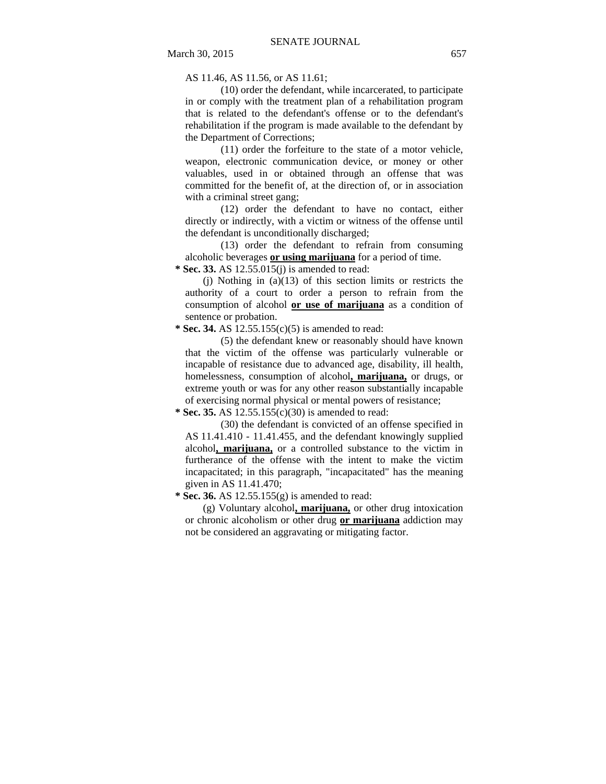AS 11.46, AS 11.56, or AS 11.61;

(10) order the defendant, while incarcerated, to participate in or comply with the treatment plan of a rehabilitation program that is related to the defendant's offense or to the defendant's rehabilitation if the program is made available to the defendant by the Department of Corrections;

(11) order the forfeiture to the state of a motor vehicle, weapon, electronic communication device, or money or other valuables, used in or obtained through an offense that was committed for the benefit of, at the direction of, or in association with a criminal street gang;

(12) order the defendant to have no contact, either directly or indirectly, with a victim or witness of the offense until the defendant is unconditionally discharged;

(13) order the defendant to refrain from consuming alcoholic beverages **or using marijuana** for a period of time.

 **\* Sec. 33.** AS 12.55.015(j) is amended to read:

(j) Nothing in (a)(13) of this section limits or restricts the authority of a court to order a person to refrain from the consumption of alcohol **or use of marijuana** as a condition of sentence or probation.

 **\* Sec. 34.** AS 12.55.155(c)(5) is amended to read:

(5) the defendant knew or reasonably should have known that the victim of the offense was particularly vulnerable or incapable of resistance due to advanced age, disability, ill health, homelessness, consumption of alcohol**, marijuana,** or drugs, or extreme youth or was for any other reason substantially incapable of exercising normal physical or mental powers of resistance;

 **\* Sec. 35.** AS 12.55.155(c)(30) is amended to read:

(30) the defendant is convicted of an offense specified in AS 11.41.410 - 11.41.455, and the defendant knowingly supplied alcohol**, marijuana,** or a controlled substance to the victim in furtherance of the offense with the intent to make the victim incapacitated; in this paragraph, "incapacitated" has the meaning given in AS 11.41.470;

 **\* Sec. 36.** AS 12.55.155(g) is amended to read:

(g) Voluntary alcohol**, marijuana,** or other drug intoxication or chronic alcoholism or other drug **or marijuana** addiction may not be considered an aggravating or mitigating factor.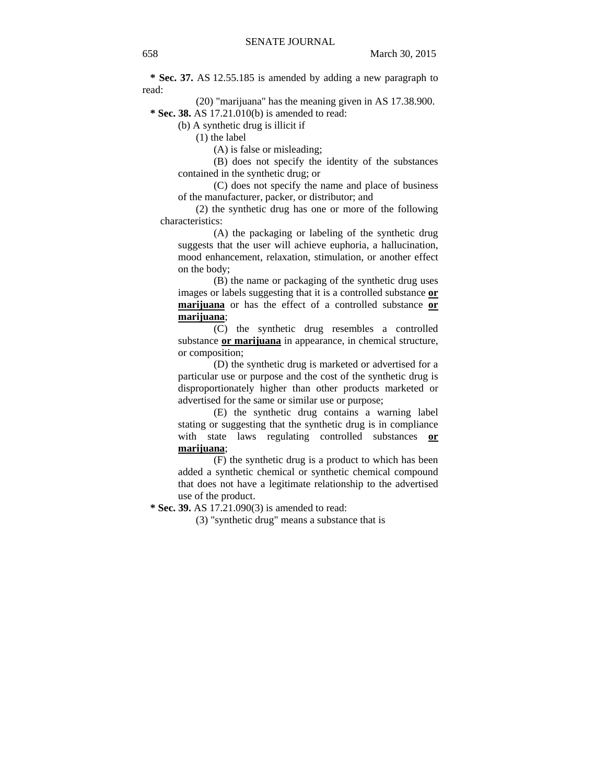**\* Sec. 37.** AS 12.55.185 is amended by adding a new paragraph to read:

(20) "marijuana" has the meaning given in AS 17.38.900.  **\* Sec. 38.** AS 17.21.010(b) is amended to read:

(b) A synthetic drug is illicit if

(1) the label

(A) is false or misleading;

(B) does not specify the identity of the substances contained in the synthetic drug; or

(C) does not specify the name and place of business of the manufacturer, packer, or distributor; and

(2) the synthetic drug has one or more of the following characteristics:

(A) the packaging or labeling of the synthetic drug suggests that the user will achieve euphoria, a hallucination, mood enhancement, relaxation, stimulation, or another effect on the body;

(B) the name or packaging of the synthetic drug uses images or labels suggesting that it is a controlled substance **or marijuana** or has the effect of a controlled substance **or marijuana**;

(C) the synthetic drug resembles a controlled substance **or marijuana** in appearance, in chemical structure, or composition;

(D) the synthetic drug is marketed or advertised for a particular use or purpose and the cost of the synthetic drug is disproportionately higher than other products marketed or advertised for the same or similar use or purpose;

(E) the synthetic drug contains a warning label stating or suggesting that the synthetic drug is in compliance with state laws regulating controlled substances **or marijuana**;

(F) the synthetic drug is a product to which has been added a synthetic chemical or synthetic chemical compound that does not have a legitimate relationship to the advertised use of the product.

 **\* Sec. 39.** AS 17.21.090(3) is amended to read:

(3) "synthetic drug" means a substance that is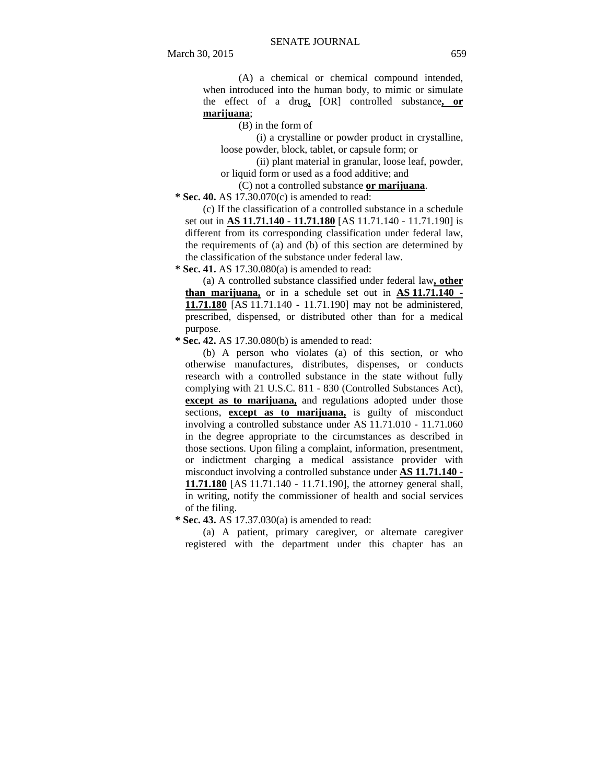(A) a chemical or chemical compound intended, when introduced into the human body, to mimic or simulate the effect of a drug**,** [OR] controlled substance**, or marijuana**;

(B) in the form of

(i) a crystalline or powder product in crystalline, loose powder, block, tablet, or capsule form; or

(ii) plant material in granular, loose leaf, powder, or liquid form or used as a food additive; and

(C) not a controlled substance **or marijuana**.

 **\* Sec. 40.** AS 17.30.070(c) is amended to read:

(c) If the classification of a controlled substance in a schedule set out in **AS 11.71.140 - 11.71.180** [AS 11.71.140 - 11.71.190] is different from its corresponding classification under federal law, the requirements of (a) and (b) of this section are determined by the classification of the substance under federal law.

 **\* Sec. 41.** AS 17.30.080(a) is amended to read:

(a) A controlled substance classified under federal law**, other than marijuana,** or in a schedule set out in **AS 11.71.140 - 11.71.180** [AS 11.71.140 - 11.71.190] may not be administered, prescribed, dispensed, or distributed other than for a medical purpose.

 **\* Sec. 42.** AS 17.30.080(b) is amended to read:

(b) A person who violates (a) of this section, or who otherwise manufactures, distributes, dispenses, or conducts research with a controlled substance in the state without fully complying with 21 U.S.C. 811 - 830 (Controlled Substances Act), **except as to marijuana,** and regulations adopted under those sections, **except as to marijuana,** is guilty of misconduct involving a controlled substance under AS 11.71.010 - 11.71.060 in the degree appropriate to the circumstances as described in those sections. Upon filing a complaint, information, presentment, or indictment charging a medical assistance provider with misconduct involving a controlled substance under **AS 11.71.140 - 11.71.180** [AS 11.71.140 - 11.71.190], the attorney general shall, in writing, notify the commissioner of health and social services of the filing.

 **\* Sec. 43.** AS 17.37.030(a) is amended to read:

(a) A patient, primary caregiver, or alternate caregiver registered with the department under this chapter has an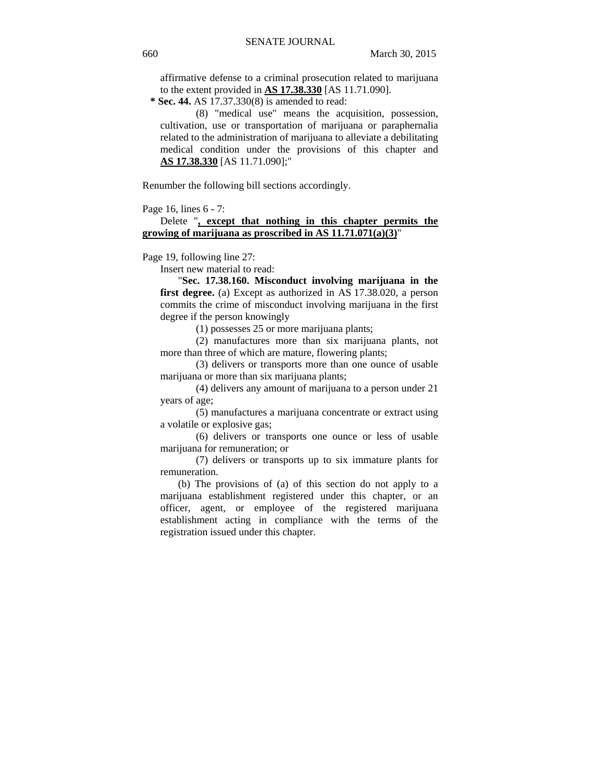affirmative defense to a criminal prosecution related to marijuana to the extent provided in **AS 17.38.330** [AS 11.71.090].

 **\* Sec. 44.** AS 17.37.330(8) is amended to read:

(8) "medical use" means the acquisition, possession, cultivation, use or transportation of marijuana or paraphernalia related to the administration of marijuana to alleviate a debilitating medical condition under the provisions of this chapter and **AS 17.38.330** [AS 11.71.090];"

Renumber the following bill sections accordingly.

Page 16, lines 6 - 7:

# Delete "**, except that nothing in this chapter permits the growing of marijuana as proscribed in AS 11.71.071(a)(3)**"

Page 19, following line 27:

Insert new material to read:

"**Sec. 17.38.160. Misconduct involving marijuana in the first degree.** (a) Except as authorized in AS 17.38.020, a person commits the crime of misconduct involving marijuana in the first degree if the person knowingly

(1) possesses 25 or more marijuana plants;

(2) manufactures more than six marijuana plants, not more than three of which are mature, flowering plants;

(3) delivers or transports more than one ounce of usable marijuana or more than six marijuana plants;

(4) delivers any amount of marijuana to a person under 21 years of age;

(5) manufactures a marijuana concentrate or extract using a volatile or explosive gas;

(6) delivers or transports one ounce or less of usable marijuana for remuneration; or

(7) delivers or transports up to six immature plants for remuneration.

(b) The provisions of (a) of this section do not apply to a marijuana establishment registered under this chapter, or an officer, agent, or employee of the registered marijuana establishment acting in compliance with the terms of the registration issued under this chapter.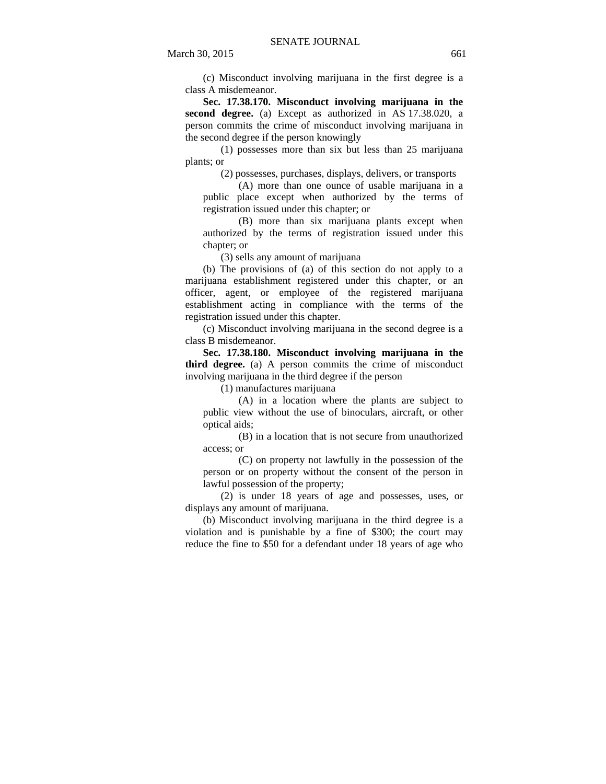(c) Misconduct involving marijuana in the first degree is a class A misdemeanor.

**Sec. 17.38.170. Misconduct involving marijuana in the second degree.** (a) Except as authorized in AS 17.38.020, a person commits the crime of misconduct involving marijuana in the second degree if the person knowingly

(1) possesses more than six but less than 25 marijuana plants; or

(2) possesses, purchases, displays, delivers, or transports

(A) more than one ounce of usable marijuana in a public place except when authorized by the terms of registration issued under this chapter; or

(B) more than six marijuana plants except when authorized by the terms of registration issued under this chapter; or

(3) sells any amount of marijuana

(b) The provisions of (a) of this section do not apply to a marijuana establishment registered under this chapter, or an officer, agent, or employee of the registered marijuana establishment acting in compliance with the terms of the registration issued under this chapter.

(c) Misconduct involving marijuana in the second degree is a class B misdemeanor.

**Sec. 17.38.180. Misconduct involving marijuana in the third degree.** (a) A person commits the crime of misconduct involving marijuana in the third degree if the person

(1) manufactures marijuana

(A) in a location where the plants are subject to public view without the use of binoculars, aircraft, or other optical aids;

(B) in a location that is not secure from unauthorized access; or

(C) on property not lawfully in the possession of the person or on property without the consent of the person in lawful possession of the property;

(2) is under 18 years of age and possesses, uses, or displays any amount of marijuana.

(b) Misconduct involving marijuana in the third degree is a violation and is punishable by a fine of \$300; the court may reduce the fine to \$50 for a defendant under 18 years of age who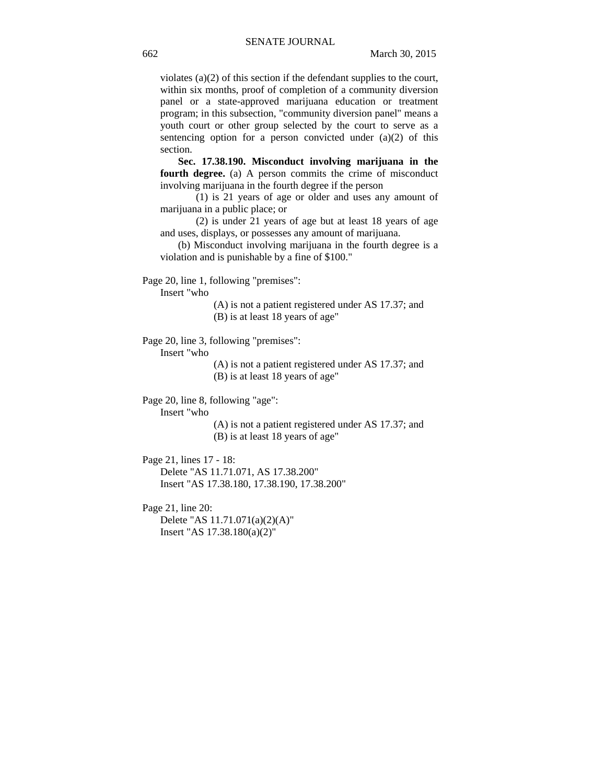violates (a)(2) of this section if the defendant supplies to the court, within six months, proof of completion of a community diversion panel or a state-approved marijuana education or treatment program; in this subsection, "community diversion panel" means a youth court or other group selected by the court to serve as a sentencing option for a person convicted under  $(a)(2)$  of this section.

**Sec. 17.38.190. Misconduct involving marijuana in the fourth degree.** (a) A person commits the crime of misconduct involving marijuana in the fourth degree if the person

(1) is 21 years of age or older and uses any amount of marijuana in a public place; or

(2) is under 21 years of age but at least 18 years of age and uses, displays, or possesses any amount of marijuana.

(b) Misconduct involving marijuana in the fourth degree is a violation and is punishable by a fine of \$100."

Page 20, line 1, following "premises":

Insert "who

(A) is not a patient registered under AS 17.37; and (B) is at least 18 years of age"

Page 20, line 3, following "premises":

Insert "who

(A) is not a patient registered under AS 17.37; and (B) is at least 18 years of age"

Page 20, line 8, following "age":

Insert "who

(A) is not a patient registered under AS 17.37; and (B) is at least 18 years of age"

Page 21, lines 17 - 18: Delete "AS 11.71.071, AS 17.38.200" Insert "AS 17.38.180, 17.38.190, 17.38.200"

Page 21, line 20: Delete "AS 11.71.071(a)(2)(A)" Insert "AS 17.38.180(a)(2)"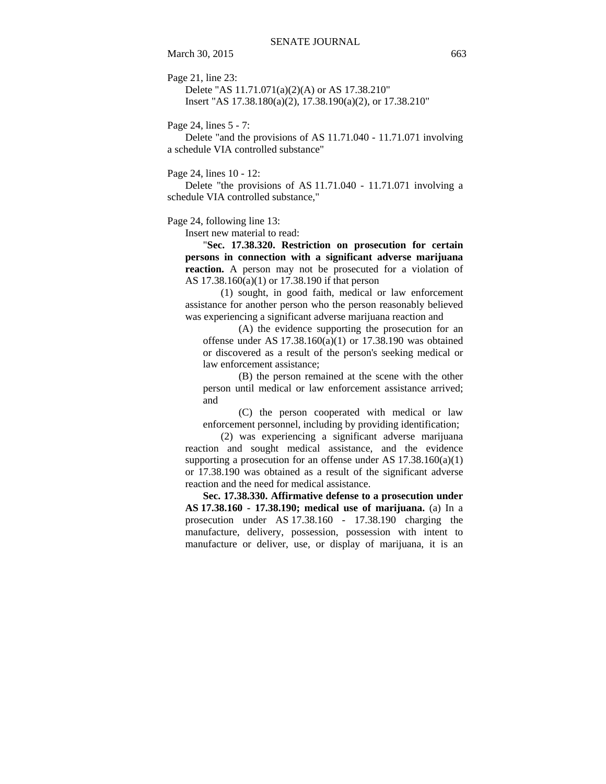March 30, 2015 663

Page 21, line 23:

Delete "AS 11.71.071(a)(2)(A) or AS 17.38.210" Insert "AS 17.38.180(a)(2), 17.38.190(a)(2), or 17.38.210"

Page 24, lines 5 - 7:

Delete "and the provisions of AS 11.71.040 - 11.71.071 involving a schedule VIA controlled substance"

Page 24, lines 10 - 12:

Delete "the provisions of AS 11.71.040 - 11.71.071 involving a schedule VIA controlled substance,"

Page 24, following line 13:

Insert new material to read:

"**Sec. 17.38.320. Restriction on prosecution for certain persons in connection with a significant adverse marijuana reaction.** A person may not be prosecuted for a violation of AS 17.38.160(a)(1) or 17.38.190 if that person

(1) sought, in good faith, medical or law enforcement assistance for another person who the person reasonably believed was experiencing a significant adverse marijuana reaction and

(A) the evidence supporting the prosecution for an offense under AS  $17.38.160(a)(1)$  or  $17.38.190$  was obtained or discovered as a result of the person's seeking medical or law enforcement assistance;

(B) the person remained at the scene with the other person until medical or law enforcement assistance arrived; and

(C) the person cooperated with medical or law enforcement personnel, including by providing identification;

(2) was experiencing a significant adverse marijuana reaction and sought medical assistance, and the evidence supporting a prosecution for an offense under AS  $17.38.160(a)(1)$ or 17.38.190 was obtained as a result of the significant adverse reaction and the need for medical assistance.

**Sec. 17.38.330. Affirmative defense to a prosecution under AS 17.38.160 - 17.38.190; medical use of marijuana.** (a) In a prosecution under AS 17.38.160 - 17.38.190 charging the manufacture, delivery, possession, possession with intent to manufacture or deliver, use, or display of marijuana, it is an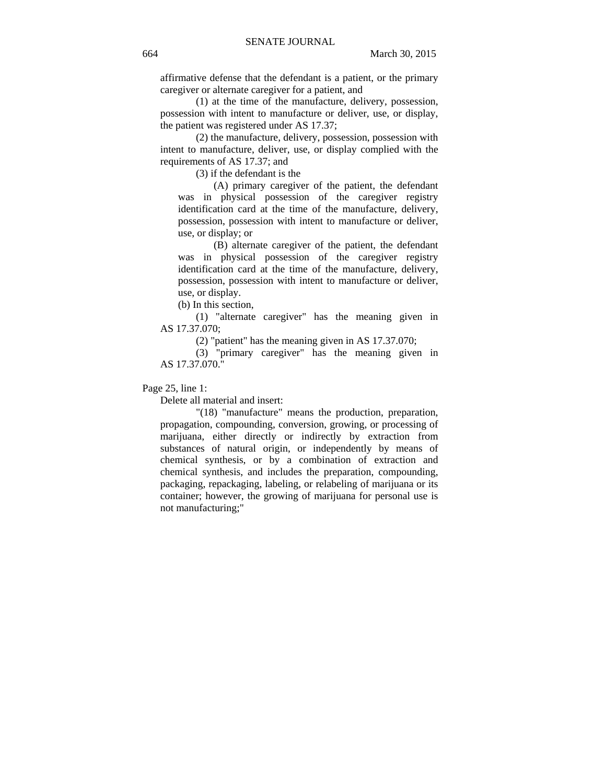affirmative defense that the defendant is a patient, or the primary caregiver or alternate caregiver for a patient, and

(1) at the time of the manufacture, delivery, possession, possession with intent to manufacture or deliver, use, or display, the patient was registered under AS 17.37;

(2) the manufacture, delivery, possession, possession with intent to manufacture, deliver, use, or display complied with the requirements of AS 17.37; and

(3) if the defendant is the

(A) primary caregiver of the patient, the defendant was in physical possession of the caregiver registry identification card at the time of the manufacture, delivery, possession, possession with intent to manufacture or deliver, use, or display; or

(B) alternate caregiver of the patient, the defendant was in physical possession of the caregiver registry identification card at the time of the manufacture, delivery, possession, possession with intent to manufacture or deliver, use, or display.

(b) In this section,

(1) "alternate caregiver" has the meaning given in AS 17.37.070;

(2) "patient" has the meaning given in AS 17.37.070;

(3) "primary caregiver" has the meaning given in AS 17.37.070."

Page 25, line 1:

Delete all material and insert:

"(18) "manufacture" means the production, preparation, propagation, compounding, conversion, growing, or processing of marijuana, either directly or indirectly by extraction from substances of natural origin, or independently by means of chemical synthesis, or by a combination of extraction and chemical synthesis, and includes the preparation, compounding, packaging, repackaging, labeling, or relabeling of marijuana or its container; however, the growing of marijuana for personal use is not manufacturing;"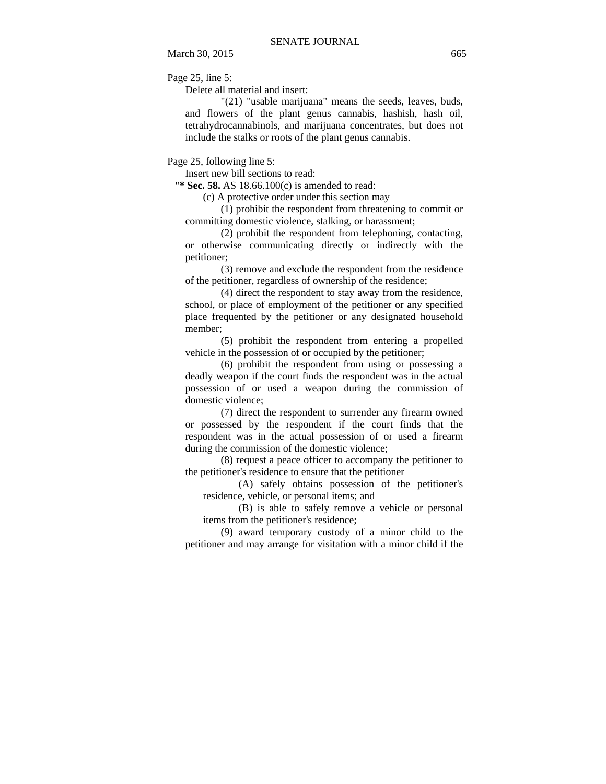Page 25, line 5:

Delete all material and insert:

"(21) "usable marijuana" means the seeds, leaves, buds, and flowers of the plant genus cannabis, hashish, hash oil, tetrahydrocannabinols, and marijuana concentrates, but does not include the stalks or roots of the plant genus cannabis.

Page 25, following line 5:

Insert new bill sections to read:

"**\* Sec. 58.** AS 18.66.100(c) is amended to read:

(c) A protective order under this section may

(1) prohibit the respondent from threatening to commit or committing domestic violence, stalking, or harassment;

(2) prohibit the respondent from telephoning, contacting, or otherwise communicating directly or indirectly with the petitioner;

(3) remove and exclude the respondent from the residence of the petitioner, regardless of ownership of the residence;

(4) direct the respondent to stay away from the residence, school, or place of employment of the petitioner or any specified place frequented by the petitioner or any designated household member;

(5) prohibit the respondent from entering a propelled vehicle in the possession of or occupied by the petitioner;

(6) prohibit the respondent from using or possessing a deadly weapon if the court finds the respondent was in the actual possession of or used a weapon during the commission of domestic violence;

(7) direct the respondent to surrender any firearm owned or possessed by the respondent if the court finds that the respondent was in the actual possession of or used a firearm during the commission of the domestic violence;

(8) request a peace officer to accompany the petitioner to the petitioner's residence to ensure that the petitioner

(A) safely obtains possession of the petitioner's residence, vehicle, or personal items; and

(B) is able to safely remove a vehicle or personal items from the petitioner's residence;

(9) award temporary custody of a minor child to the petitioner and may arrange for visitation with a minor child if the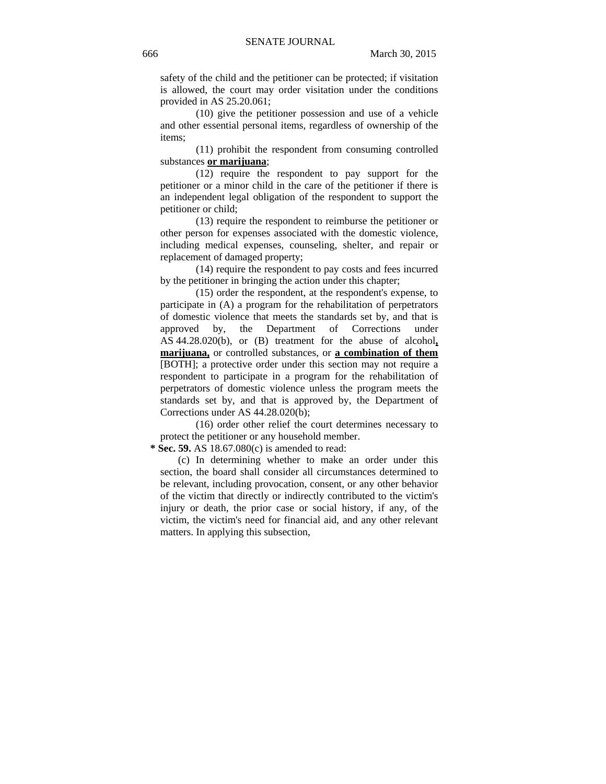safety of the child and the petitioner can be protected; if visitation is allowed, the court may order visitation under the conditions provided in AS 25.20.061;

(10) give the petitioner possession and use of a vehicle and other essential personal items, regardless of ownership of the items;

(11) prohibit the respondent from consuming controlled substances **or marijuana**;

(12) require the respondent to pay support for the petitioner or a minor child in the care of the petitioner if there is an independent legal obligation of the respondent to support the petitioner or child;

(13) require the respondent to reimburse the petitioner or other person for expenses associated with the domestic violence, including medical expenses, counseling, shelter, and repair or replacement of damaged property;

(14) require the respondent to pay costs and fees incurred by the petitioner in bringing the action under this chapter;

(15) order the respondent, at the respondent's expense, to participate in (A) a program for the rehabilitation of perpetrators of domestic violence that meets the standards set by, and that is approved by, the Department of Corrections under AS 44.28.020(b), or (B) treatment for the abuse of alcohol**, marijuana,** or controlled substances, or **a combination of them** [BOTH]; a protective order under this section may not require a respondent to participate in a program for the rehabilitation of perpetrators of domestic violence unless the program meets the standards set by, and that is approved by, the Department of Corrections under AS 44.28.020(b);

(16) order other relief the court determines necessary to protect the petitioner or any household member.

 **\* Sec. 59.** AS 18.67.080(c) is amended to read:

(c) In determining whether to make an order under this section, the board shall consider all circumstances determined to be relevant, including provocation, consent, or any other behavior of the victim that directly or indirectly contributed to the victim's injury or death, the prior case or social history, if any, of the victim, the victim's need for financial aid, and any other relevant matters. In applying this subsection,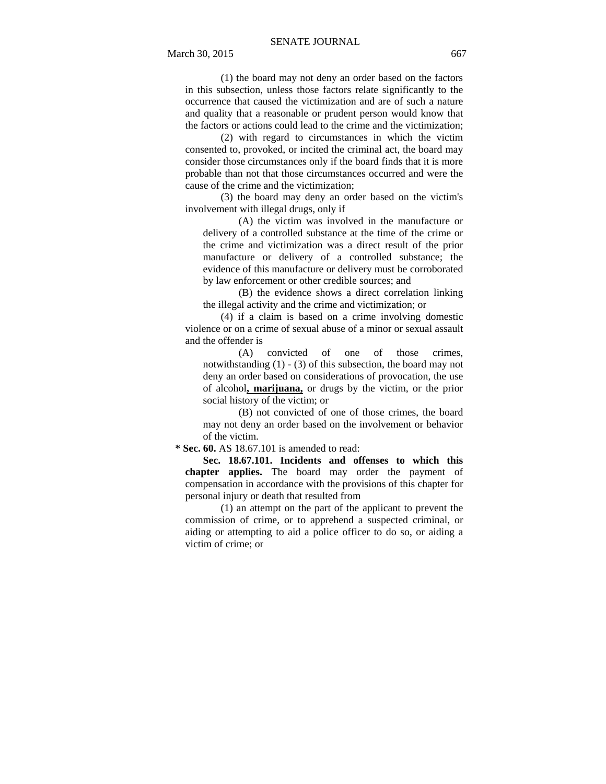March 30, 2015 667

(1) the board may not deny an order based on the factors in this subsection, unless those factors relate significantly to the occurrence that caused the victimization and are of such a nature and quality that a reasonable or prudent person would know that the factors or actions could lead to the crime and the victimization;

(2) with regard to circumstances in which the victim consented to, provoked, or incited the criminal act, the board may consider those circumstances only if the board finds that it is more probable than not that those circumstances occurred and were the cause of the crime and the victimization;

(3) the board may deny an order based on the victim's involvement with illegal drugs, only if

(A) the victim was involved in the manufacture or delivery of a controlled substance at the time of the crime or the crime and victimization was a direct result of the prior manufacture or delivery of a controlled substance; the evidence of this manufacture or delivery must be corroborated by law enforcement or other credible sources; and

(B) the evidence shows a direct correlation linking the illegal activity and the crime and victimization; or

(4) if a claim is based on a crime involving domestic violence or on a crime of sexual abuse of a minor or sexual assault and the offender is

(A) convicted of one of those crimes, notwithstanding (1) - (3) of this subsection, the board may not deny an order based on considerations of provocation, the use of alcohol**, marijuana,** or drugs by the victim, or the prior social history of the victim; or

(B) not convicted of one of those crimes, the board may not deny an order based on the involvement or behavior of the victim.

 **\* Sec. 60.** AS 18.67.101 is amended to read:

**Sec. 18.67.101. Incidents and offenses to which this chapter applies.** The board may order the payment of compensation in accordance with the provisions of this chapter for personal injury or death that resulted from

(1) an attempt on the part of the applicant to prevent the commission of crime, or to apprehend a suspected criminal, or aiding or attempting to aid a police officer to do so, or aiding a victim of crime; or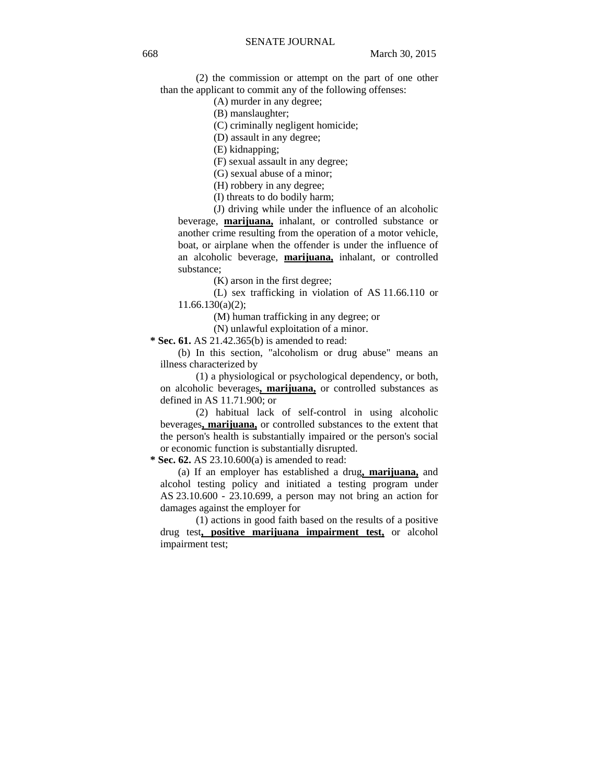(2) the commission or attempt on the part of one other than the applicant to commit any of the following offenses:

(A) murder in any degree;

(B) manslaughter;

(C) criminally negligent homicide;

(D) assault in any degree;

(E) kidnapping;

(F) sexual assault in any degree;

(G) sexual abuse of a minor;

(H) robbery in any degree;

(I) threats to do bodily harm;

(J) driving while under the influence of an alcoholic beverage, **marijuana,** inhalant, or controlled substance or another crime resulting from the operation of a motor vehicle, boat, or airplane when the offender is under the influence of an alcoholic beverage, **marijuana,** inhalant, or controlled substance;

(K) arson in the first degree;

(L) sex trafficking in violation of AS 11.66.110 or 11.66.130(a)(2);

(M) human trafficking in any degree; or

(N) unlawful exploitation of a minor.

 **\* Sec. 61.** AS 21.42.365(b) is amended to read:

(b) In this section, "alcoholism or drug abuse" means an illness characterized by

(1) a physiological or psychological dependency, or both, on alcoholic beverages**, marijuana,** or controlled substances as defined in AS 11.71.900; or

(2) habitual lack of self-control in using alcoholic beverages**, marijuana,** or controlled substances to the extent that the person's health is substantially impaired or the person's social or economic function is substantially disrupted.

 **\* Sec. 62.** AS 23.10.600(a) is amended to read:

(a) If an employer has established a drug**, marijuana,** and alcohol testing policy and initiated a testing program under AS 23.10.600 - 23.10.699, a person may not bring an action for damages against the employer for

(1) actions in good faith based on the results of a positive drug test**, positive marijuana impairment test,** or alcohol impairment test;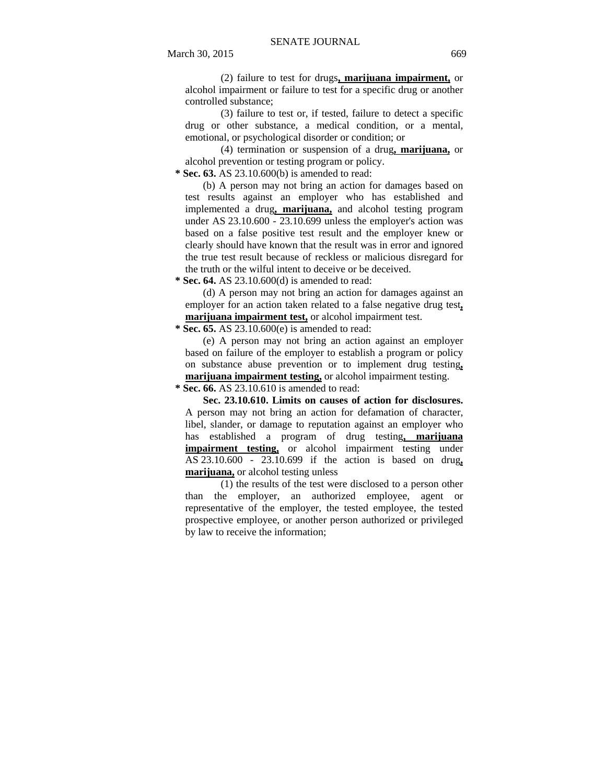(2) failure to test for drugs**, marijuana impairment,** or alcohol impairment or failure to test for a specific drug or another controlled substance;

(3) failure to test or, if tested, failure to detect a specific drug or other substance, a medical condition, or a mental, emotional, or psychological disorder or condition; or

(4) termination or suspension of a drug**, marijuana,** or alcohol prevention or testing program or policy.

 **\* Sec. 63.** AS 23.10.600(b) is amended to read:

(b) A person may not bring an action for damages based on test results against an employer who has established and implemented a drug**, marijuana,** and alcohol testing program under AS  $23.10.600 - 23.10.699$  unless the employer's action was based on a false positive test result and the employer knew or clearly should have known that the result was in error and ignored the true test result because of reckless or malicious disregard for the truth or the wilful intent to deceive or be deceived.

 **\* Sec. 64.** AS 23.10.600(d) is amended to read:

(d) A person may not bring an action for damages against an employer for an action taken related to a false negative drug test**, marijuana impairment test,** or alcohol impairment test.

 **\* Sec. 65.** AS 23.10.600(e) is amended to read:

(e) A person may not bring an action against an employer based on failure of the employer to establish a program or policy on substance abuse prevention or to implement drug testing**, marijuana impairment testing,** or alcohol impairment testing.

 **\* Sec. 66.** AS 23.10.610 is amended to read:

**Sec. 23.10.610. Limits on causes of action for disclosures.**  A person may not bring an action for defamation of character, libel, slander, or damage to reputation against an employer who has established a program of drug testing**, marijuana impairment testing,** or alcohol impairment testing under AS 23.10.600 - 23.10.699 if the action is based on drug**, marijuana,** or alcohol testing unless

(1) the results of the test were disclosed to a person other than the employer, an authorized employee, agent or representative of the employer, the tested employee, the tested prospective employee, or another person authorized or privileged by law to receive the information;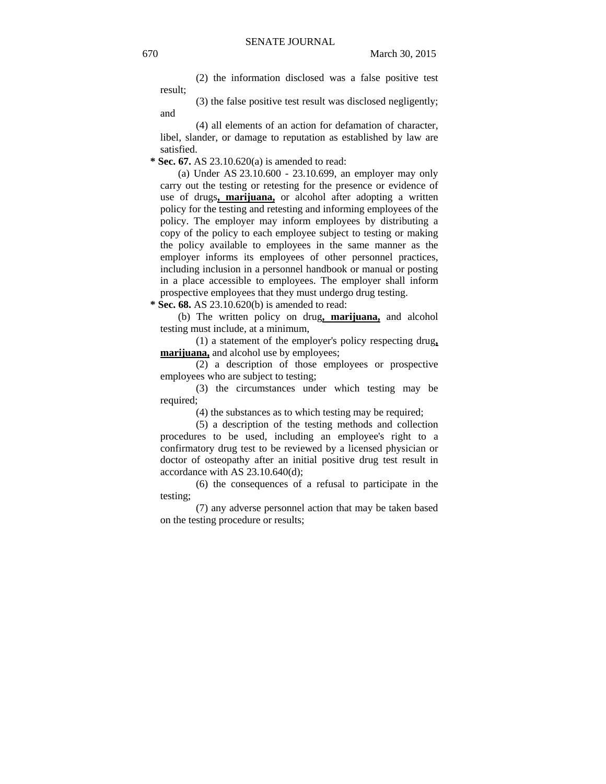(2) the information disclosed was a false positive test result;

(3) the false positive test result was disclosed negligently;

(4) all elements of an action for defamation of character, libel, slander, or damage to reputation as established by law are satisfied.

 **\* Sec. 67.** AS 23.10.620(a) is amended to read:

(a) Under AS 23.10.600 - 23.10.699, an employer may only carry out the testing or retesting for the presence or evidence of use of drugs**, marijuana,** or alcohol after adopting a written policy for the testing and retesting and informing employees of the policy. The employer may inform employees by distributing a copy of the policy to each employee subject to testing or making the policy available to employees in the same manner as the employer informs its employees of other personnel practices, including inclusion in a personnel handbook or manual or posting in a place accessible to employees. The employer shall inform prospective employees that they must undergo drug testing.

 **\* Sec. 68.** AS 23.10.620(b) is amended to read:

(b) The written policy on drug**, marijuana,** and alcohol testing must include, at a minimum,

(1) a statement of the employer's policy respecting drug**, marijuana,** and alcohol use by employees;

(2) a description of those employees or prospective employees who are subject to testing;

(3) the circumstances under which testing may be required;

(4) the substances as to which testing may be required;

(5) a description of the testing methods and collection procedures to be used, including an employee's right to a confirmatory drug test to be reviewed by a licensed physician or doctor of osteopathy after an initial positive drug test result in accordance with AS 23.10.640(d);

(6) the consequences of a refusal to participate in the testing;

(7) any adverse personnel action that may be taken based on the testing procedure or results;

and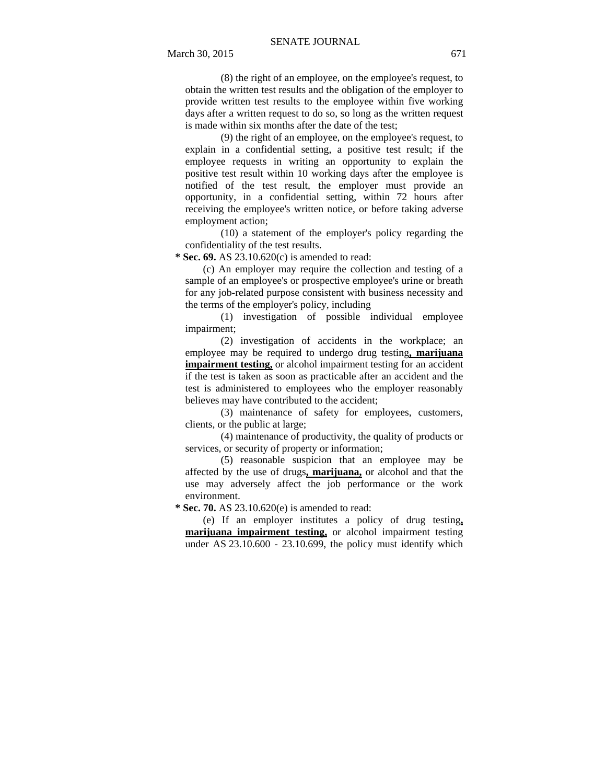(8) the right of an employee, on the employee's request, to obtain the written test results and the obligation of the employer to provide written test results to the employee within five working days after a written request to do so, so long as the written request is made within six months after the date of the test;

(9) the right of an employee, on the employee's request, to explain in a confidential setting, a positive test result; if the employee requests in writing an opportunity to explain the positive test result within 10 working days after the employee is notified of the test result, the employer must provide an opportunity, in a confidential setting, within 72 hours after receiving the employee's written notice, or before taking adverse employment action;

(10) a statement of the employer's policy regarding the confidentiality of the test results.

 **\* Sec. 69.** AS 23.10.620(c) is amended to read:

(c) An employer may require the collection and testing of a sample of an employee's or prospective employee's urine or breath for any job-related purpose consistent with business necessity and the terms of the employer's policy, including

(1) investigation of possible individual employee impairment;

(2) investigation of accidents in the workplace; an employee may be required to undergo drug testing**, marijuana impairment testing,** or alcohol impairment testing for an accident if the test is taken as soon as practicable after an accident and the test is administered to employees who the employer reasonably believes may have contributed to the accident;

(3) maintenance of safety for employees, customers, clients, or the public at large;

(4) maintenance of productivity, the quality of products or services, or security of property or information;

(5) reasonable suspicion that an employee may be affected by the use of drugs**, marijuana,** or alcohol and that the use may adversely affect the job performance or the work environment.

 **\* Sec. 70.** AS 23.10.620(e) is amended to read:

(e) If an employer institutes a policy of drug testing**, marijuana impairment testing,** or alcohol impairment testing under AS 23.10.600 - 23.10.699, the policy must identify which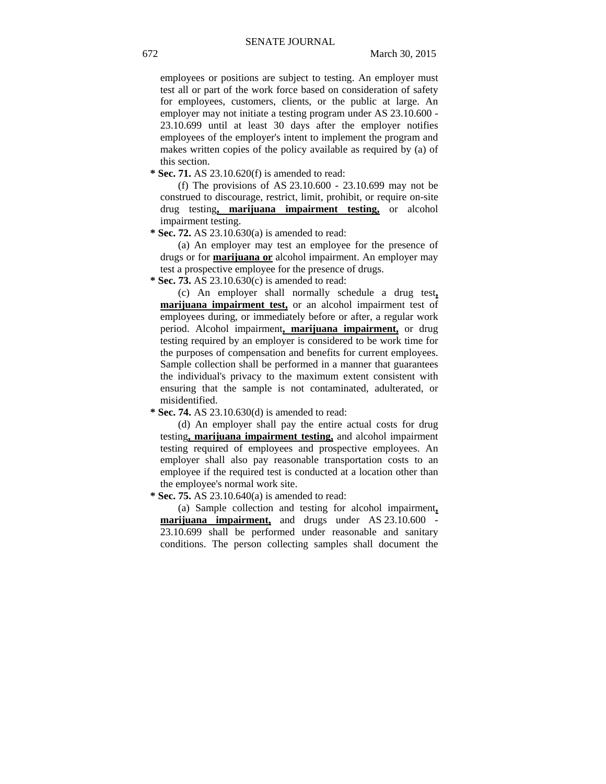employees or positions are subject to testing. An employer must test all or part of the work force based on consideration of safety for employees, customers, clients, or the public at large. An employer may not initiate a testing program under AS 23.10.600 - 23.10.699 until at least 30 days after the employer notifies employees of the employer's intent to implement the program and makes written copies of the policy available as required by (a) of this section.

 **\* Sec. 71.** AS 23.10.620(f) is amended to read:

(f) The provisions of AS 23.10.600 - 23.10.699 may not be construed to discourage, restrict, limit, prohibit, or require on-site drug testing**, marijuana impairment testing,** or alcohol impairment testing.

 **\* Sec. 72.** AS 23.10.630(a) is amended to read:

(a) An employer may test an employee for the presence of drugs or for **marijuana or** alcohol impairment. An employer may test a prospective employee for the presence of drugs.

 **\* Sec. 73.** AS 23.10.630(c) is amended to read:

(c) An employer shall normally schedule a drug test**, marijuana impairment test,** or an alcohol impairment test of employees during, or immediately before or after, a regular work period. Alcohol impairment**, marijuana impairment,** or drug testing required by an employer is considered to be work time for the purposes of compensation and benefits for current employees. Sample collection shall be performed in a manner that guarantees the individual's privacy to the maximum extent consistent with ensuring that the sample is not contaminated, adulterated, or misidentified.

 **\* Sec. 74.** AS 23.10.630(d) is amended to read:

(d) An employer shall pay the entire actual costs for drug testing**, marijuana impairment testing,** and alcohol impairment testing required of employees and prospective employees. An employer shall also pay reasonable transportation costs to an employee if the required test is conducted at a location other than the employee's normal work site.

 **\* Sec. 75.** AS 23.10.640(a) is amended to read:

(a) Sample collection and testing for alcohol impairment**, marijuana impairment,** and drugs under AS 23.10.600 - 23.10.699 shall be performed under reasonable and sanitary conditions. The person collecting samples shall document the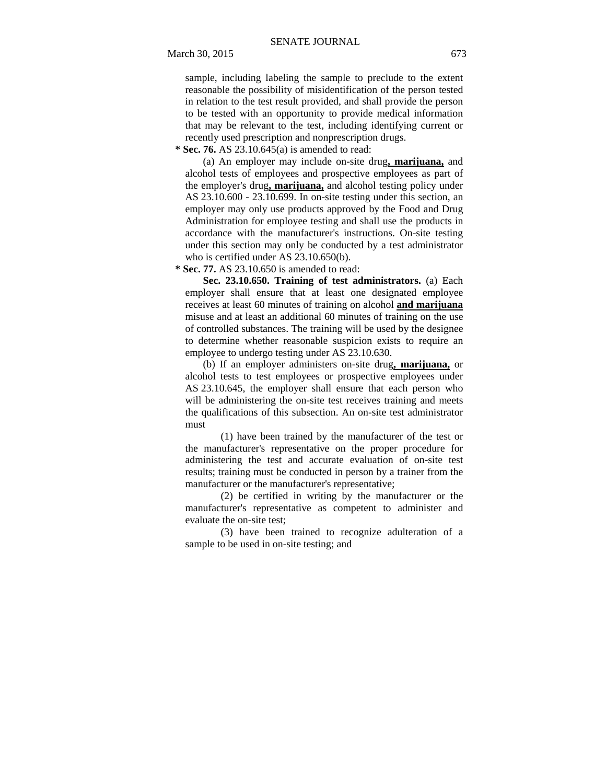sample, including labeling the sample to preclude to the extent reasonable the possibility of misidentification of the person tested in relation to the test result provided, and shall provide the person to be tested with an opportunity to provide medical information that may be relevant to the test, including identifying current or recently used prescription and nonprescription drugs.

 **\* Sec. 76.** AS 23.10.645(a) is amended to read:

(a) An employer may include on-site drug**, marijuana,** and alcohol tests of employees and prospective employees as part of the employer's drug**, marijuana,** and alcohol testing policy under AS 23.10.600 - 23.10.699. In on-site testing under this section, an employer may only use products approved by the Food and Drug Administration for employee testing and shall use the products in accordance with the manufacturer's instructions. On-site testing under this section may only be conducted by a test administrator who is certified under AS 23.10.650(b).

 **\* Sec. 77.** AS 23.10.650 is amended to read:

**Sec. 23.10.650. Training of test administrators.** (a) Each employer shall ensure that at least one designated employee receives at least 60 minutes of training on alcohol **and marijuana** misuse and at least an additional 60 minutes of training on the use of controlled substances. The training will be used by the designee to determine whether reasonable suspicion exists to require an employee to undergo testing under AS 23.10.630.

(b) If an employer administers on-site drug**, marijuana,** or alcohol tests to test employees or prospective employees under AS 23.10.645, the employer shall ensure that each person who will be administering the on-site test receives training and meets the qualifications of this subsection. An on-site test administrator must

(1) have been trained by the manufacturer of the test or the manufacturer's representative on the proper procedure for administering the test and accurate evaluation of on-site test results; training must be conducted in person by a trainer from the manufacturer or the manufacturer's representative;

(2) be certified in writing by the manufacturer or the manufacturer's representative as competent to administer and evaluate the on-site test;

(3) have been trained to recognize adulteration of a sample to be used in on-site testing; and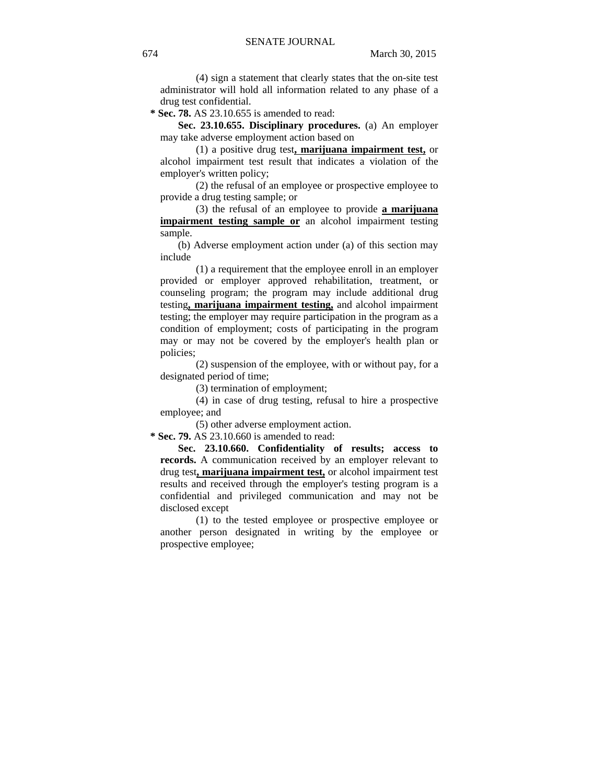(4) sign a statement that clearly states that the on-site test administrator will hold all information related to any phase of a drug test confidential.

 **\* Sec. 78.** AS 23.10.655 is amended to read:

**Sec. 23.10.655. Disciplinary procedures.** (a) An employer may take adverse employment action based on

(1) a positive drug test**, marijuana impairment test,** or alcohol impairment test result that indicates a violation of the employer's written policy;

(2) the refusal of an employee or prospective employee to provide a drug testing sample; or

(3) the refusal of an employee to provide **a marijuana impairment testing sample or** an alcohol impairment testing sample.

(b) Adverse employment action under (a) of this section may include

(1) a requirement that the employee enroll in an employer provided or employer approved rehabilitation, treatment, or counseling program; the program may include additional drug testing**, marijuana impairment testing,** and alcohol impairment testing; the employer may require participation in the program as a condition of employment; costs of participating in the program may or may not be covered by the employer's health plan or policies;

(2) suspension of the employee, with or without pay, for a designated period of time;

(3) termination of employment;

(4) in case of drug testing, refusal to hire a prospective employee; and

(5) other adverse employment action.

 **\* Sec. 79.** AS 23.10.660 is amended to read:

**Sec. 23.10.660. Confidentiality of results; access to records.** A communication received by an employer relevant to drug test**, marijuana impairment test,** or alcohol impairment test results and received through the employer's testing program is a confidential and privileged communication and may not be disclosed except

(1) to the tested employee or prospective employee or another person designated in writing by the employee or prospective employee;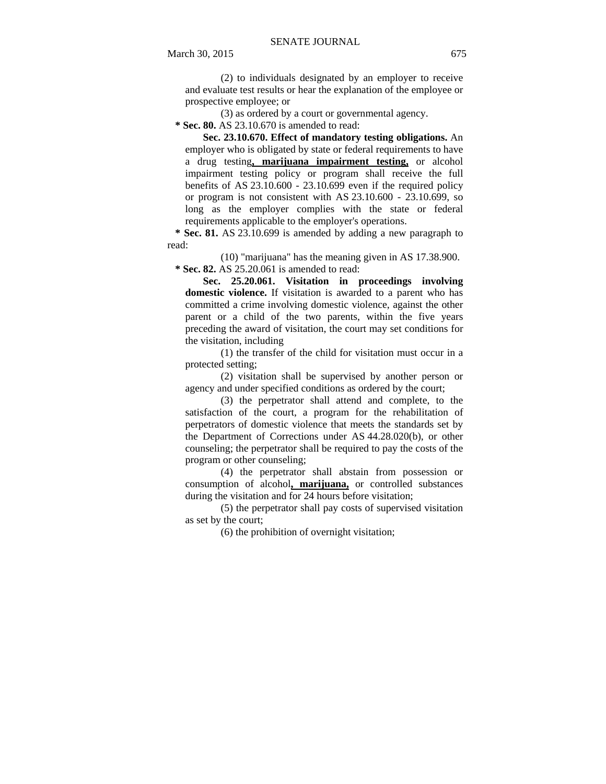(2) to individuals designated by an employer to receive and evaluate test results or hear the explanation of the employee or prospective employee; or

(3) as ordered by a court or governmental agency.

 **\* Sec. 80.** AS 23.10.670 is amended to read:

**Sec. 23.10.670. Effect of mandatory testing obligations.** An employer who is obligated by state or federal requirements to have a drug testing**, marijuana impairment testing,** or alcohol impairment testing policy or program shall receive the full benefits of AS 23.10.600 - 23.10.699 even if the required policy or program is not consistent with AS 23.10.600 - 23.10.699, so long as the employer complies with the state or federal requirements applicable to the employer's operations.

 **\* Sec. 81.** AS 23.10.699 is amended by adding a new paragraph to read:

(10) "marijuana" has the meaning given in AS 17.38.900.  **\* Sec. 82.** AS 25.20.061 is amended to read:

**Sec. 25.20.061. Visitation in proceedings involving domestic violence.** If visitation is awarded to a parent who has committed a crime involving domestic violence, against the other parent or a child of the two parents, within the five years preceding the award of visitation, the court may set conditions for the visitation, including

(1) the transfer of the child for visitation must occur in a protected setting;

(2) visitation shall be supervised by another person or agency and under specified conditions as ordered by the court;

(3) the perpetrator shall attend and complete, to the satisfaction of the court, a program for the rehabilitation of perpetrators of domestic violence that meets the standards set by the Department of Corrections under AS 44.28.020(b), or other counseling; the perpetrator shall be required to pay the costs of the program or other counseling;

(4) the perpetrator shall abstain from possession or consumption of alcohol**, marijuana,** or controlled substances during the visitation and for 24 hours before visitation;

(5) the perpetrator shall pay costs of supervised visitation as set by the court;

(6) the prohibition of overnight visitation;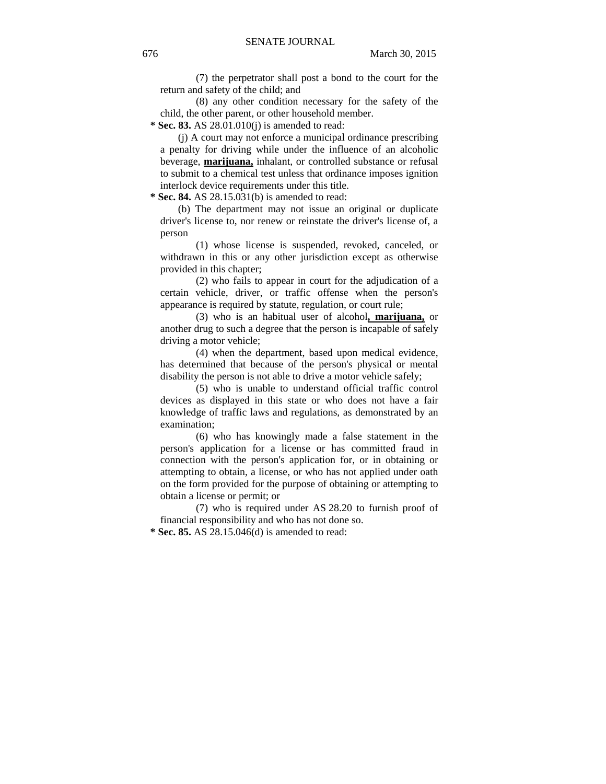(7) the perpetrator shall post a bond to the court for the return and safety of the child; and

(8) any other condition necessary for the safety of the child, the other parent, or other household member.

 **\* Sec. 83.** AS 28.01.010(j) is amended to read:

(j) A court may not enforce a municipal ordinance prescribing a penalty for driving while under the influence of an alcoholic beverage, **marijuana,** inhalant, or controlled substance or refusal to submit to a chemical test unless that ordinance imposes ignition interlock device requirements under this title.

 **\* Sec. 84.** AS 28.15.031(b) is amended to read:

(b) The department may not issue an original or duplicate driver's license to, nor renew or reinstate the driver's license of, a person

(1) whose license is suspended, revoked, canceled, or withdrawn in this or any other jurisdiction except as otherwise provided in this chapter;

(2) who fails to appear in court for the adjudication of a certain vehicle, driver, or traffic offense when the person's appearance is required by statute, regulation, or court rule;

(3) who is an habitual user of alcohol**, marijuana,** or another drug to such a degree that the person is incapable of safely driving a motor vehicle;

(4) when the department, based upon medical evidence, has determined that because of the person's physical or mental disability the person is not able to drive a motor vehicle safely;

(5) who is unable to understand official traffic control devices as displayed in this state or who does not have a fair knowledge of traffic laws and regulations, as demonstrated by an examination;

(6) who has knowingly made a false statement in the person's application for a license or has committed fraud in connection with the person's application for, or in obtaining or attempting to obtain, a license, or who has not applied under oath on the form provided for the purpose of obtaining or attempting to obtain a license or permit; or

(7) who is required under AS 28.20 to furnish proof of financial responsibility and who has not done so.

 **\* Sec. 85.** AS 28.15.046(d) is amended to read: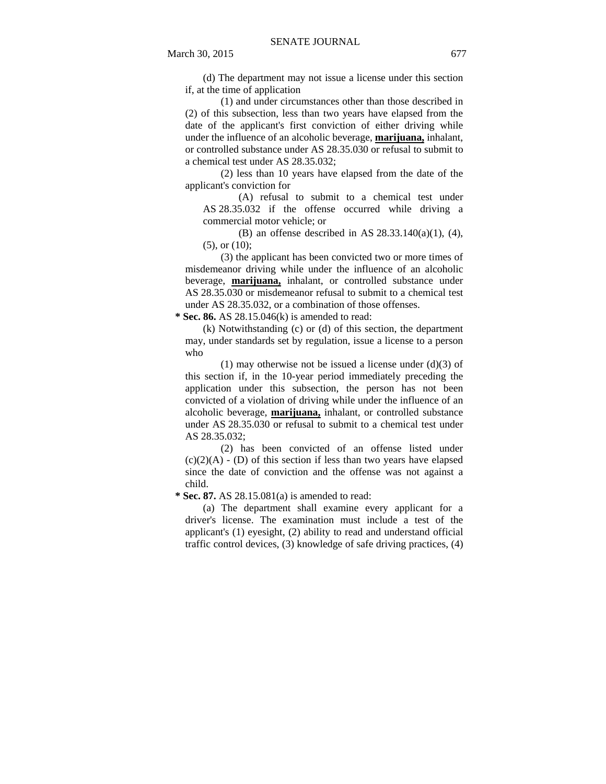(d) The department may not issue a license under this section if, at the time of application

(1) and under circumstances other than those described in (2) of this subsection, less than two years have elapsed from the date of the applicant's first conviction of either driving while under the influence of an alcoholic beverage, **marijuana,** inhalant, or controlled substance under AS 28.35.030 or refusal to submit to a chemical test under AS 28.35.032;

(2) less than 10 years have elapsed from the date of the applicant's conviction for

(A) refusal to submit to a chemical test under AS 28.35.032 if the offense occurred while driving a commercial motor vehicle; or

(B) an offense described in AS 28.33.140(a)(1), (4), (5), or (10);

(3) the applicant has been convicted two or more times of misdemeanor driving while under the influence of an alcoholic beverage, **marijuana,** inhalant, or controlled substance under AS 28.35.030 or misdemeanor refusal to submit to a chemical test under AS 28.35.032, or a combination of those offenses.

 **\* Sec. 86.** AS 28.15.046(k) is amended to read:

(k) Notwithstanding (c) or (d) of this section, the department may, under standards set by regulation, issue a license to a person who

(1) may otherwise not be issued a license under  $(d)(3)$  of this section if, in the 10-year period immediately preceding the application under this subsection, the person has not been convicted of a violation of driving while under the influence of an alcoholic beverage, **marijuana,** inhalant, or controlled substance under AS 28.35.030 or refusal to submit to a chemical test under AS 28.35.032;

(2) has been convicted of an offense listed under  $(c)(2)(A) - (D)$  of this section if less than two years have elapsed since the date of conviction and the offense was not against a child.

 **\* Sec. 87.** AS 28.15.081(a) is amended to read:

(a) The department shall examine every applicant for a driver's license. The examination must include a test of the applicant's (1) eyesight, (2) ability to read and understand official traffic control devices, (3) knowledge of safe driving practices, (4)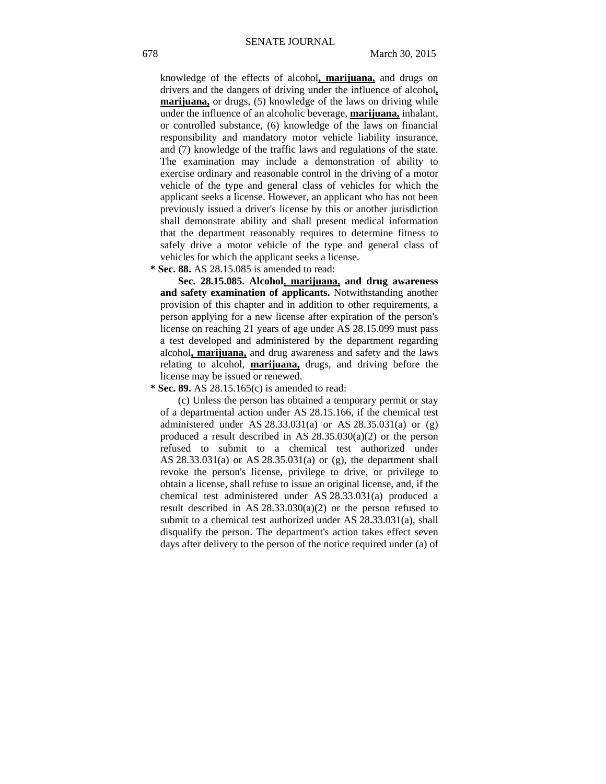knowledge of the effects of alcohol**, marijuana,** and drugs on drivers and the dangers of driving under the influence of alcohol**, marijuana,** or drugs, (5) knowledge of the laws on driving while under the influence of an alcoholic beverage, **marijuana,** inhalant, or controlled substance, (6) knowledge of the laws on financial responsibility and mandatory motor vehicle liability insurance, and (7) knowledge of the traffic laws and regulations of the state. The examination may include a demonstration of ability to exercise ordinary and reasonable control in the driving of a motor vehicle of the type and general class of vehicles for which the applicant seeks a license. However, an applicant who has not been previously issued a driver's license by this or another jurisdiction shall demonstrate ability and shall present medical information that the department reasonably requires to determine fitness to safely drive a motor vehicle of the type and general class of vehicles for which the applicant seeks a license.

 **\* Sec. 88.** AS 28.15.085 is amended to read:

**Sec. 28.15.085. Alcohol, marijuana, and drug awareness and safety examination of applicants.** Notwithstanding another provision of this chapter and in addition to other requirements, a person applying for a new license after expiration of the person's license on reaching 21 years of age under AS 28.15.099 must pass a test developed and administered by the department regarding alcohol**, marijuana,** and drug awareness and safety and the laws relating to alcohol, **marijuana,** drugs, and driving before the license may be issued or renewed.

 **\* Sec. 89.** AS 28.15.165(c) is amended to read:

(c) Unless the person has obtained a temporary permit or stay of a departmental action under AS 28.15.166, if the chemical test administered under AS 28.33.031(a) or AS 28.35.031(a) or (g) produced a result described in AS  $28.35.030(a)(2)$  or the person refused to submit to a chemical test authorized under AS 28.33.031(a) or AS 28.35.031(a) or (g), the department shall revoke the person's license, privilege to drive, or privilege to obtain a license, shall refuse to issue an original license, and, if the chemical test administered under AS 28.33.031(a) produced a result described in AS 28.33.030(a)(2) or the person refused to submit to a chemical test authorized under AS 28.33.031(a), shall disqualify the person. The department's action takes effect seven days after delivery to the person of the notice required under (a) of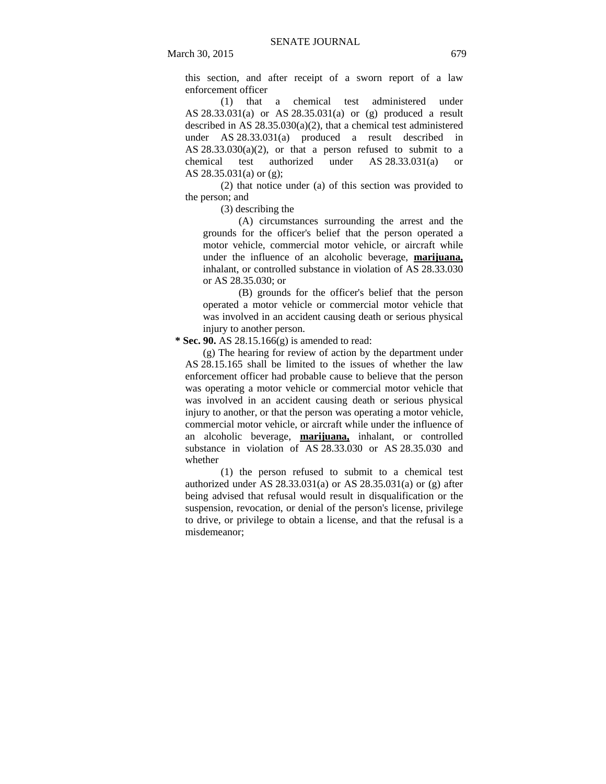March 30, 2015 679

this section, and after receipt of a sworn report of a law enforcement officer

(1) that a chemical test administered under AS 28.33.031(a) or AS 28.35.031(a) or (g) produced a result described in AS 28.35.030(a)(2), that a chemical test administered under AS 28.33.031(a) produced a result described in AS  $28.33.030(a)(2)$ , or that a person refused to submit to a chemical test authorized under AS 28.33.031(a) or AS 28.35.031(a) or (g);

(2) that notice under (a) of this section was provided to the person; and

(3) describing the

(A) circumstances surrounding the arrest and the grounds for the officer's belief that the person operated a motor vehicle, commercial motor vehicle, or aircraft while under the influence of an alcoholic beverage, **marijuana,** inhalant, or controlled substance in violation of AS 28.33.030 or AS 28.35.030; or

(B) grounds for the officer's belief that the person operated a motor vehicle or commercial motor vehicle that was involved in an accident causing death or serious physical injury to another person.

 **\* Sec. 90.** AS 28.15.166(g) is amended to read:

(g) The hearing for review of action by the department under AS 28.15.165 shall be limited to the issues of whether the law enforcement officer had probable cause to believe that the person was operating a motor vehicle or commercial motor vehicle that was involved in an accident causing death or serious physical injury to another, or that the person was operating a motor vehicle, commercial motor vehicle, or aircraft while under the influence of an alcoholic beverage, **marijuana,** inhalant, or controlled substance in violation of AS 28.33.030 or AS 28.35.030 and whether

(1) the person refused to submit to a chemical test authorized under AS  $28.33.031(a)$  or AS  $28.35.031(a)$  or (g) after being advised that refusal would result in disqualification or the suspension, revocation, or denial of the person's license, privilege to drive, or privilege to obtain a license, and that the refusal is a misdemeanor;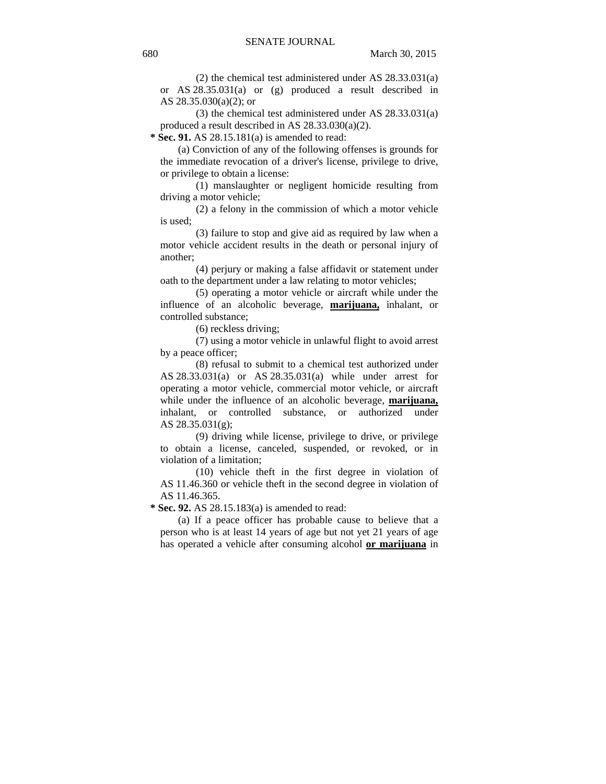(2) the chemical test administered under AS 28.33.031(a) or AS 28.35.031(a) or (g) produced a result described in AS 28.35.030(a)(2); or

(3) the chemical test administered under AS 28.33.031(a) produced a result described in AS 28.33.030(a)(2).

 **\* Sec. 91.** AS 28.15.181(a) is amended to read:

(a) Conviction of any of the following offenses is grounds for the immediate revocation of a driver's license, privilege to drive, or privilege to obtain a license:

(1) manslaughter or negligent homicide resulting from driving a motor vehicle;

(2) a felony in the commission of which a motor vehicle is used;

(3) failure to stop and give aid as required by law when a motor vehicle accident results in the death or personal injury of another;

(4) perjury or making a false affidavit or statement under oath to the department under a law relating to motor vehicles;

(5) operating a motor vehicle or aircraft while under the influence of an alcoholic beverage, **marijuana,** inhalant, or controlled substance;

(6) reckless driving;

(7) using a motor vehicle in unlawful flight to avoid arrest by a peace officer;

(8) refusal to submit to a chemical test authorized under AS 28.33.031(a) or AS 28.35.031(a) while under arrest for operating a motor vehicle, commercial motor vehicle, or aircraft while under the influence of an alcoholic beverage, **marijuana,** inhalant, or controlled substance, or authorized under AS 28.35.031(g);

(9) driving while license, privilege to drive, or privilege to obtain a license, canceled, suspended, or revoked, or in violation of a limitation;

(10) vehicle theft in the first degree in violation of AS 11.46.360 or vehicle theft in the second degree in violation of AS 11.46.365.

 **\* Sec. 92.** AS 28.15.183(a) is amended to read:

(a) If a peace officer has probable cause to believe that a person who is at least 14 years of age but not yet 21 years of age has operated a vehicle after consuming alcohol **or marijuana** in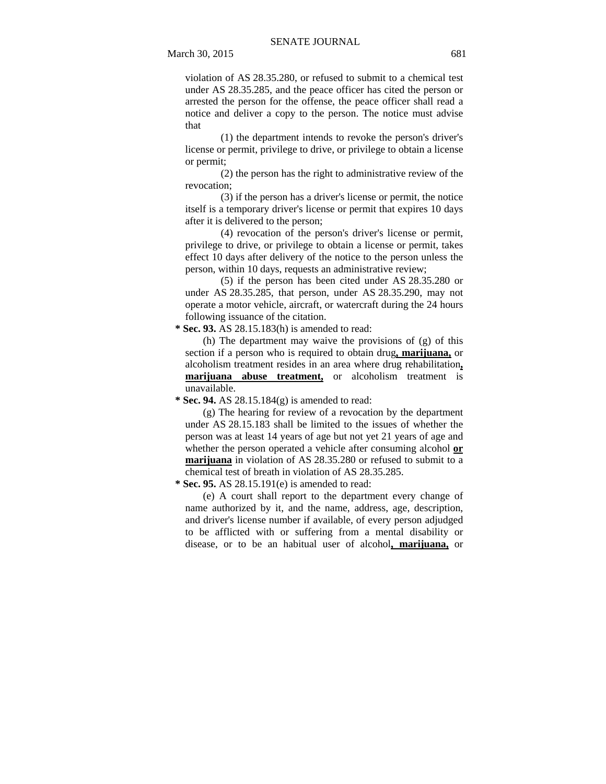violation of AS 28.35.280, or refused to submit to a chemical test under AS 28.35.285, and the peace officer has cited the person or arrested the person for the offense, the peace officer shall read a notice and deliver a copy to the person. The notice must advise that

(1) the department intends to revoke the person's driver's license or permit, privilege to drive, or privilege to obtain a license or permit;

(2) the person has the right to administrative review of the revocation;

(3) if the person has a driver's license or permit, the notice itself is a temporary driver's license or permit that expires 10 days after it is delivered to the person;

(4) revocation of the person's driver's license or permit, privilege to drive, or privilege to obtain a license or permit, takes effect 10 days after delivery of the notice to the person unless the person, within 10 days, requests an administrative review;

(5) if the person has been cited under AS 28.35.280 or under AS 28.35.285, that person, under AS 28.35.290, may not operate a motor vehicle, aircraft, or watercraft during the 24 hours following issuance of the citation.

 **\* Sec. 93.** AS 28.15.183(h) is amended to read:

(h) The department may waive the provisions of (g) of this section if a person who is required to obtain drug**, marijuana,** or alcoholism treatment resides in an area where drug rehabilitation**, marijuana abuse treatment,** or alcoholism treatment is unavailable.

 **\* Sec. 94.** AS 28.15.184(g) is amended to read:

(g) The hearing for review of a revocation by the department under AS 28.15.183 shall be limited to the issues of whether the person was at least 14 years of age but not yet 21 years of age and whether the person operated a vehicle after consuming alcohol **or marijuana** in violation of AS 28.35.280 or refused to submit to a chemical test of breath in violation of AS 28.35.285.

 **\* Sec. 95.** AS 28.15.191(e) is amended to read:

(e) A court shall report to the department every change of name authorized by it, and the name, address, age, description, and driver's license number if available, of every person adjudged to be afflicted with or suffering from a mental disability or disease, or to be an habitual user of alcohol**, marijuana,** or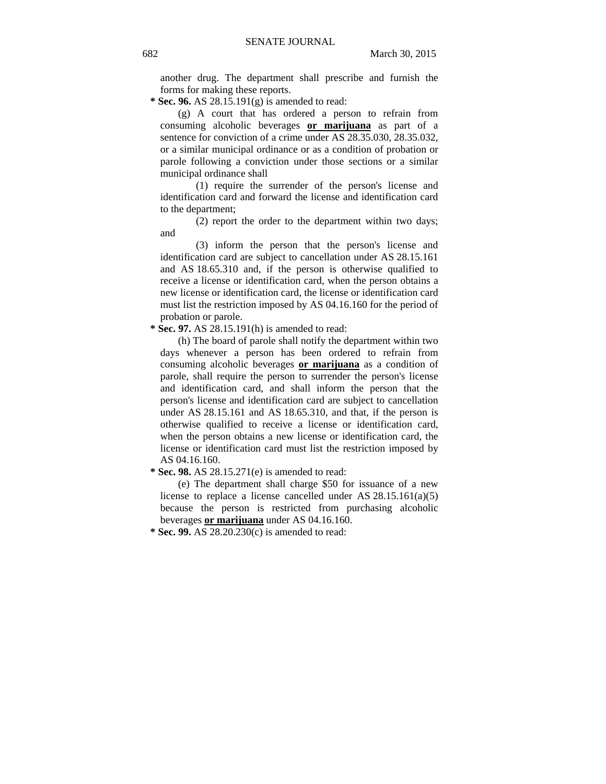another drug. The department shall prescribe and furnish the forms for making these reports.

 **\* Sec. 96.** AS 28.15.191(g) is amended to read:

(g) A court that has ordered a person to refrain from consuming alcoholic beverages **or marijuana** as part of a sentence for conviction of a crime under AS 28.35.030, 28.35.032, or a similar municipal ordinance or as a condition of probation or parole following a conviction under those sections or a similar municipal ordinance shall

(1) require the surrender of the person's license and identification card and forward the license and identification card to the department;

(2) report the order to the department within two days; and

(3) inform the person that the person's license and identification card are subject to cancellation under AS 28.15.161 and AS 18.65.310 and, if the person is otherwise qualified to receive a license or identification card, when the person obtains a new license or identification card, the license or identification card must list the restriction imposed by AS 04.16.160 for the period of probation or parole.

 **\* Sec. 97.** AS 28.15.191(h) is amended to read:

(h) The board of parole shall notify the department within two days whenever a person has been ordered to refrain from consuming alcoholic beverages **or marijuana** as a condition of parole, shall require the person to surrender the person's license and identification card, and shall inform the person that the person's license and identification card are subject to cancellation under AS 28.15.161 and AS 18.65.310, and that, if the person is otherwise qualified to receive a license or identification card, when the person obtains a new license or identification card, the license or identification card must list the restriction imposed by AS 04.16.160.

 **\* Sec. 98.** AS 28.15.271(e) is amended to read:

(e) The department shall charge \$50 for issuance of a new license to replace a license cancelled under AS 28.15.161(a)(5) because the person is restricted from purchasing alcoholic beverages **or marijuana** under AS 04.16.160.

 **\* Sec. 99.** AS 28.20.230(c) is amended to read: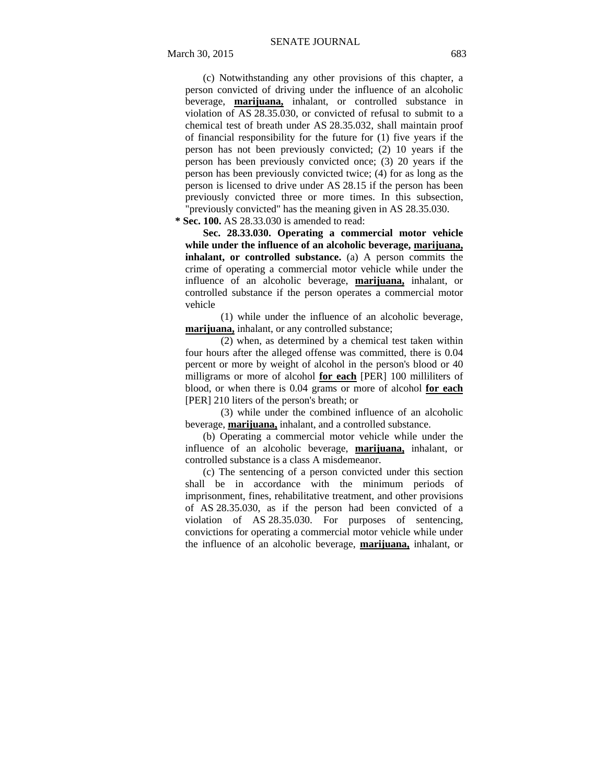(c) Notwithstanding any other provisions of this chapter, a person convicted of driving under the influence of an alcoholic beverage, **marijuana,** inhalant, or controlled substance in violation of AS 28.35.030, or convicted of refusal to submit to a chemical test of breath under AS 28.35.032, shall maintain proof of financial responsibility for the future for (1) five years if the person has not been previously convicted; (2) 10 years if the person has been previously convicted once; (3) 20 years if the person has been previously convicted twice; (4) for as long as the person is licensed to drive under AS 28.15 if the person has been previously convicted three or more times. In this subsection, "previously convicted" has the meaning given in AS 28.35.030.

 **\* Sec. 100.** AS 28.33.030 is amended to read:

**Sec. 28.33.030. Operating a commercial motor vehicle while under the influence of an alcoholic beverage, marijuana, inhalant, or controlled substance.** (a) A person commits the crime of operating a commercial motor vehicle while under the influence of an alcoholic beverage, **marijuana,** inhalant, or controlled substance if the person operates a commercial motor vehicle

(1) while under the influence of an alcoholic beverage, **marijuana,** inhalant, or any controlled substance;

(2) when, as determined by a chemical test taken within four hours after the alleged offense was committed, there is 0.04 percent or more by weight of alcohol in the person's blood or 40 milligrams or more of alcohol **for each** [PER] 100 milliliters of blood, or when there is 0.04 grams or more of alcohol **for each** [PER] 210 liters of the person's breath; or

(3) while under the combined influence of an alcoholic beverage, **marijuana,** inhalant, and a controlled substance.

(b) Operating a commercial motor vehicle while under the influence of an alcoholic beverage, **marijuana,** inhalant, or controlled substance is a class A misdemeanor.

(c) The sentencing of a person convicted under this section shall be in accordance with the minimum periods of imprisonment, fines, rehabilitative treatment, and other provisions of AS 28.35.030, as if the person had been convicted of a violation of AS 28.35.030. For purposes of sentencing, convictions for operating a commercial motor vehicle while under the influence of an alcoholic beverage, **marijuana,** inhalant, or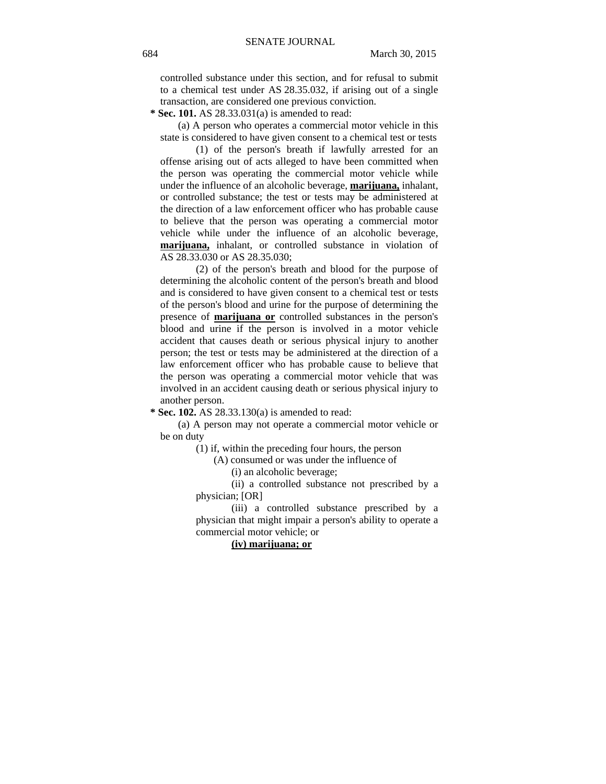controlled substance under this section, and for refusal to submit to a chemical test under AS 28.35.032, if arising out of a single transaction, are considered one previous conviction.

 **\* Sec. 101.** AS 28.33.031(a) is amended to read:

(a) A person who operates a commercial motor vehicle in this state is considered to have given consent to a chemical test or tests

(1) of the person's breath if lawfully arrested for an offense arising out of acts alleged to have been committed when the person was operating the commercial motor vehicle while under the influence of an alcoholic beverage, **marijuana,** inhalant, or controlled substance; the test or tests may be administered at the direction of a law enforcement officer who has probable cause to believe that the person was operating a commercial motor vehicle while under the influence of an alcoholic beverage, **marijuana,** inhalant, or controlled substance in violation of AS 28.33.030 or AS 28.35.030;

(2) of the person's breath and blood for the purpose of determining the alcoholic content of the person's breath and blood and is considered to have given consent to a chemical test or tests of the person's blood and urine for the purpose of determining the presence of **marijuana or** controlled substances in the person's blood and urine if the person is involved in a motor vehicle accident that causes death or serious physical injury to another person; the test or tests may be administered at the direction of a law enforcement officer who has probable cause to believe that the person was operating a commercial motor vehicle that was involved in an accident causing death or serious physical injury to another person.

 **\* Sec. 102.** AS 28.33.130(a) is amended to read:

(a) A person may not operate a commercial motor vehicle or be on duty

(1) if, within the preceding four hours, the person

(A) consumed or was under the influence of

(i) an alcoholic beverage;

(ii) a controlled substance not prescribed by a physician; [OR]

(iii) a controlled substance prescribed by a physician that might impair a person's ability to operate a commercial motor vehicle; or

**(iv) marijuana; or**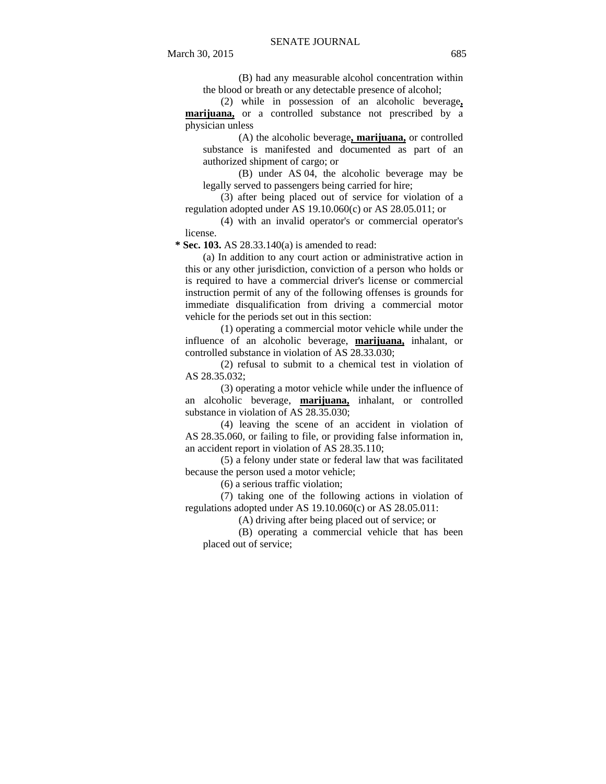(B) had any measurable alcohol concentration within the blood or breath or any detectable presence of alcohol;

(2) while in possession of an alcoholic beverage**, marijuana,** or a controlled substance not prescribed by a physician unless

(A) the alcoholic beverage**, marijuana,** or controlled substance is manifested and documented as part of an authorized shipment of cargo; or

(B) under AS 04, the alcoholic beverage may be legally served to passengers being carried for hire;

(3) after being placed out of service for violation of a regulation adopted under AS 19.10.060(c) or AS 28.05.011; or

(4) with an invalid operator's or commercial operator's license.

 **\* Sec. 103.** AS 28.33.140(a) is amended to read:

(a) In addition to any court action or administrative action in this or any other jurisdiction, conviction of a person who holds or is required to have a commercial driver's license or commercial instruction permit of any of the following offenses is grounds for immediate disqualification from driving a commercial motor vehicle for the periods set out in this section:

(1) operating a commercial motor vehicle while under the influence of an alcoholic beverage, **marijuana,** inhalant, or controlled substance in violation of AS 28.33.030;

(2) refusal to submit to a chemical test in violation of AS 28.35.032;

(3) operating a motor vehicle while under the influence of an alcoholic beverage, **marijuana,** inhalant, or controlled substance in violation of AS 28.35.030;

(4) leaving the scene of an accident in violation of AS 28.35.060, or failing to file, or providing false information in, an accident report in violation of AS 28.35.110;

(5) a felony under state or federal law that was facilitated because the person used a motor vehicle;

(6) a serious traffic violation;

(7) taking one of the following actions in violation of regulations adopted under AS 19.10.060(c) or AS 28.05.011:

(A) driving after being placed out of service; or

(B) operating a commercial vehicle that has been placed out of service;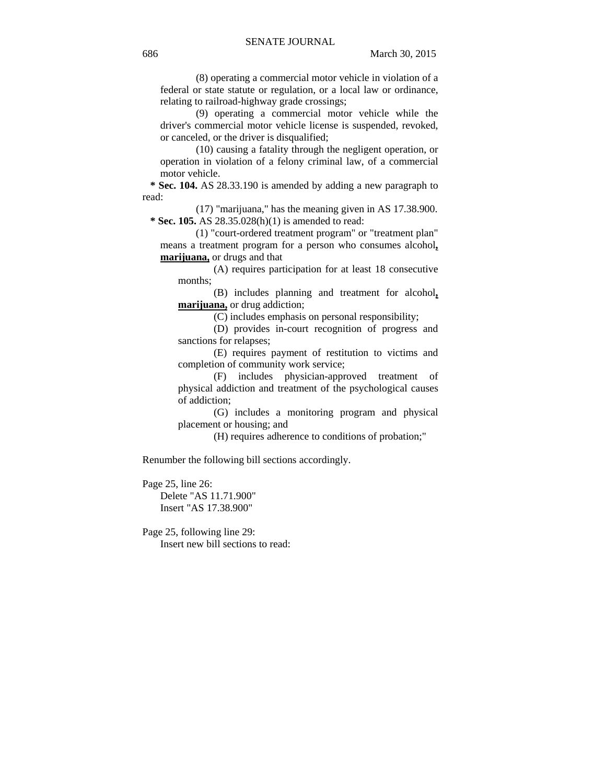(8) operating a commercial motor vehicle in violation of a federal or state statute or regulation, or a local law or ordinance, relating to railroad-highway grade crossings;

(9) operating a commercial motor vehicle while the driver's commercial motor vehicle license is suspended, revoked, or canceled, or the driver is disqualified;

(10) causing a fatality through the negligent operation, or operation in violation of a felony criminal law, of a commercial motor vehicle.

 **\* Sec. 104.** AS 28.33.190 is amended by adding a new paragraph to read:

(17) "marijuana," has the meaning given in AS 17.38.900.  **\* Sec. 105.** AS 28.35.028(h)(1) is amended to read:

(1) "court-ordered treatment program" or "treatment plan" means a treatment program for a person who consumes alcohol**, marijuana,** or drugs and that

(A) requires participation for at least 18 consecutive months;

(B) includes planning and treatment for alcohol**, marijuana,** or drug addiction;

(C) includes emphasis on personal responsibility;

(D) provides in-court recognition of progress and sanctions for relapses;

(E) requires payment of restitution to victims and completion of community work service;

(F) includes physician-approved treatment of physical addiction and treatment of the psychological causes of addiction;

(G) includes a monitoring program and physical placement or housing; and

(H) requires adherence to conditions of probation;"

Renumber the following bill sections accordingly.

Page 25, line 26: Delete "AS 11.71.900" Insert "AS 17.38.900"

Page 25, following line 29: Insert new bill sections to read: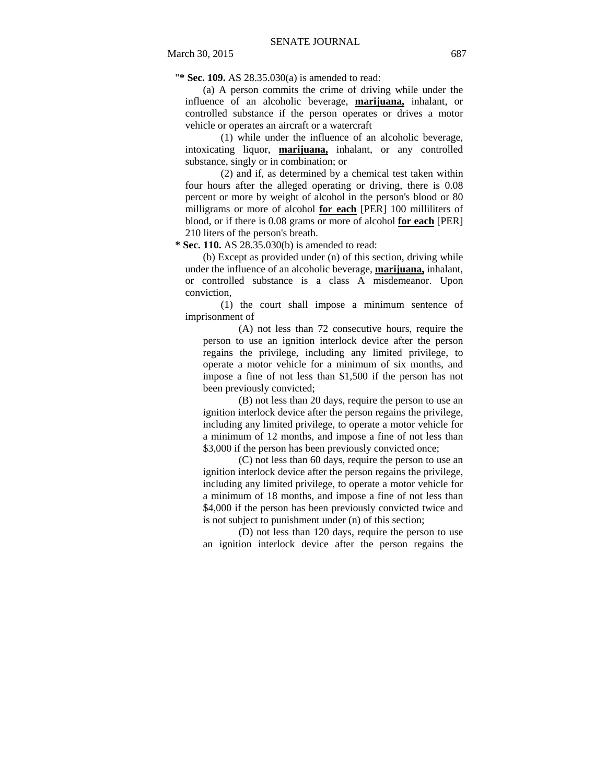"**\* Sec. 109.** AS 28.35.030(a) is amended to read:

(a) A person commits the crime of driving while under the influence of an alcoholic beverage, **marijuana,** inhalant, or controlled substance if the person operates or drives a motor vehicle or operates an aircraft or a watercraft

(1) while under the influence of an alcoholic beverage, intoxicating liquor, **marijuana,** inhalant, or any controlled substance, singly or in combination; or

(2) and if, as determined by a chemical test taken within four hours after the alleged operating or driving, there is 0.08 percent or more by weight of alcohol in the person's blood or 80 milligrams or more of alcohol **for each** [PER] 100 milliliters of blood, or if there is 0.08 grams or more of alcohol **for each** [PER] 210 liters of the person's breath.

 **\* Sec. 110.** AS 28.35.030(b) is amended to read:

(b) Except as provided under (n) of this section, driving while under the influence of an alcoholic beverage, **marijuana,** inhalant, or controlled substance is a class A misdemeanor. Upon conviction,

(1) the court shall impose a minimum sentence of imprisonment of

(A) not less than 72 consecutive hours, require the person to use an ignition interlock device after the person regains the privilege, including any limited privilege, to operate a motor vehicle for a minimum of six months, and impose a fine of not less than \$1,500 if the person has not been previously convicted;

(B) not less than 20 days, require the person to use an ignition interlock device after the person regains the privilege, including any limited privilege, to operate a motor vehicle for a minimum of 12 months, and impose a fine of not less than \$3,000 if the person has been previously convicted once;

(C) not less than 60 days, require the person to use an ignition interlock device after the person regains the privilege, including any limited privilege, to operate a motor vehicle for a minimum of 18 months, and impose a fine of not less than \$4,000 if the person has been previously convicted twice and is not subject to punishment under (n) of this section;

(D) not less than 120 days, require the person to use an ignition interlock device after the person regains the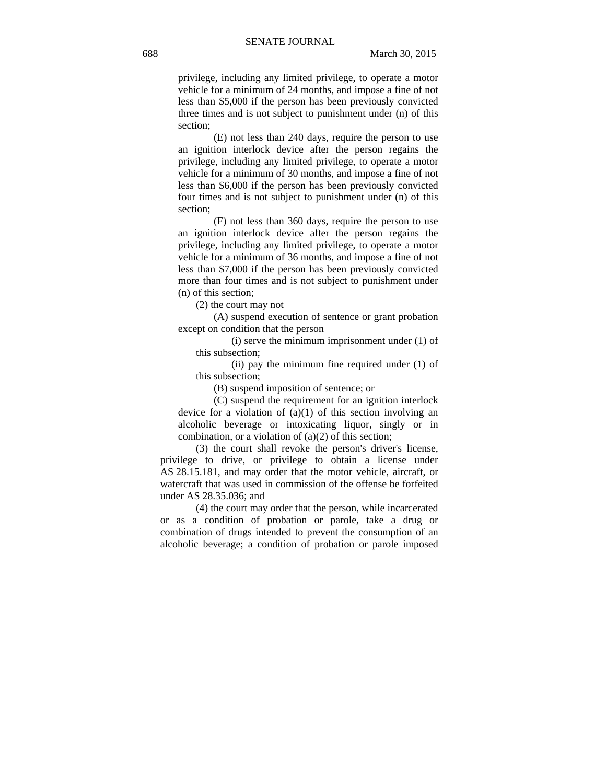privilege, including any limited privilege, to operate a motor vehicle for a minimum of 24 months, and impose a fine of not less than \$5,000 if the person has been previously convicted three times and is not subject to punishment under (n) of this section;

(E) not less than 240 days, require the person to use an ignition interlock device after the person regains the privilege, including any limited privilege, to operate a motor vehicle for a minimum of 30 months, and impose a fine of not less than \$6,000 if the person has been previously convicted four times and is not subject to punishment under (n) of this section;

(F) not less than 360 days, require the person to use an ignition interlock device after the person regains the privilege, including any limited privilege, to operate a motor vehicle for a minimum of 36 months, and impose a fine of not less than \$7,000 if the person has been previously convicted more than four times and is not subject to punishment under (n) of this section;

(2) the court may not

(A) suspend execution of sentence or grant probation except on condition that the person

(i) serve the minimum imprisonment under (1) of this subsection;

(ii) pay the minimum fine required under (1) of this subsection;

(B) suspend imposition of sentence; or

(C) suspend the requirement for an ignition interlock device for a violation of  $(a)(1)$  of this section involving an alcoholic beverage or intoxicating liquor, singly or in combination, or a violation of (a)(2) of this section;

(3) the court shall revoke the person's driver's license, privilege to drive, or privilege to obtain a license under AS 28.15.181, and may order that the motor vehicle, aircraft, or watercraft that was used in commission of the offense be forfeited under AS 28.35.036; and

(4) the court may order that the person, while incarcerated or as a condition of probation or parole, take a drug or combination of drugs intended to prevent the consumption of an alcoholic beverage; a condition of probation or parole imposed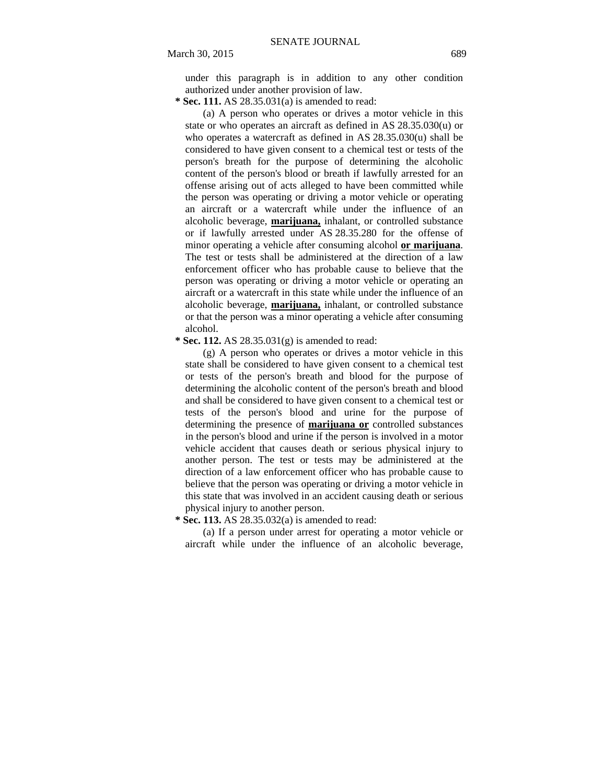under this paragraph is in addition to any other condition authorized under another provision of law.

 **\* Sec. 111.** AS 28.35.031(a) is amended to read:

(a) A person who operates or drives a motor vehicle in this state or who operates an aircraft as defined in AS 28.35.030(u) or who operates a watercraft as defined in AS 28.35.030(u) shall be considered to have given consent to a chemical test or tests of the person's breath for the purpose of determining the alcoholic content of the person's blood or breath if lawfully arrested for an offense arising out of acts alleged to have been committed while the person was operating or driving a motor vehicle or operating an aircraft or a watercraft while under the influence of an alcoholic beverage, **marijuana,** inhalant, or controlled substance or if lawfully arrested under AS 28.35.280 for the offense of minor operating a vehicle after consuming alcohol **or marijuana**. The test or tests shall be administered at the direction of a law enforcement officer who has probable cause to believe that the person was operating or driving a motor vehicle or operating an aircraft or a watercraft in this state while under the influence of an alcoholic beverage, **marijuana,** inhalant, or controlled substance or that the person was a minor operating a vehicle after consuming alcohol.

 **\* Sec. 112.** AS 28.35.031(g) is amended to read:

(g) A person who operates or drives a motor vehicle in this state shall be considered to have given consent to a chemical test or tests of the person's breath and blood for the purpose of determining the alcoholic content of the person's breath and blood and shall be considered to have given consent to a chemical test or tests of the person's blood and urine for the purpose of determining the presence of **marijuana or** controlled substances in the person's blood and urine if the person is involved in a motor vehicle accident that causes death or serious physical injury to another person. The test or tests may be administered at the direction of a law enforcement officer who has probable cause to believe that the person was operating or driving a motor vehicle in this state that was involved in an accident causing death or serious physical injury to another person.

 **\* Sec. 113.** AS 28.35.032(a) is amended to read:

(a) If a person under arrest for operating a motor vehicle or aircraft while under the influence of an alcoholic beverage,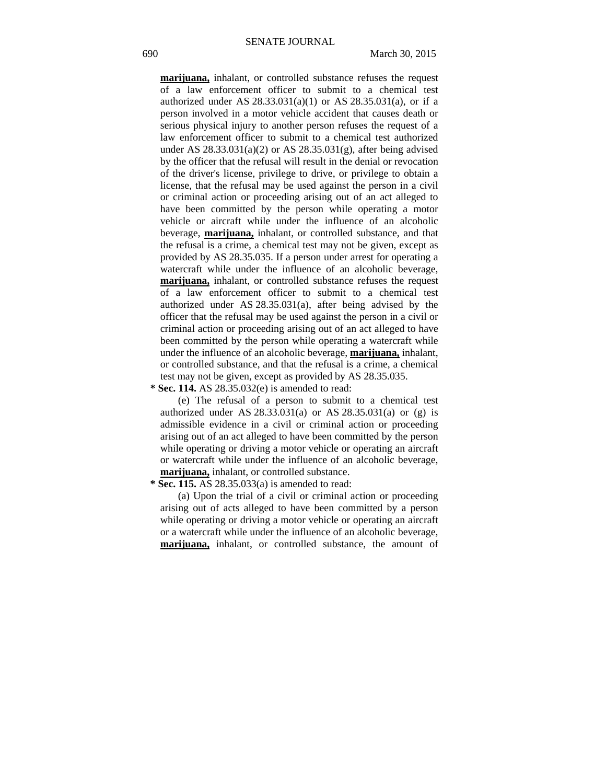**marijuana,** inhalant, or controlled substance refuses the request of a law enforcement officer to submit to a chemical test authorized under AS 28.33.031(a)(1) or AS 28.35.031(a), or if a person involved in a motor vehicle accident that causes death or serious physical injury to another person refuses the request of a law enforcement officer to submit to a chemical test authorized under AS  $28.33.031(a)(2)$  or AS  $28.35.031(g)$ , after being advised by the officer that the refusal will result in the denial or revocation of the driver's license, privilege to drive, or privilege to obtain a license, that the refusal may be used against the person in a civil or criminal action or proceeding arising out of an act alleged to have been committed by the person while operating a motor vehicle or aircraft while under the influence of an alcoholic beverage, **marijuana,** inhalant, or controlled substance, and that the refusal is a crime, a chemical test may not be given, except as provided by AS 28.35.035. If a person under arrest for operating a watercraft while under the influence of an alcoholic beverage, **marijuana,** inhalant, or controlled substance refuses the request of a law enforcement officer to submit to a chemical test authorized under AS 28.35.031(a), after being advised by the officer that the refusal may be used against the person in a civil or criminal action or proceeding arising out of an act alleged to have been committed by the person while operating a watercraft while under the influence of an alcoholic beverage, **marijuana,** inhalant, or controlled substance, and that the refusal is a crime, a chemical test may not be given, except as provided by AS 28.35.035.

 **\* Sec. 114.** AS 28.35.032(e) is amended to read:

(e) The refusal of a person to submit to a chemical test authorized under AS 28.33.031(a) or AS 28.35.031(a) or (g) is admissible evidence in a civil or criminal action or proceeding arising out of an act alleged to have been committed by the person while operating or driving a motor vehicle or operating an aircraft or watercraft while under the influence of an alcoholic beverage, **marijuana,** inhalant, or controlled substance.

 **\* Sec. 115.** AS 28.35.033(a) is amended to read:

(a) Upon the trial of a civil or criminal action or proceeding arising out of acts alleged to have been committed by a person while operating or driving a motor vehicle or operating an aircraft or a watercraft while under the influence of an alcoholic beverage, **marijuana,** inhalant, or controlled substance, the amount of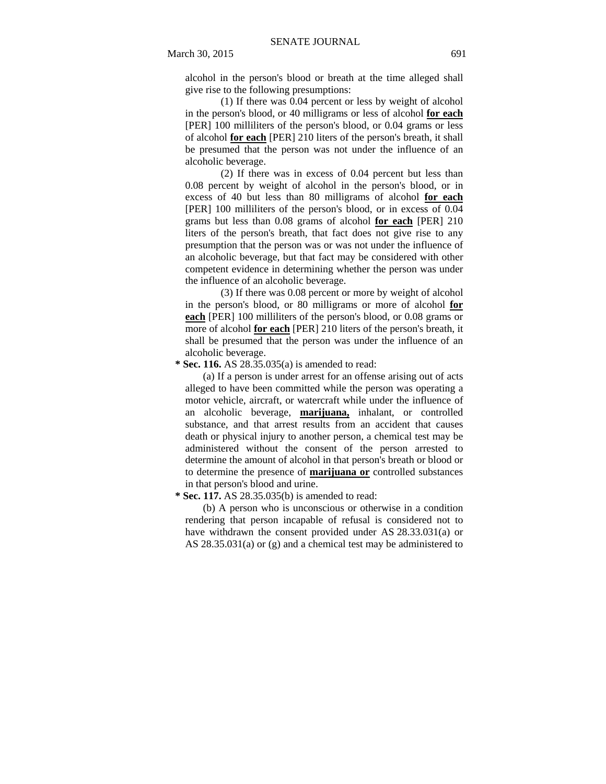alcohol in the person's blood or breath at the time alleged shall give rise to the following presumptions:

(1) If there was 0.04 percent or less by weight of alcohol in the person's blood, or 40 milligrams or less of alcohol **for each** [PER] 100 milliliters of the person's blood, or 0.04 grams or less of alcohol **for each** [PER] 210 liters of the person's breath, it shall be presumed that the person was not under the influence of an alcoholic beverage.

(2) If there was in excess of 0.04 percent but less than 0.08 percent by weight of alcohol in the person's blood, or in excess of 40 but less than 80 milligrams of alcohol **for each** [PER] 100 milliliters of the person's blood, or in excess of 0.04 grams but less than 0.08 grams of alcohol **for each** [PER] 210 liters of the person's breath, that fact does not give rise to any presumption that the person was or was not under the influence of an alcoholic beverage, but that fact may be considered with other competent evidence in determining whether the person was under the influence of an alcoholic beverage.

(3) If there was 0.08 percent or more by weight of alcohol in the person's blood, or 80 milligrams or more of alcohol **for each** [PER] 100 milliliters of the person's blood, or 0.08 grams or more of alcohol **for each** [PER] 210 liters of the person's breath, it shall be presumed that the person was under the influence of an alcoholic beverage.

 **\* Sec. 116.** AS 28.35.035(a) is amended to read:

(a) If a person is under arrest for an offense arising out of acts alleged to have been committed while the person was operating a motor vehicle, aircraft, or watercraft while under the influence of an alcoholic beverage, **marijuana,** inhalant, or controlled substance, and that arrest results from an accident that causes death or physical injury to another person, a chemical test may be administered without the consent of the person arrested to determine the amount of alcohol in that person's breath or blood or to determine the presence of **marijuana or** controlled substances in that person's blood and urine.

 **\* Sec. 117.** AS 28.35.035(b) is amended to read:

(b) A person who is unconscious or otherwise in a condition rendering that person incapable of refusal is considered not to have withdrawn the consent provided under AS 28.33.031(a) or AS 28.35.031(a) or (g) and a chemical test may be administered to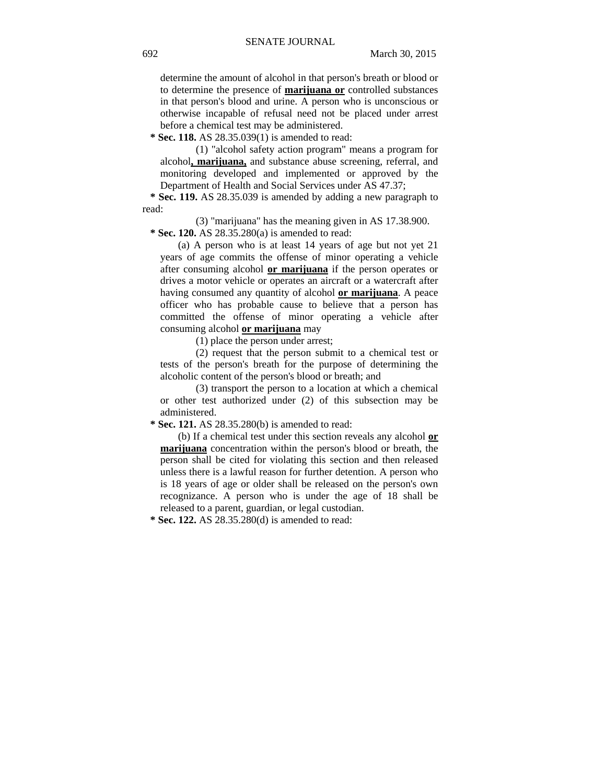determine the amount of alcohol in that person's breath or blood or to determine the presence of **marijuana or** controlled substances in that person's blood and urine. A person who is unconscious or otherwise incapable of refusal need not be placed under arrest before a chemical test may be administered.

 **\* Sec. 118.** AS 28.35.039(1) is amended to read:

(1) "alcohol safety action program" means a program for alcohol**, marijuana,** and substance abuse screening, referral, and monitoring developed and implemented or approved by the Department of Health and Social Services under AS 47.37;

 **\* Sec. 119.** AS 28.35.039 is amended by adding a new paragraph to read:

(3) "marijuana" has the meaning given in AS 17.38.900.

 **\* Sec. 120.** AS 28.35.280(a) is amended to read:

(a) A person who is at least 14 years of age but not yet 21 years of age commits the offense of minor operating a vehicle after consuming alcohol **or marijuana** if the person operates or drives a motor vehicle or operates an aircraft or a watercraft after having consumed any quantity of alcohol **or marijuana**. A peace officer who has probable cause to believe that a person has committed the offense of minor operating a vehicle after consuming alcohol **or marijuana** may

(1) place the person under arrest;

(2) request that the person submit to a chemical test or tests of the person's breath for the purpose of determining the alcoholic content of the person's blood or breath; and

(3) transport the person to a location at which a chemical or other test authorized under (2) of this subsection may be administered.

 **\* Sec. 121.** AS 28.35.280(b) is amended to read:

(b) If a chemical test under this section reveals any alcohol **or marijuana** concentration within the person's blood or breath, the person shall be cited for violating this section and then released unless there is a lawful reason for further detention. A person who is 18 years of age or older shall be released on the person's own recognizance. A person who is under the age of 18 shall be released to a parent, guardian, or legal custodian.

 **\* Sec. 122.** AS 28.35.280(d) is amended to read: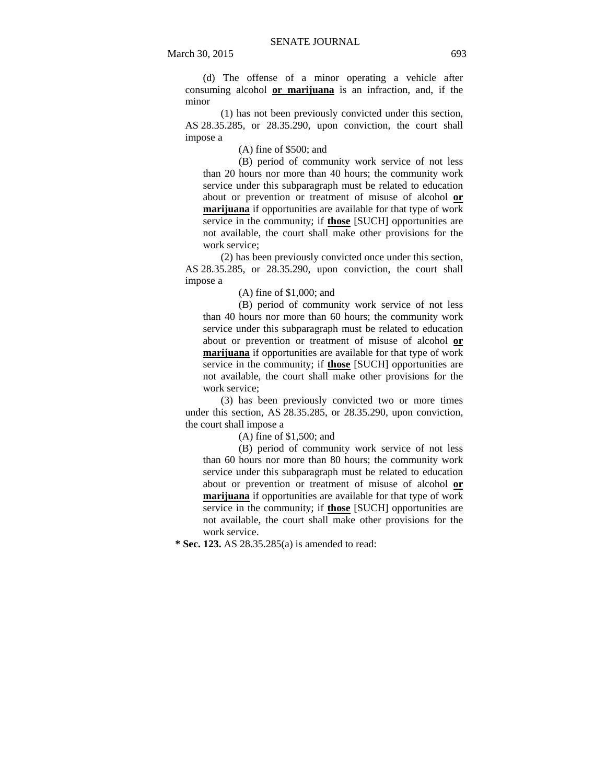(d) The offense of a minor operating a vehicle after consuming alcohol **or marijuana** is an infraction, and, if the minor

(1) has not been previously convicted under this section, AS 28.35.285, or 28.35.290, upon conviction, the court shall impose a

(A) fine of \$500; and

(B) period of community work service of not less than 20 hours nor more than 40 hours; the community work service under this subparagraph must be related to education about or prevention or treatment of misuse of alcohol **or marijuana** if opportunities are available for that type of work service in the community; if **those** [SUCH] opportunities are not available, the court shall make other provisions for the work service;

(2) has been previously convicted once under this section, AS 28.35.285, or 28.35.290, upon conviction, the court shall impose a

(A) fine of \$1,000; and

(B) period of community work service of not less than 40 hours nor more than 60 hours; the community work service under this subparagraph must be related to education about or prevention or treatment of misuse of alcohol **or marijuana** if opportunities are available for that type of work service in the community; if **those** [SUCH] opportunities are not available, the court shall make other provisions for the work service;

(3) has been previously convicted two or more times under this section, AS 28.35.285, or 28.35.290, upon conviction, the court shall impose a

(A) fine of \$1,500; and

(B) period of community work service of not less than 60 hours nor more than 80 hours; the community work service under this subparagraph must be related to education about or prevention or treatment of misuse of alcohol **or marijuana** if opportunities are available for that type of work service in the community; if **those** [SUCH] opportunities are not available, the court shall make other provisions for the work service.

 **\* Sec. 123.** AS 28.35.285(a) is amended to read: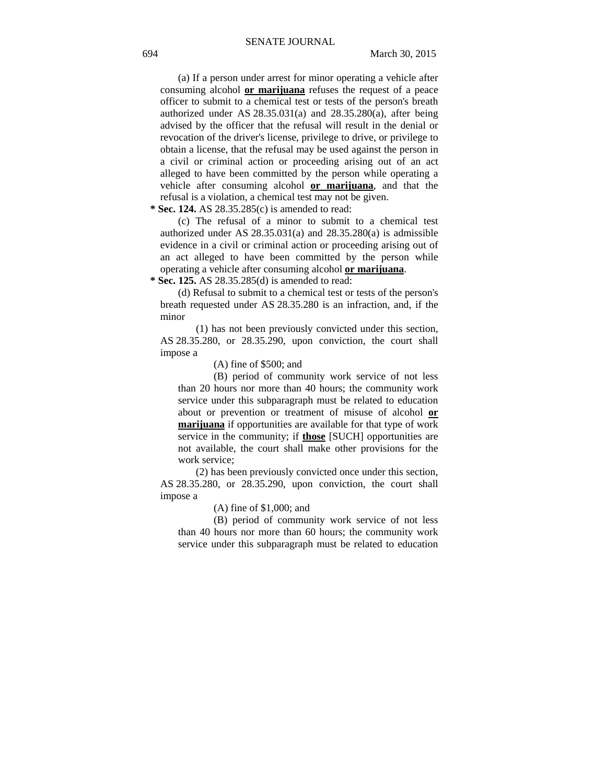(a) If a person under arrest for minor operating a vehicle after consuming alcohol **or marijuana** refuses the request of a peace officer to submit to a chemical test or tests of the person's breath authorized under AS 28.35.031(a) and 28.35.280(a), after being advised by the officer that the refusal will result in the denial or revocation of the driver's license, privilege to drive, or privilege to obtain a license, that the refusal may be used against the person in a civil or criminal action or proceeding arising out of an act alleged to have been committed by the person while operating a vehicle after consuming alcohol **or marijuana**, and that the refusal is a violation, a chemical test may not be given.

 **\* Sec. 124.** AS 28.35.285(c) is amended to read:

(c) The refusal of a minor to submit to a chemical test authorized under AS 28.35.031(a) and 28.35.280(a) is admissible evidence in a civil or criminal action or proceeding arising out of an act alleged to have been committed by the person while operating a vehicle after consuming alcohol **or marijuana**.

 **\* Sec. 125.** AS 28.35.285(d) is amended to read:

(d) Refusal to submit to a chemical test or tests of the person's breath requested under AS 28.35.280 is an infraction, and, if the minor

(1) has not been previously convicted under this section, AS 28.35.280, or 28.35.290, upon conviction, the court shall impose a

(A) fine of \$500; and

(B) period of community work service of not less than 20 hours nor more than 40 hours; the community work service under this subparagraph must be related to education about or prevention or treatment of misuse of alcohol **or marijuana** if opportunities are available for that type of work service in the community; if **those** [SUCH] opportunities are not available, the court shall make other provisions for the work service;

(2) has been previously convicted once under this section, AS 28.35.280, or 28.35.290, upon conviction, the court shall impose a

(A) fine of \$1,000; and

(B) period of community work service of not less than 40 hours nor more than 60 hours; the community work service under this subparagraph must be related to education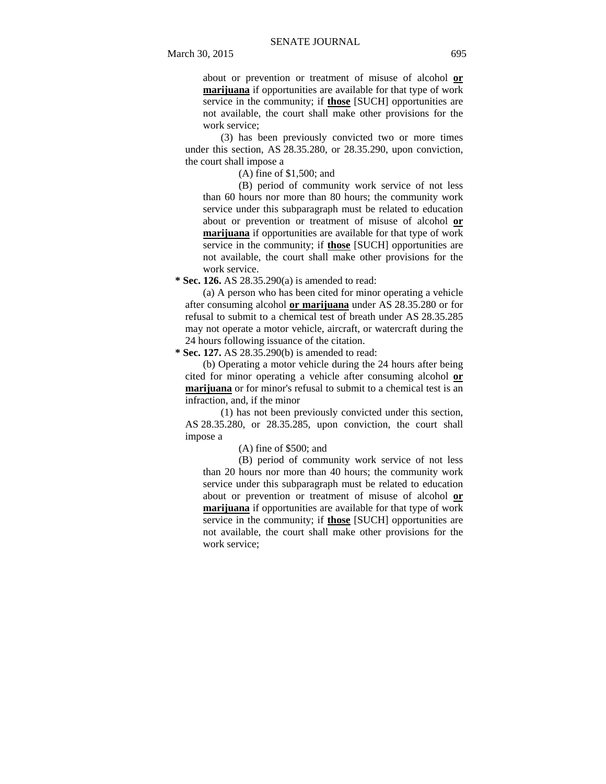about or prevention or treatment of misuse of alcohol **or marijuana** if opportunities are available for that type of work service in the community; if **those** [SUCH] opportunities are not available, the court shall make other provisions for the work service;

(3) has been previously convicted two or more times under this section, AS 28.35.280, or 28.35.290, upon conviction, the court shall impose a

(A) fine of \$1,500; and

(B) period of community work service of not less than 60 hours nor more than 80 hours; the community work service under this subparagraph must be related to education about or prevention or treatment of misuse of alcohol **or marijuana** if opportunities are available for that type of work service in the community; if **those** [SUCH] opportunities are not available, the court shall make other provisions for the work service.

 **\* Sec. 126.** AS 28.35.290(a) is amended to read:

(a) A person who has been cited for minor operating a vehicle after consuming alcohol **or marijuana** under AS 28.35.280 or for refusal to submit to a chemical test of breath under AS 28.35.285 may not operate a motor vehicle, aircraft, or watercraft during the 24 hours following issuance of the citation.

 **\* Sec. 127.** AS 28.35.290(b) is amended to read:

(b) Operating a motor vehicle during the 24 hours after being cited for minor operating a vehicle after consuming alcohol **or marijuana** or for minor's refusal to submit to a chemical test is an infraction, and, if the minor

(1) has not been previously convicted under this section, AS 28.35.280, or 28.35.285, upon conviction, the court shall impose a

(A) fine of \$500; and

(B) period of community work service of not less than 20 hours nor more than 40 hours; the community work service under this subparagraph must be related to education about or prevention or treatment of misuse of alcohol **or marijuana** if opportunities are available for that type of work service in the community; if **those** [SUCH] opportunities are not available, the court shall make other provisions for the work service;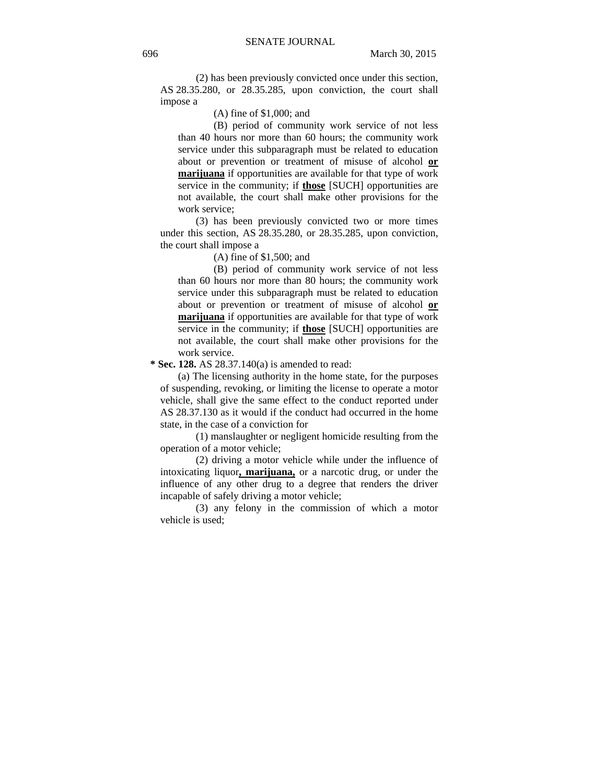(2) has been previously convicted once under this section, AS 28.35.280, or 28.35.285, upon conviction, the court shall impose a

(A) fine of \$1,000; and

(B) period of community work service of not less than 40 hours nor more than 60 hours; the community work service under this subparagraph must be related to education about or prevention or treatment of misuse of alcohol **or marijuana** if opportunities are available for that type of work service in the community; if **those** [SUCH] opportunities are not available, the court shall make other provisions for the work service;

(3) has been previously convicted two or more times under this section, AS 28.35.280, or 28.35.285, upon conviction, the court shall impose a

(A) fine of \$1,500; and

(B) period of community work service of not less than 60 hours nor more than 80 hours; the community work service under this subparagraph must be related to education about or prevention or treatment of misuse of alcohol **or marijuana** if opportunities are available for that type of work service in the community; if **those** [SUCH] opportunities are not available, the court shall make other provisions for the work service.

 **\* Sec. 128.** AS 28.37.140(a) is amended to read:

(a) The licensing authority in the home state, for the purposes of suspending, revoking, or limiting the license to operate a motor vehicle, shall give the same effect to the conduct reported under AS 28.37.130 as it would if the conduct had occurred in the home state, in the case of a conviction for

(1) manslaughter or negligent homicide resulting from the operation of a motor vehicle;

(2) driving a motor vehicle while under the influence of intoxicating liquor**, marijuana,** or a narcotic drug, or under the influence of any other drug to a degree that renders the driver incapable of safely driving a motor vehicle;

(3) any felony in the commission of which a motor vehicle is used;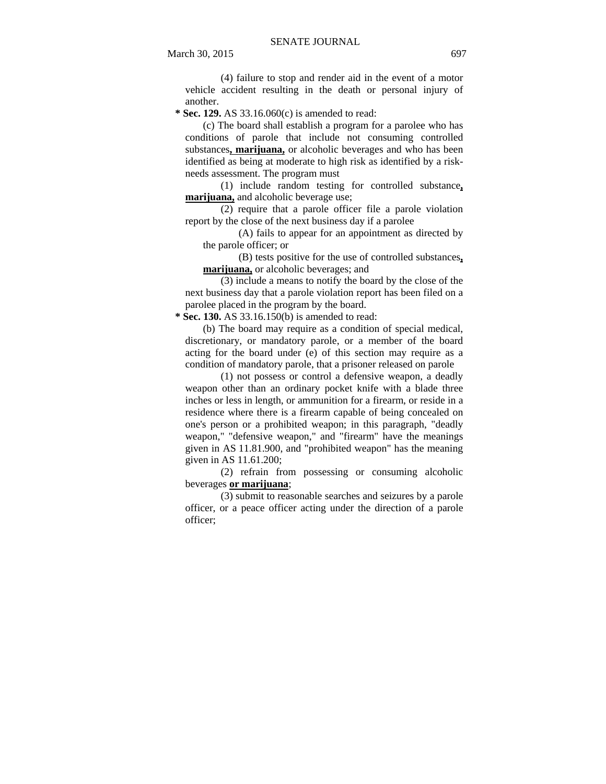(4) failure to stop and render aid in the event of a motor vehicle accident resulting in the death or personal injury of another.

 **\* Sec. 129.** AS 33.16.060(c) is amended to read:

(c) The board shall establish a program for a parolee who has conditions of parole that include not consuming controlled substances**, marijuana,** or alcoholic beverages and who has been identified as being at moderate to high risk as identified by a riskneeds assessment. The program must

(1) include random testing for controlled substance**, marijuana,** and alcoholic beverage use;

(2) require that a parole officer file a parole violation report by the close of the next business day if a parolee

(A) fails to appear for an appointment as directed by the parole officer; or

(B) tests positive for the use of controlled substances**, marijuana,** or alcoholic beverages; and

(3) include a means to notify the board by the close of the next business day that a parole violation report has been filed on a parolee placed in the program by the board.

 **\* Sec. 130.** AS 33.16.150(b) is amended to read:

(b) The board may require as a condition of special medical, discretionary, or mandatory parole, or a member of the board acting for the board under (e) of this section may require as a condition of mandatory parole, that a prisoner released on parole

(1) not possess or control a defensive weapon, a deadly weapon other than an ordinary pocket knife with a blade three inches or less in length, or ammunition for a firearm, or reside in a residence where there is a firearm capable of being concealed on one's person or a prohibited weapon; in this paragraph, "deadly weapon," "defensive weapon," and "firearm" have the meanings given in AS 11.81.900, and "prohibited weapon" has the meaning given in AS 11.61.200;

(2) refrain from possessing or consuming alcoholic beverages **or marijuana**;

(3) submit to reasonable searches and seizures by a parole officer, or a peace officer acting under the direction of a parole officer;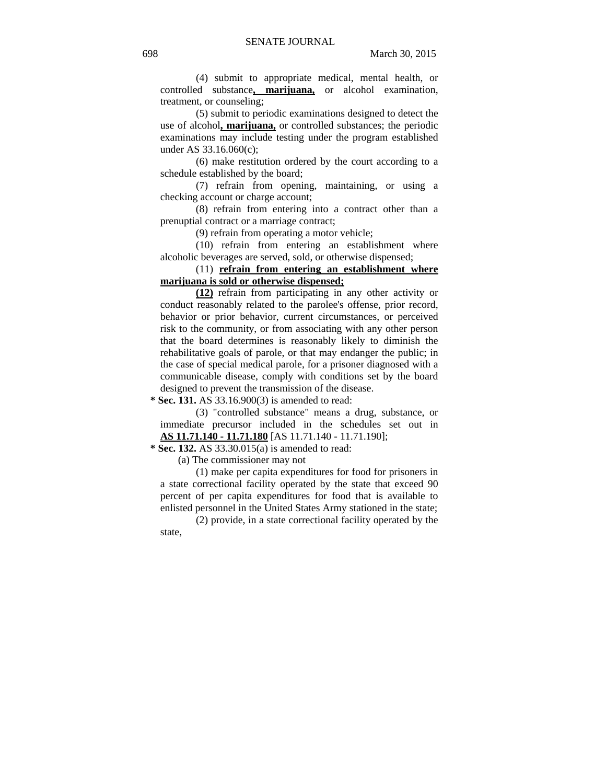(4) submit to appropriate medical, mental health, or controlled substance**, marijuana,** or alcohol examination, treatment, or counseling;

(5) submit to periodic examinations designed to detect the use of alcohol**, marijuana,** or controlled substances; the periodic examinations may include testing under the program established under AS 33.16.060(c);

(6) make restitution ordered by the court according to a schedule established by the board;

(7) refrain from opening, maintaining, or using a checking account or charge account;

(8) refrain from entering into a contract other than a prenuptial contract or a marriage contract;

(9) refrain from operating a motor vehicle;

(10) refrain from entering an establishment where alcoholic beverages are served, sold, or otherwise dispensed;

## (11) **refrain from entering an establishment where marijuana is sold or otherwise dispensed;**

**(12)** refrain from participating in any other activity or conduct reasonably related to the parolee's offense, prior record, behavior or prior behavior, current circumstances, or perceived risk to the community, or from associating with any other person that the board determines is reasonably likely to diminish the rehabilitative goals of parole, or that may endanger the public; in the case of special medical parole, for a prisoner diagnosed with a communicable disease, comply with conditions set by the board designed to prevent the transmission of the disease.

 **\* Sec. 131.** AS 33.16.900(3) is amended to read:

(3) "controlled substance" means a drug, substance, or immediate precursor included in the schedules set out in **AS 11.71.140 - 11.71.180** [AS 11.71.140 - 11.71.190];

 **\* Sec. 132.** AS 33.30.015(a) is amended to read:

(a) The commissioner may not

(1) make per capita expenditures for food for prisoners in a state correctional facility operated by the state that exceed 90 percent of per capita expenditures for food that is available to enlisted personnel in the United States Army stationed in the state;

(2) provide, in a state correctional facility operated by the state,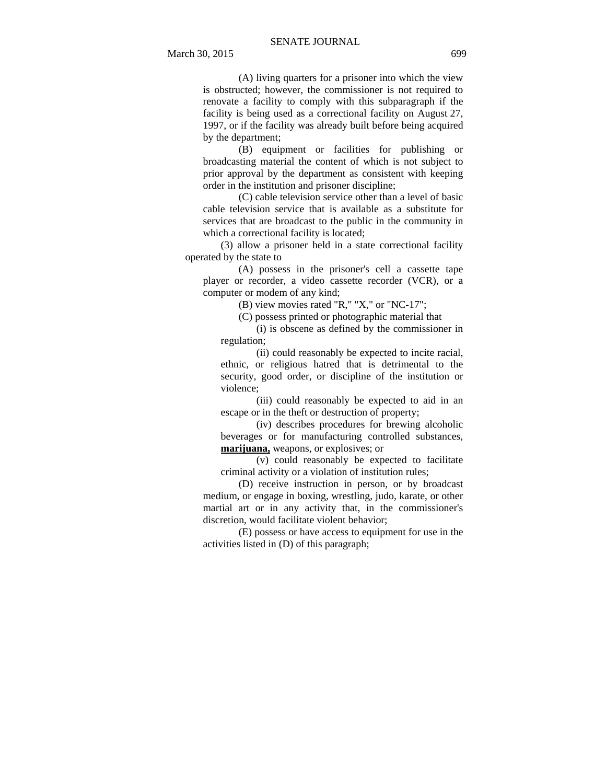(A) living quarters for a prisoner into which the view is obstructed; however, the commissioner is not required to renovate a facility to comply with this subparagraph if the facility is being used as a correctional facility on August 27, 1997, or if the facility was already built before being acquired by the department;

(B) equipment or facilities for publishing or broadcasting material the content of which is not subject to prior approval by the department as consistent with keeping order in the institution and prisoner discipline;

(C) cable television service other than a level of basic cable television service that is available as a substitute for services that are broadcast to the public in the community in which a correctional facility is located;

(3) allow a prisoner held in a state correctional facility operated by the state to

(A) possess in the prisoner's cell a cassette tape player or recorder, a video cassette recorder (VCR), or a computer or modem of any kind;

(B) view movies rated "R," "X," or "NC-17";

(C) possess printed or photographic material that

(i) is obscene as defined by the commissioner in regulation;

(ii) could reasonably be expected to incite racial, ethnic, or religious hatred that is detrimental to the security, good order, or discipline of the institution or violence;

(iii) could reasonably be expected to aid in an escape or in the theft or destruction of property;

(iv) describes procedures for brewing alcoholic beverages or for manufacturing controlled substances, **marijuana,** weapons, or explosives; or

 $\overline{(v)}$  could reasonably be expected to facilitate criminal activity or a violation of institution rules;

(D) receive instruction in person, or by broadcast medium, or engage in boxing, wrestling, judo, karate, or other martial art or in any activity that, in the commissioner's discretion, would facilitate violent behavior;

(E) possess or have access to equipment for use in the activities listed in (D) of this paragraph;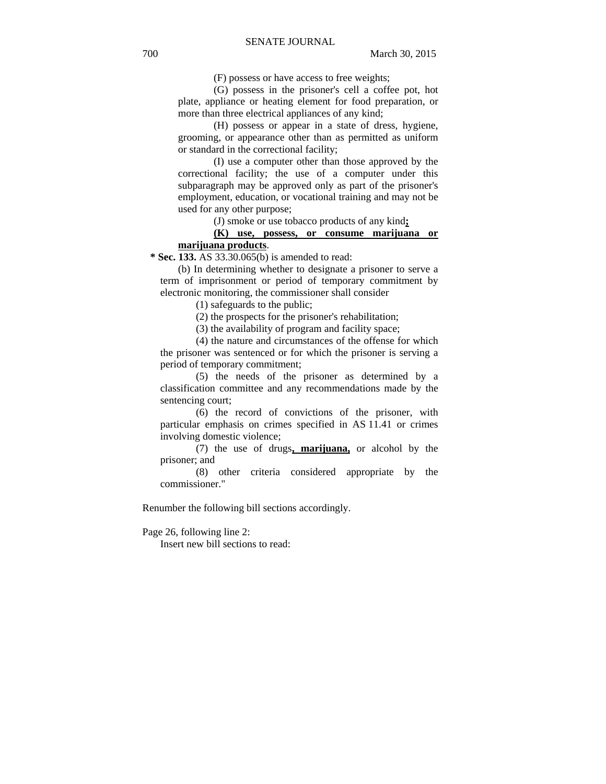(F) possess or have access to free weights;

(G) possess in the prisoner's cell a coffee pot, hot plate, appliance or heating element for food preparation, or more than three electrical appliances of any kind;

(H) possess or appear in a state of dress, hygiene, grooming, or appearance other than as permitted as uniform or standard in the correctional facility;

(I) use a computer other than those approved by the correctional facility; the use of a computer under this subparagraph may be approved only as part of the prisoner's employment, education, or vocational training and may not be used for any other purpose;

(J) smoke or use tobacco products of any kind**;**

## **(K) use, possess, or consume marijuana or marijuana products**.

 **\* Sec. 133.** AS 33.30.065(b) is amended to read:

(b) In determining whether to designate a prisoner to serve a term of imprisonment or period of temporary commitment by electronic monitoring, the commissioner shall consider

(1) safeguards to the public;

(2) the prospects for the prisoner's rehabilitation;

(3) the availability of program and facility space;

(4) the nature and circumstances of the offense for which the prisoner was sentenced or for which the prisoner is serving a period of temporary commitment;

(5) the needs of the prisoner as determined by a classification committee and any recommendations made by the sentencing court;

(6) the record of convictions of the prisoner, with particular emphasis on crimes specified in AS 11.41 or crimes involving domestic violence;

(7) the use of drugs**, marijuana,** or alcohol by the prisoner; and

(8) other criteria considered appropriate by the commissioner."

Renumber the following bill sections accordingly.

Page 26, following line 2:

Insert new bill sections to read: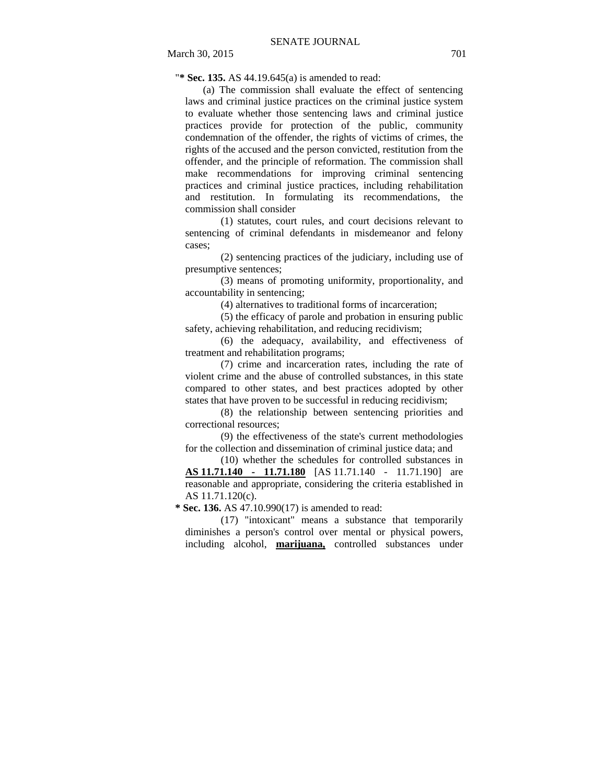"**\* Sec. 135.** AS 44.19.645(a) is amended to read:

(a) The commission shall evaluate the effect of sentencing laws and criminal justice practices on the criminal justice system to evaluate whether those sentencing laws and criminal justice practices provide for protection of the public, community condemnation of the offender, the rights of victims of crimes, the rights of the accused and the person convicted, restitution from the offender, and the principle of reformation. The commission shall make recommendations for improving criminal sentencing practices and criminal justice practices, including rehabilitation and restitution. In formulating its recommendations, the commission shall consider

(1) statutes, court rules, and court decisions relevant to sentencing of criminal defendants in misdemeanor and felony cases;

(2) sentencing practices of the judiciary, including use of presumptive sentences;

(3) means of promoting uniformity, proportionality, and accountability in sentencing;

(4) alternatives to traditional forms of incarceration;

(5) the efficacy of parole and probation in ensuring public safety, achieving rehabilitation, and reducing recidivism;

(6) the adequacy, availability, and effectiveness of treatment and rehabilitation programs;

(7) crime and incarceration rates, including the rate of violent crime and the abuse of controlled substances, in this state compared to other states, and best practices adopted by other states that have proven to be successful in reducing recidivism;

(8) the relationship between sentencing priorities and correctional resources;

(9) the effectiveness of the state's current methodologies for the collection and dissemination of criminal justice data; and

(10) whether the schedules for controlled substances in **AS 11.71.140 - 11.71.180** [AS 11.71.140 - 11.71.190] are reasonable and appropriate, considering the criteria established in AS 11.71.120(c).

 **\* Sec. 136.** AS 47.10.990(17) is amended to read:

(17) "intoxicant" means a substance that temporarily diminishes a person's control over mental or physical powers, including alcohol, **marijuana,** controlled substances under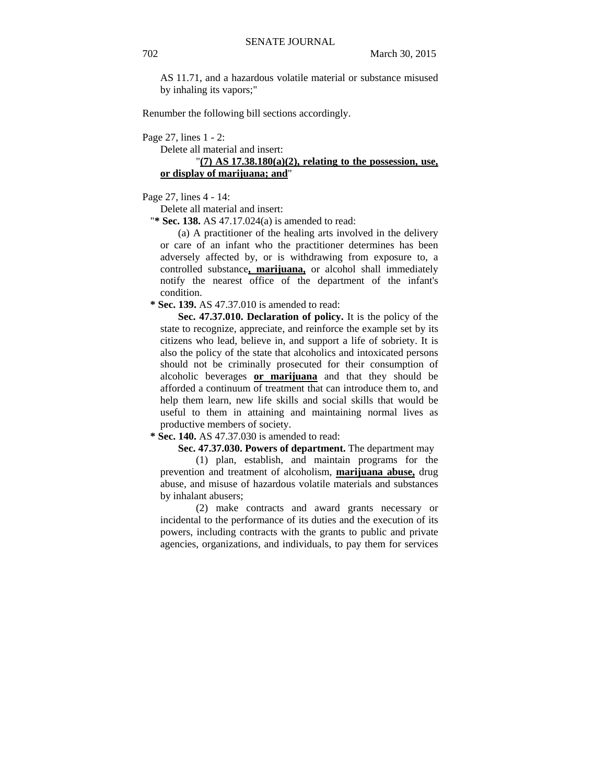AS 11.71, and a hazardous volatile material or substance misused by inhaling its vapors;"

Renumber the following bill sections accordingly.

Page 27, lines 1 - 2:

Delete all material and insert:

"**(7) AS 17.38.180(a)(2), relating to the possession, use, or display of marijuana; and**"

Page 27, lines 4 - 14:

Delete all material and insert:

"**\* Sec. 138.** AS 47.17.024(a) is amended to read:

(a) A practitioner of the healing arts involved in the delivery or care of an infant who the practitioner determines has been adversely affected by, or is withdrawing from exposure to, a controlled substance**, marijuana,** or alcohol shall immediately notify the nearest office of the department of the infant's condition.

 **\* Sec. 139.** AS 47.37.010 is amended to read:

**Sec. 47.37.010. Declaration of policy.** It is the policy of the state to recognize, appreciate, and reinforce the example set by its citizens who lead, believe in, and support a life of sobriety. It is also the policy of the state that alcoholics and intoxicated persons should not be criminally prosecuted for their consumption of alcoholic beverages **or marijuana** and that they should be afforded a continuum of treatment that can introduce them to, and help them learn, new life skills and social skills that would be useful to them in attaining and maintaining normal lives as productive members of society.

 **\* Sec. 140.** AS 47.37.030 is amended to read:

**Sec. 47.37.030. Powers of department.** The department may

(1) plan, establish, and maintain programs for the prevention and treatment of alcoholism, **marijuana abuse,** drug abuse, and misuse of hazardous volatile materials and substances by inhalant abusers;

(2) make contracts and award grants necessary or incidental to the performance of its duties and the execution of its powers, including contracts with the grants to public and private agencies, organizations, and individuals, to pay them for services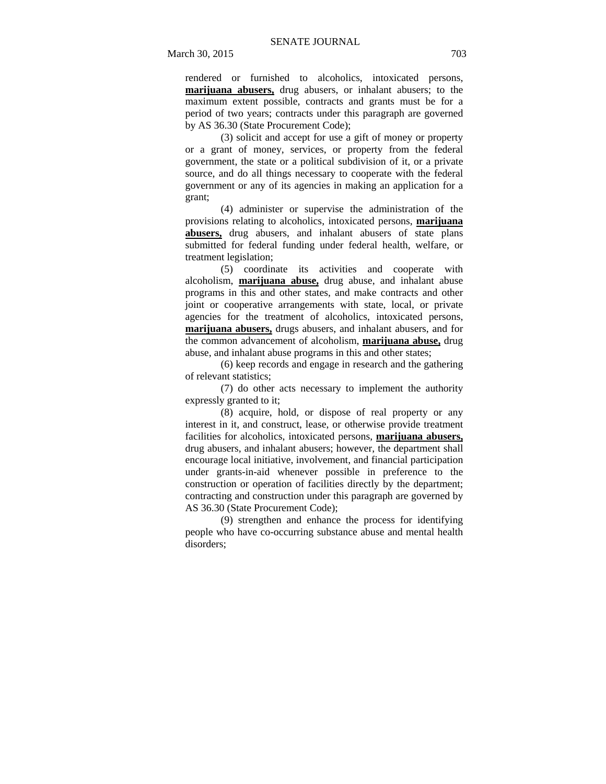rendered or furnished to alcoholics, intoxicated persons, **marijuana abusers,** drug abusers, or inhalant abusers; to the maximum extent possible, contracts and grants must be for a period of two years; contracts under this paragraph are governed by AS 36.30 (State Procurement Code);

(3) solicit and accept for use a gift of money or property or a grant of money, services, or property from the federal government, the state or a political subdivision of it, or a private source, and do all things necessary to cooperate with the federal government or any of its agencies in making an application for a grant;

(4) administer or supervise the administration of the provisions relating to alcoholics, intoxicated persons, **marijuana abusers,** drug abusers, and inhalant abusers of state plans submitted for federal funding under federal health, welfare, or treatment legislation;

(5) coordinate its activities and cooperate with alcoholism, **marijuana abuse,** drug abuse, and inhalant abuse programs in this and other states, and make contracts and other joint or cooperative arrangements with state, local, or private agencies for the treatment of alcoholics, intoxicated persons, **marijuana abusers,** drugs abusers, and inhalant abusers, and for the common advancement of alcoholism, **marijuana abuse,** drug abuse, and inhalant abuse programs in this and other states;

(6) keep records and engage in research and the gathering of relevant statistics;

(7) do other acts necessary to implement the authority expressly granted to it;

(8) acquire, hold, or dispose of real property or any interest in it, and construct, lease, or otherwise provide treatment facilities for alcoholics, intoxicated persons, **marijuana abusers,** drug abusers, and inhalant abusers; however, the department shall encourage local initiative, involvement, and financial participation under grants-in-aid whenever possible in preference to the construction or operation of facilities directly by the department; contracting and construction under this paragraph are governed by AS 36.30 (State Procurement Code);

(9) strengthen and enhance the process for identifying people who have co-occurring substance abuse and mental health disorders;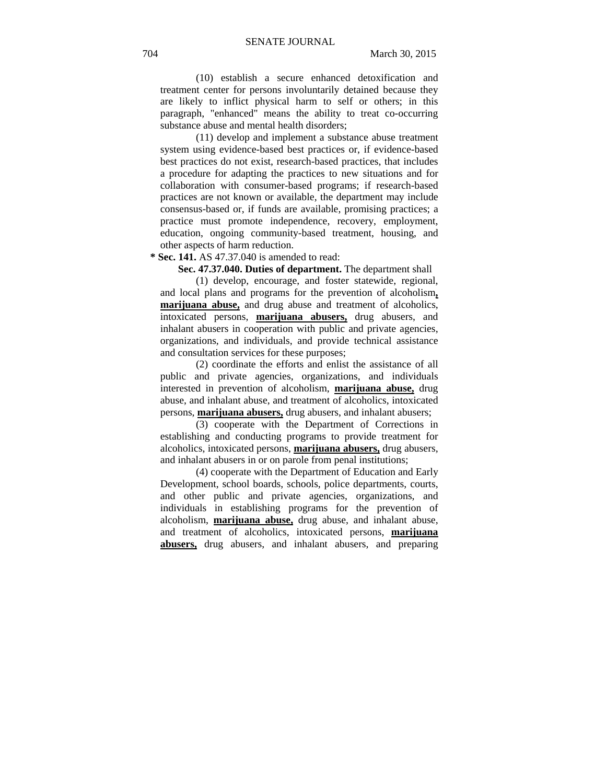(10) establish a secure enhanced detoxification and treatment center for persons involuntarily detained because they are likely to inflict physical harm to self or others; in this paragraph, "enhanced" means the ability to treat co-occurring substance abuse and mental health disorders;

(11) develop and implement a substance abuse treatment system using evidence-based best practices or, if evidence-based best practices do not exist, research-based practices, that includes a procedure for adapting the practices to new situations and for collaboration with consumer-based programs; if research-based practices are not known or available, the department may include consensus-based or, if funds are available, promising practices; a practice must promote independence, recovery, employment, education, ongoing community-based treatment, housing, and other aspects of harm reduction.

 **\* Sec. 141.** AS 47.37.040 is amended to read:

**Sec. 47.37.040. Duties of department.** The department shall

(1) develop, encourage, and foster statewide, regional, and local plans and programs for the prevention of alcoholism**, marijuana abuse,** and drug abuse and treatment of alcoholics, intoxicated persons, **marijuana abusers,** drug abusers, and inhalant abusers in cooperation with public and private agencies, organizations, and individuals, and provide technical assistance and consultation services for these purposes;

(2) coordinate the efforts and enlist the assistance of all public and private agencies, organizations, and individuals interested in prevention of alcoholism, **marijuana abuse,** drug abuse, and inhalant abuse, and treatment of alcoholics, intoxicated persons, **marijuana abusers,** drug abusers, and inhalant abusers;

(3) cooperate with the Department of Corrections in establishing and conducting programs to provide treatment for alcoholics, intoxicated persons, **marijuana abusers,** drug abusers, and inhalant abusers in or on parole from penal institutions;

(4) cooperate with the Department of Education and Early Development, school boards, schools, police departments, courts, and other public and private agencies, organizations, and individuals in establishing programs for the prevention of alcoholism, **marijuana abuse,** drug abuse, and inhalant abuse, and treatment of alcoholics, intoxicated persons, **marijuana abusers,** drug abusers, and inhalant abusers, and preparing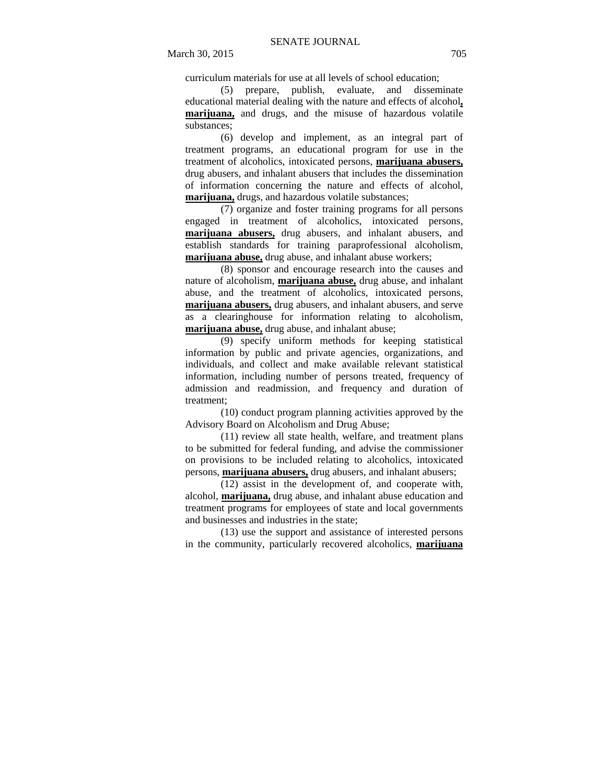curriculum materials for use at all levels of school education;

(5) prepare, publish, evaluate, and disseminate educational material dealing with the nature and effects of alcohol**, marijuana,** and drugs, and the misuse of hazardous volatile substances;

(6) develop and implement, as an integral part of treatment programs, an educational program for use in the treatment of alcoholics, intoxicated persons, **marijuana abusers,** drug abusers, and inhalant abusers that includes the dissemination of information concerning the nature and effects of alcohol, **marijuana,** drugs, and hazardous volatile substances;

(7) organize and foster training programs for all persons engaged in treatment of alcoholics, intoxicated persons, **marijuana abusers,** drug abusers, and inhalant abusers, and establish standards for training paraprofessional alcoholism, **marijuana abuse,** drug abuse, and inhalant abuse workers;

(8) sponsor and encourage research into the causes and nature of alcoholism, **marijuana abuse,** drug abuse, and inhalant abuse, and the treatment of alcoholics, intoxicated persons, **marijuana abusers,** drug abusers, and inhalant abusers, and serve as a clearinghouse for information relating to alcoholism, **marijuana abuse,** drug abuse, and inhalant abuse;

(9) specify uniform methods for keeping statistical information by public and private agencies, organizations, and individuals, and collect and make available relevant statistical information, including number of persons treated, frequency of admission and readmission, and frequency and duration of treatment;

(10) conduct program planning activities approved by the Advisory Board on Alcoholism and Drug Abuse;

(11) review all state health, welfare, and treatment plans to be submitted for federal funding, and advise the commissioner on provisions to be included relating to alcoholics, intoxicated persons, **marijuana abusers,** drug abusers, and inhalant abusers;

(12) assist in the development of, and cooperate with, alcohol, **marijuana,** drug abuse, and inhalant abuse education and treatment programs for employees of state and local governments and businesses and industries in the state;

(13) use the support and assistance of interested persons in the community, particularly recovered alcoholics, **marijuana**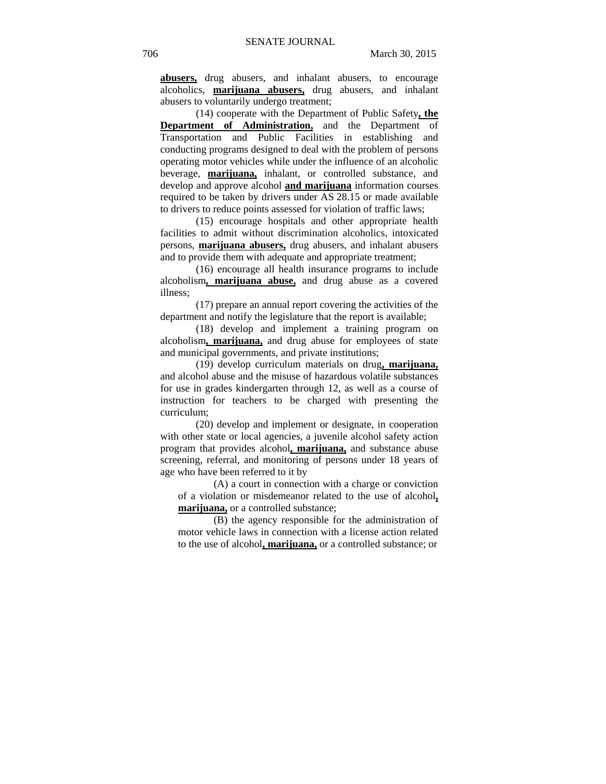**abusers,** drug abusers, and inhalant abusers, to encourage alcoholics, **marijuana abusers,** drug abusers, and inhalant abusers to voluntarily undergo treatment;

(14) cooperate with the Department of Public Safety**, the Department of Administration,** and the Department of Transportation and Public Facilities in establishing and conducting programs designed to deal with the problem of persons operating motor vehicles while under the influence of an alcoholic beverage, **marijuana,** inhalant, or controlled substance, and develop and approve alcohol **and marijuana** information courses required to be taken by drivers under AS 28.15 or made available to drivers to reduce points assessed for violation of traffic laws;

(15) encourage hospitals and other appropriate health facilities to admit without discrimination alcoholics, intoxicated persons, **marijuana abusers,** drug abusers, and inhalant abusers and to provide them with adequate and appropriate treatment;

(16) encourage all health insurance programs to include alcoholism**, marijuana abuse,** and drug abuse as a covered illness;

(17) prepare an annual report covering the activities of the department and notify the legislature that the report is available;

(18) develop and implement a training program on alcoholism**, marijuana,** and drug abuse for employees of state and municipal governments, and private institutions;

(19) develop curriculum materials on drug**, marijuana,** and alcohol abuse and the misuse of hazardous volatile substances for use in grades kindergarten through 12, as well as a course of instruction for teachers to be charged with presenting the curriculum;

(20) develop and implement or designate, in cooperation with other state or local agencies, a juvenile alcohol safety action program that provides alcohol**, marijuana,** and substance abuse screening, referral, and monitoring of persons under 18 years of age who have been referred to it by

(A) a court in connection with a charge or conviction of a violation or misdemeanor related to the use of alcohol**, marijuana,** or a controlled substance;

(B) the agency responsible for the administration of motor vehicle laws in connection with a license action related to the use of alcohol**, marijuana,** or a controlled substance; or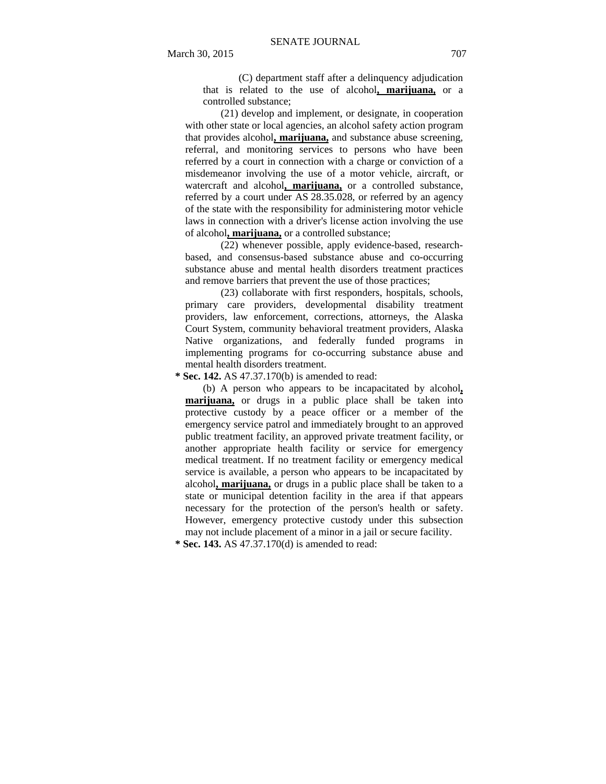(C) department staff after a delinquency adjudication that is related to the use of alcohol**, marijuana,** or a controlled substance;

(21) develop and implement, or designate, in cooperation with other state or local agencies, an alcohol safety action program that provides alcohol**, marijuana,** and substance abuse screening, referral, and monitoring services to persons who have been referred by a court in connection with a charge or conviction of a misdemeanor involving the use of a motor vehicle, aircraft, or watercraft and alcohol**, marijuana,** or a controlled substance, referred by a court under AS 28.35.028, or referred by an agency of the state with the responsibility for administering motor vehicle laws in connection with a driver's license action involving the use of alcohol**, marijuana,** or a controlled substance;

(22) whenever possible, apply evidence-based, researchbased, and consensus-based substance abuse and co-occurring substance abuse and mental health disorders treatment practices and remove barriers that prevent the use of those practices;

(23) collaborate with first responders, hospitals, schools, primary care providers, developmental disability treatment providers, law enforcement, corrections, attorneys, the Alaska Court System, community behavioral treatment providers, Alaska Native organizations, and federally funded programs in implementing programs for co-occurring substance abuse and mental health disorders treatment.

 **\* Sec. 142.** AS 47.37.170(b) is amended to read:

(b) A person who appears to be incapacitated by alcohol**, marijuana,** or drugs in a public place shall be taken into protective custody by a peace officer or a member of the emergency service patrol and immediately brought to an approved public treatment facility, an approved private treatment facility, or another appropriate health facility or service for emergency medical treatment. If no treatment facility or emergency medical service is available, a person who appears to be incapacitated by alcohol**, marijuana,** or drugs in a public place shall be taken to a state or municipal detention facility in the area if that appears necessary for the protection of the person's health or safety. However, emergency protective custody under this subsection may not include placement of a minor in a jail or secure facility.

 **\* Sec. 143.** AS 47.37.170(d) is amended to read: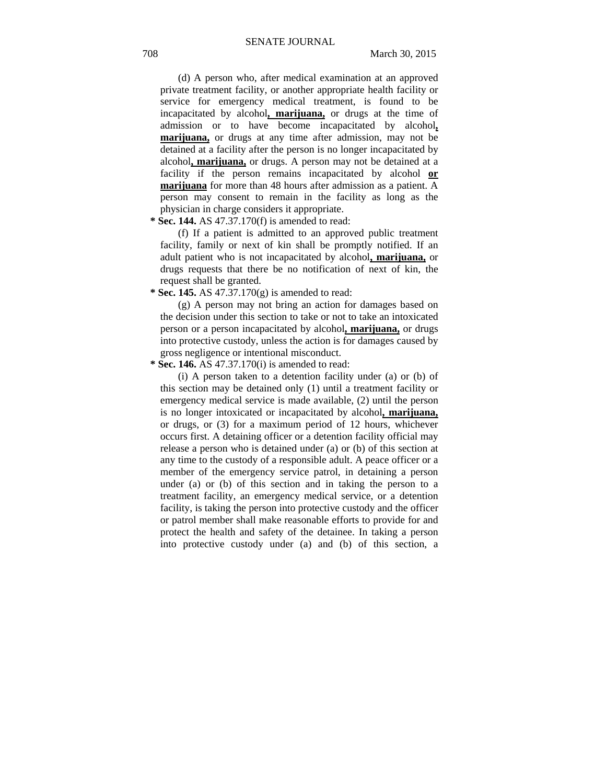(d) A person who, after medical examination at an approved private treatment facility, or another appropriate health facility or service for emergency medical treatment, is found to be incapacitated by alcohol**, marijuana,** or drugs at the time of admission or to have become incapacitated by alcohol**, marijuana,** or drugs at any time after admission, may not be detained at a facility after the person is no longer incapacitated by alcohol**, marijuana,** or drugs. A person may not be detained at a facility if the person remains incapacitated by alcohol **or marijuana** for more than 48 hours after admission as a patient. A person may consent to remain in the facility as long as the physician in charge considers it appropriate.

 **\* Sec. 144.** AS 47.37.170(f) is amended to read:

(f) If a patient is admitted to an approved public treatment facility, family or next of kin shall be promptly notified. If an adult patient who is not incapacitated by alcohol**, marijuana,** or drugs requests that there be no notification of next of kin, the request shall be granted.

 **\* Sec. 145.** AS 47.37.170(g) is amended to read:

(g) A person may not bring an action for damages based on the decision under this section to take or not to take an intoxicated person or a person incapacitated by alcohol**, marijuana,** or drugs into protective custody, unless the action is for damages caused by gross negligence or intentional misconduct.

 **\* Sec. 146.** AS 47.37.170(i) is amended to read:

(i) A person taken to a detention facility under (a) or (b) of this section may be detained only (1) until a treatment facility or emergency medical service is made available, (2) until the person is no longer intoxicated or incapacitated by alcohol**, marijuana,** or drugs, or (3) for a maximum period of 12 hours, whichever occurs first. A detaining officer or a detention facility official may release a person who is detained under (a) or (b) of this section at any time to the custody of a responsible adult. A peace officer or a member of the emergency service patrol, in detaining a person under (a) or (b) of this section and in taking the person to a treatment facility, an emergency medical service, or a detention facility, is taking the person into protective custody and the officer or patrol member shall make reasonable efforts to provide for and protect the health and safety of the detainee. In taking a person into protective custody under (a) and (b) of this section, a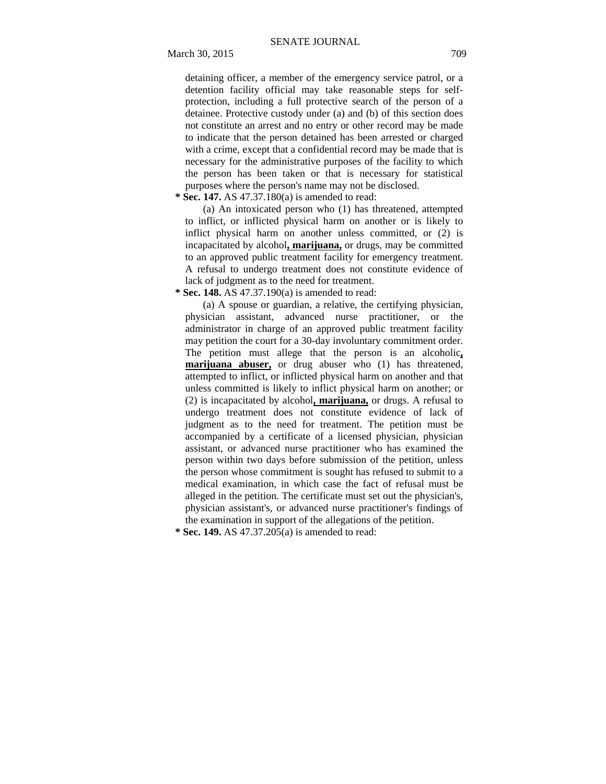detaining officer, a member of the emergency service patrol, or a detention facility official may take reasonable steps for selfprotection, including a full protective search of the person of a detainee. Protective custody under (a) and (b) of this section does not constitute an arrest and no entry or other record may be made to indicate that the person detained has been arrested or charged with a crime, except that a confidential record may be made that is necessary for the administrative purposes of the facility to which the person has been taken or that is necessary for statistical purposes where the person's name may not be disclosed.

## **\* Sec. 147.** AS 47.37.180(a) is amended to read:

(a) An intoxicated person who (1) has threatened, attempted to inflict, or inflicted physical harm on another or is likely to inflict physical harm on another unless committed, or (2) is incapacitated by alcohol**, marijuana,** or drugs, may be committed to an approved public treatment facility for emergency treatment. A refusal to undergo treatment does not constitute evidence of lack of judgment as to the need for treatment.

 **\* Sec. 148.** AS 47.37.190(a) is amended to read:

(a) A spouse or guardian, a relative, the certifying physician, physician assistant, advanced nurse practitioner, or the administrator in charge of an approved public treatment facility may petition the court for a 30-day involuntary commitment order. The petition must allege that the person is an alcoholic**, marijuana abuser,** or drug abuser who (1) has threatened, attempted to inflict, or inflicted physical harm on another and that unless committed is likely to inflict physical harm on another; or (2) is incapacitated by alcohol**, marijuana,** or drugs. A refusal to undergo treatment does not constitute evidence of lack of judgment as to the need for treatment. The petition must be accompanied by a certificate of a licensed physician, physician assistant, or advanced nurse practitioner who has examined the person within two days before submission of the petition, unless the person whose commitment is sought has refused to submit to a medical examination, in which case the fact of refusal must be alleged in the petition. The certificate must set out the physician's, physician assistant's, or advanced nurse practitioner's findings of the examination in support of the allegations of the petition.

 **\* Sec. 149.** AS 47.37.205(a) is amended to read: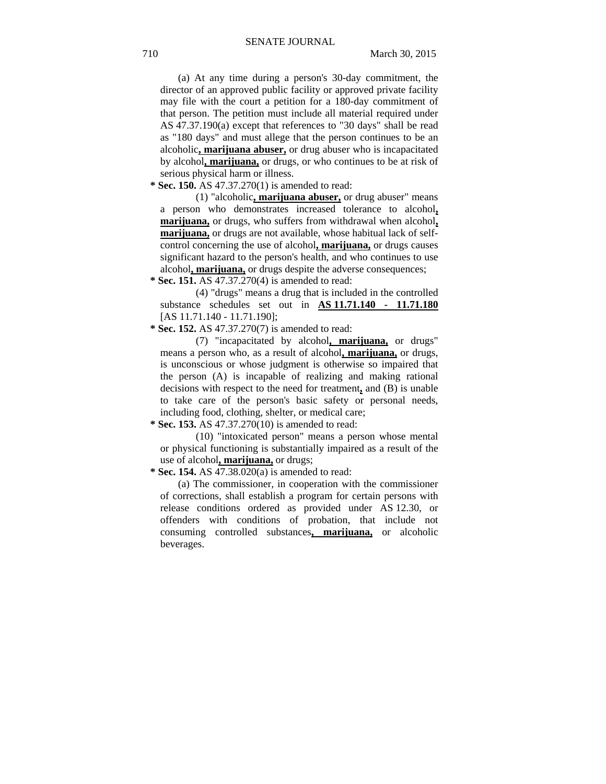(a) At any time during a person's 30-day commitment, the director of an approved public facility or approved private facility may file with the court a petition for a 180-day commitment of that person. The petition must include all material required under AS 47.37.190(a) except that references to "30 days" shall be read as "180 days" and must allege that the person continues to be an alcoholic**, marijuana abuser,** or drug abuser who is incapacitated by alcohol**, marijuana,** or drugs, or who continues to be at risk of serious physical harm or illness.

 **\* Sec. 150.** AS 47.37.270(1) is amended to read:

(1) "alcoholic**, marijuana abuser,** or drug abuser" means a person who demonstrates increased tolerance to alcohol**, marijuana,** or drugs, who suffers from withdrawal when alcohol**, marijuana,** or drugs are not available, whose habitual lack of selfcontrol concerning the use of alcohol**, marijuana,** or drugs causes significant hazard to the person's health, and who continues to use alcohol**, marijuana,** or drugs despite the adverse consequences;

 **\* Sec. 151.** AS 47.37.270(4) is amended to read:

(4) "drugs" means a drug that is included in the controlled substance schedules set out in **AS 11.71.140 - 11.71.180** [AS 11.71.140 - 11.71.190];

 **\* Sec. 152.** AS 47.37.270(7) is amended to read:

(7) "incapacitated by alcohol**, marijuana,** or drugs" means a person who, as a result of alcohol**, marijuana,** or drugs, is unconscious or whose judgment is otherwise so impaired that the person (A) is incapable of realizing and making rational decisions with respect to the need for treatment**,** and (B) is unable to take care of the person's basic safety or personal needs, including food, clothing, shelter, or medical care;

 **\* Sec. 153.** AS 47.37.270(10) is amended to read:

(10) "intoxicated person" means a person whose mental or physical functioning is substantially impaired as a result of the use of alcohol**, marijuana,** or drugs;

 **\* Sec. 154.** AS 47.38.020(a) is amended to read:

(a) The commissioner, in cooperation with the commissioner of corrections, shall establish a program for certain persons with release conditions ordered as provided under AS 12.30, or offenders with conditions of probation, that include not consuming controlled substances**, marijuana,** or alcoholic beverages.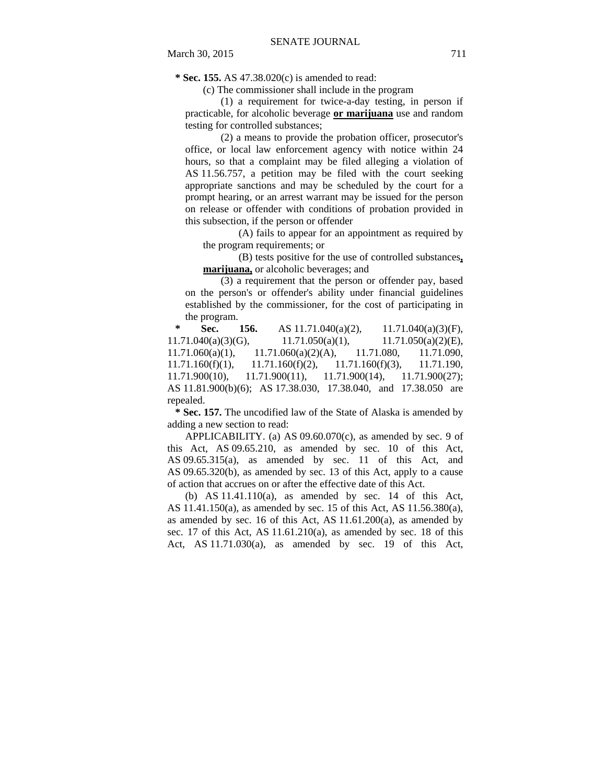**\* Sec. 155.** AS 47.38.020(c) is amended to read:

(c) The commissioner shall include in the program

(1) a requirement for twice-a-day testing, in person if practicable, for alcoholic beverage **or marijuana** use and random testing for controlled substances;

(2) a means to provide the probation officer, prosecutor's office, or local law enforcement agency with notice within 24 hours, so that a complaint may be filed alleging a violation of AS 11.56.757, a petition may be filed with the court seeking appropriate sanctions and may be scheduled by the court for a prompt hearing, or an arrest warrant may be issued for the person on release or offender with conditions of probation provided in this subsection, if the person or offender

(A) fails to appear for an appointment as required by the program requirements; or

(B) tests positive for the use of controlled substances**, marijuana,** or alcoholic beverages; and

(3) a requirement that the person or offender pay, based on the person's or offender's ability under financial guidelines established by the commissioner, for the cost of participating in the program.

**\* Sec. 156.** AS 11.71.040(a)(2), 11.71.040(a)(3)(F),  $11.71.040(a)(3)(G),$   $11.71.050(a)(1),$   $11.71.050(a)(2)(E),$ 11.71.060(a)(1), 11.71.060(a)(2)(A), 11.71.080, 11.71.090,  $11.71.160(f)(1)$ ,  $11.71.160(f)(2)$ ,  $11.71.160(f)(3)$ ,  $11.71.190$ , 11.71.900(10), 11.71.900(11), 11.71.900(14), 11.71.900(27); AS 11.81.900(b)(6); AS 17.38.030, 17.38.040, and 17.38.050 are repealed.

 **\* Sec. 157.** The uncodified law of the State of Alaska is amended by adding a new section to read:

APPLICABILITY. (a) AS  $09.60.070(c)$ , as amended by sec. 9 of this Act, AS 09.65.210, as amended by sec. 10 of this Act, AS 09.65.315(a), as amended by sec. 11 of this Act, and AS 09.65.320(b), as amended by sec. 13 of this Act, apply to a cause of action that accrues on or after the effective date of this Act.

(b) AS  $11.41.110(a)$ , as amended by sec. 14 of this Act, AS 11.41.150(a), as amended by sec. 15 of this Act, AS 11.56.380(a), as amended by sec. 16 of this Act, AS  $11.61.200(a)$ , as amended by sec. 17 of this Act, AS 11.61.210(a), as amended by sec. 18 of this Act, AS 11.71.030(a), as amended by sec. 19 of this Act,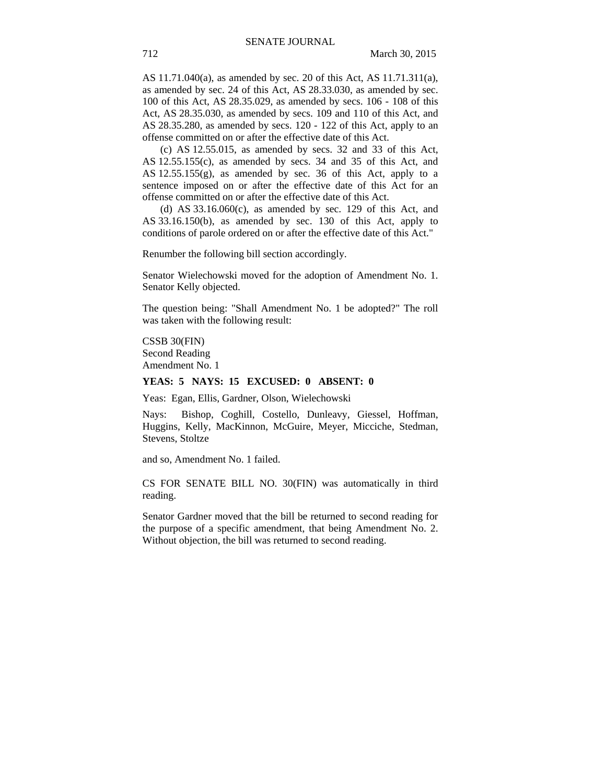AS 11.71.040(a), as amended by sec. 20 of this Act, AS 11.71.311(a), as amended by sec. 24 of this Act, AS 28.33.030, as amended by sec. 100 of this Act, AS 28.35.029, as amended by secs. 106 - 108 of this Act, AS 28.35.030, as amended by secs. 109 and 110 of this Act, and AS 28.35.280, as amended by secs. 120 - 122 of this Act, apply to an offense committed on or after the effective date of this Act.

(c) AS 12.55.015, as amended by secs. 32 and 33 of this Act, AS 12.55.155(c), as amended by secs. 34 and 35 of this Act, and AS 12.55.155(g), as amended by sec. 36 of this Act, apply to a sentence imposed on or after the effective date of this Act for an offense committed on or after the effective date of this Act.

(d) AS  $33.16.060(c)$ , as amended by sec. 129 of this Act, and AS 33.16.150(b), as amended by sec. 130 of this Act, apply to conditions of parole ordered on or after the effective date of this Act."

Renumber the following bill section accordingly.

Senator Wielechowski moved for the adoption of Amendment No. 1. Senator Kelly objected.

The question being: "Shall Amendment No. 1 be adopted?" The roll was taken with the following result:

CSSB 30(FIN) Second Reading Amendment No. 1

#### **YEAS: 5 NAYS: 15 EXCUSED: 0 ABSENT: 0**

Yeas: Egan, Ellis, Gardner, Olson, Wielechowski

Nays: Bishop, Coghill, Costello, Dunleavy, Giessel, Hoffman, Huggins, Kelly, MacKinnon, McGuire, Meyer, Micciche, Stedman, Stevens, Stoltze

and so, Amendment No. 1 failed.

CS FOR SENATE BILL NO. 30(FIN) was automatically in third reading.

Senator Gardner moved that the bill be returned to second reading for the purpose of a specific amendment, that being Amendment No. 2. Without objection, the bill was returned to second reading.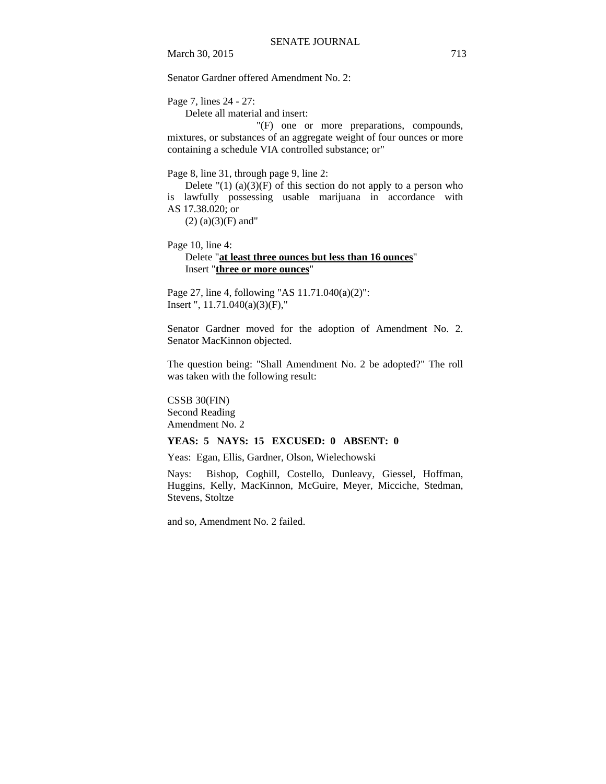March 30, 2015 713

Senator Gardner offered Amendment No. 2:

Page 7, lines 24 - 27:

Delete all material and insert:

 "(F) one or more preparations, compounds, mixtures, or substances of an aggregate weight of four ounces or more containing a schedule VIA controlled substance; or"

Page 8, line 31, through page 9, line 2:

Delete " $(1)$  (a) $(3)(F)$  of this section do not apply to a person who is lawfully possessing usable marijuana in accordance with AS 17.38.020; or

 $(2)$  (a) $(3)$ (F) and"

Page 10, line 4:

# Delete "**at least three ounces but less than 16 ounces**" Insert "**three or more ounces**"

Page 27, line 4, following "AS 11.71.040(a)(2)": Insert ", 11.71.040(a)(3)(F),"

Senator Gardner moved for the adoption of Amendment No. 2. Senator MacKinnon objected.

The question being: "Shall Amendment No. 2 be adopted?" The roll was taken with the following result:

CSSB 30(FIN) Second Reading Amendment No. 2

## **YEAS: 5 NAYS: 15 EXCUSED: 0 ABSENT: 0**

Yeas: Egan, Ellis, Gardner, Olson, Wielechowski

Nays: Bishop, Coghill, Costello, Dunleavy, Giessel, Hoffman, Huggins, Kelly, MacKinnon, McGuire, Meyer, Micciche, Stedman, Stevens, Stoltze

and so, Amendment No. 2 failed.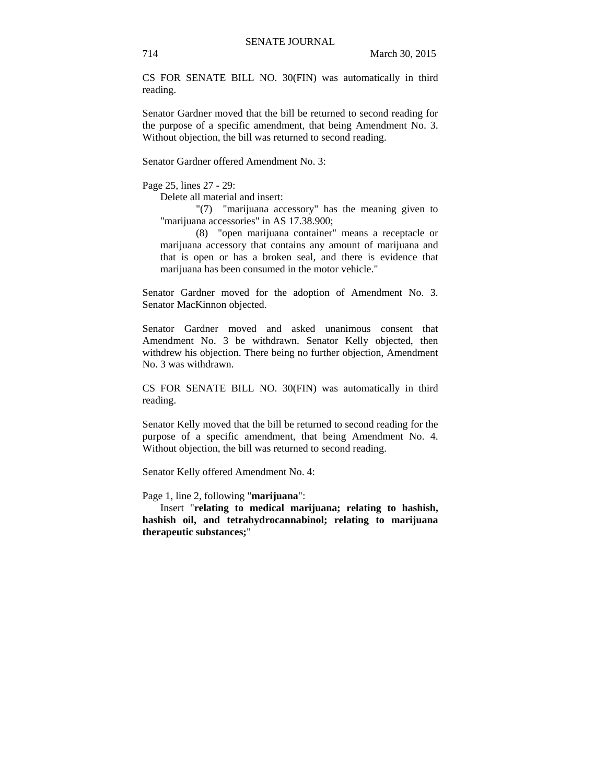CS FOR SENATE BILL NO. 30(FIN) was automatically in third reading.

Senator Gardner moved that the bill be returned to second reading for the purpose of a specific amendment, that being Amendment No. 3. Without objection, the bill was returned to second reading.

Senator Gardner offered Amendment No. 3:

Page 25, lines 27 - 29:

Delete all material and insert:

"(7) "marijuana accessory" has the meaning given to "marijuana accessories" in AS 17.38.900;

(8) "open marijuana container" means a receptacle or marijuana accessory that contains any amount of marijuana and that is open or has a broken seal, and there is evidence that marijuana has been consumed in the motor vehicle."

Senator Gardner moved for the adoption of Amendment No. 3. Senator MacKinnon objected.

Senator Gardner moved and asked unanimous consent that Amendment No. 3 be withdrawn. Senator Kelly objected, then withdrew his objection. There being no further objection, Amendment No. 3 was withdrawn.

CS FOR SENATE BILL NO. 30(FIN) was automatically in third reading.

Senator Kelly moved that the bill be returned to second reading for the purpose of a specific amendment, that being Amendment No. 4. Without objection, the bill was returned to second reading.

Senator Kelly offered Amendment No. 4:

Page 1, line 2, following "**marijuana**":

Insert "**relating to medical marijuana; relating to hashish, hashish oil, and tetrahydrocannabinol; relating to marijuana therapeutic substances;**"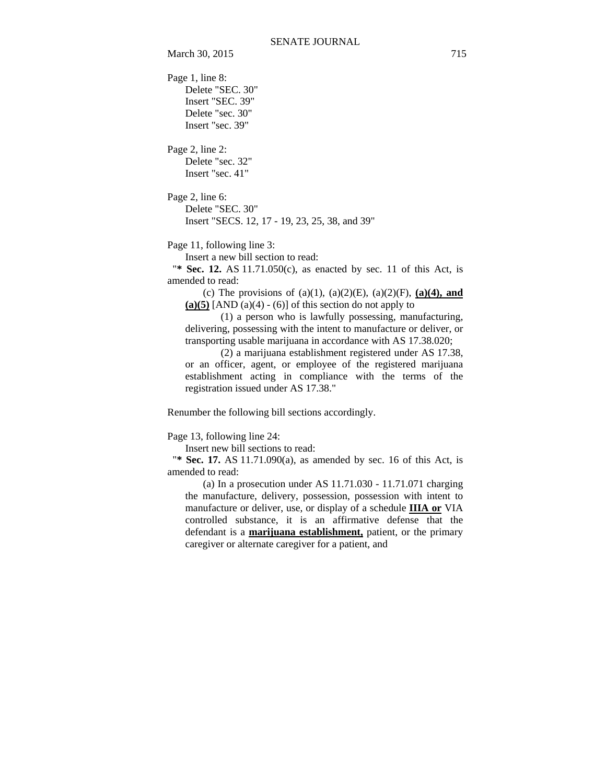Page 1, line 8: Delete "SEC. 30" Insert "SEC. 39" Delete "sec. 30" Insert "sec. 39"

Page 2, line 2: Delete "sec. 32" Insert "sec. 41"

Page 2, line 6: Delete "SEC. 30" Insert "SECS. 12, 17 - 19, 23, 25, 38, and 39"

Page 11, following line 3:

Insert a new bill section to read:

"**\* Sec. 12.** AS 11.71.050(c), as enacted by sec. 11 of this Act, is amended to read:

(c) The provisions of (a)(1), (a)(2)(E), (a)(2)(F), **(a)(4), and**   $(a)(5)$  [AND  $(a)(4) - (6)$ ] of this section do not apply to

(1) a person who is lawfully possessing, manufacturing, delivering, possessing with the intent to manufacture or deliver, or transporting usable marijuana in accordance with AS 17.38.020;

(2) a marijuana establishment registered under AS 17.38, or an officer, agent, or employee of the registered marijuana establishment acting in compliance with the terms of the registration issued under AS 17.38."

Renumber the following bill sections accordingly.

Page 13, following line 24:

Insert new bill sections to read:

"**\* Sec. 17.** AS 11.71.090(a), as amended by sec. 16 of this Act, is amended to read:

(a) In a prosecution under AS 11.71.030 - 11.71.071 charging the manufacture, delivery, possession, possession with intent to manufacture or deliver, use, or display of a schedule **IIIA or** VIA controlled substance, it is an affirmative defense that the defendant is a **marijuana establishment,** patient, or the primary caregiver or alternate caregiver for a patient, and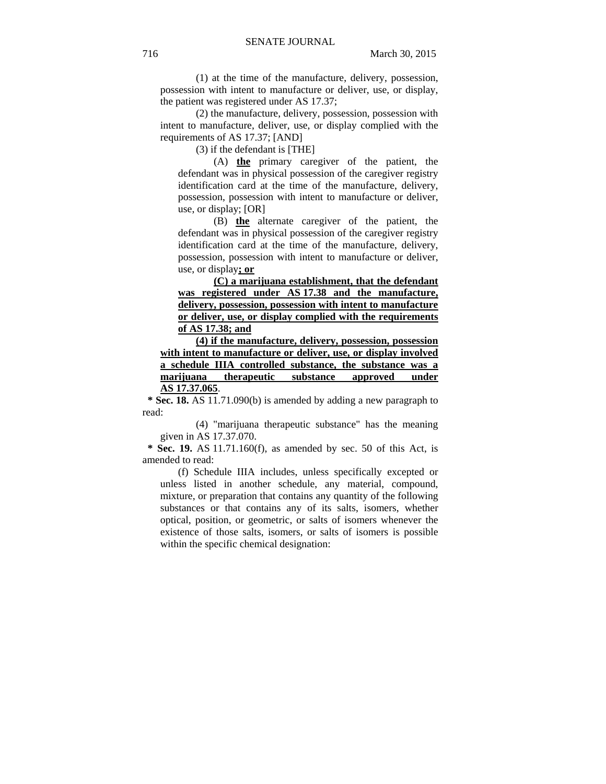(1) at the time of the manufacture, delivery, possession, possession with intent to manufacture or deliver, use, or display, the patient was registered under AS 17.37;

(2) the manufacture, delivery, possession, possession with intent to manufacture, deliver, use, or display complied with the requirements of AS 17.37; [AND]

(3) if the defendant is [THE]

(A) **the** primary caregiver of the patient, the defendant was in physical possession of the caregiver registry identification card at the time of the manufacture, delivery, possession, possession with intent to manufacture or deliver, use, or display; [OR]

(B) **the** alternate caregiver of the patient, the defendant was in physical possession of the caregiver registry identification card at the time of the manufacture, delivery, possession, possession with intent to manufacture or deliver, use, or display**; or**

**(C) a marijuana establishment, that the defendant was registered under AS 17.38 and the manufacture, delivery, possession, possession with intent to manufacture or deliver, use, or display complied with the requirements of AS 17.38; and**

**(4) if the manufacture, delivery, possession, possession with intent to manufacture or deliver, use, or display involved a schedule IIIA controlled substance, the substance was a marijuana therapeutic substance approved under AS 17.37.065**.

 **\* Sec. 18.** AS 11.71.090(b) is amended by adding a new paragraph to read:

(4) "marijuana therapeutic substance" has the meaning given in AS 17.37.070.

**Sec. 19.** AS 11.71.160(f), as amended by sec. 50 of this Act, is amended to read:

(f) Schedule IIIA includes, unless specifically excepted or unless listed in another schedule, any material, compound, mixture, or preparation that contains any quantity of the following substances or that contains any of its salts, isomers, whether optical, position, or geometric, or salts of isomers whenever the existence of those salts, isomers, or salts of isomers is possible within the specific chemical designation: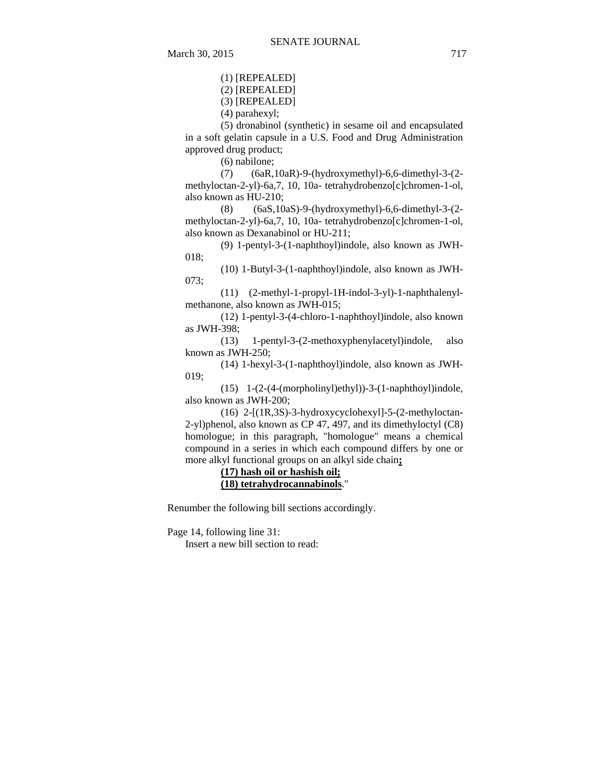(1) [REPEALED]

(2) [REPEALED]

(3) [REPEALED]

(4) parahexyl;

(5) dronabinol (synthetic) in sesame oil and encapsulated in a soft gelatin capsule in a U.S. Food and Drug Administration approved drug product;

(6) nabilone;

(7) (6aR,10aR)-9-(hydroxymethyl)-6,6-dimethyl-3-(2 methyloctan-2-yl)-6a,7, 10, 10a- tetrahydrobenzo[c]chromen-1-ol, also known as HU-210;

(8) (6aS,10aS)-9-(hydroxymethyl)-6,6-dimethyl-3-(2 methyloctan-2-yl)-6a,7, 10, 10a- tetrahydrobenzo[c]chromen-1-ol, also known as Dexanabinol or HU-211;

(9) 1-pentyl-3-(1-naphthoyl)indole, also known as JWH-018;

(10) 1-Butyl-3-(1-naphthoyl)indole, also known as JWH-073;

(11) (2-methyl-1-propyl-1H-indol-3-yl)-1-naphthalenylmethanone, also known as JWH-015;

(12) 1-pentyl-3-(4-chloro-1-naphthoyl)indole, also known as JWH-398;

(13) 1-pentyl-3-(2-methoxyphenylacetyl)indole, also known as JWH-250;

(14) 1-hexyl-3-(1-naphthoyl)indole, also known as JWH-019;

(15) 1-(2-(4-(morpholinyl)ethyl))-3-(1-naphthoyl)indole, also known as JWH-200;

(16) 2-[(1R,3S)-3-hydroxycyclohexyl]-5-(2-methyloctan-2-yl)phenol, also known as CP 47, 497, and its dimethyloctyl (C8) homologue; in this paragraph, "homologue" means a chemical compound in a series in which each compound differs by one or more alkyl functional groups on an alkyl side chain**;**

> **(17) hash oil or hashish oil; (18) tetrahydrocannabinols**."

Renumber the following bill sections accordingly.

Page 14, following line 31:

Insert a new bill section to read: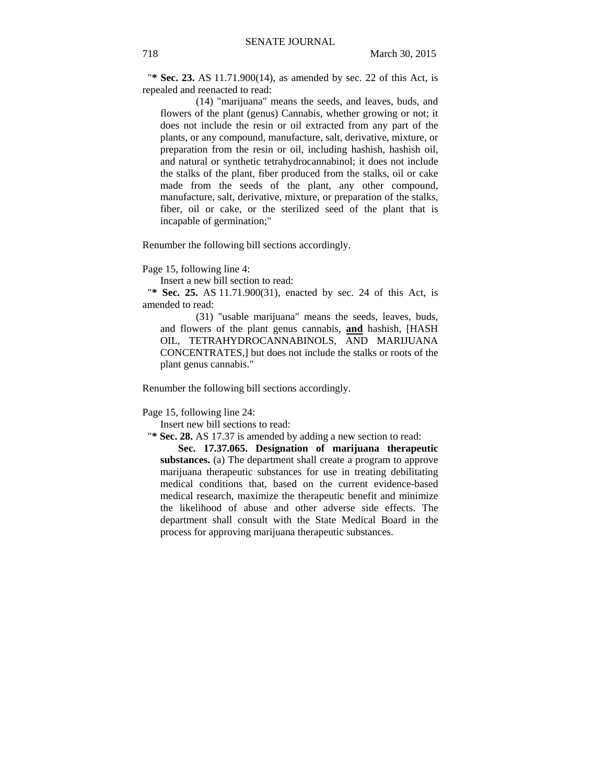"**\* Sec. 23.** AS 11.71.900(14), as amended by sec. 22 of this Act, is repealed and reenacted to read:

(14) "marijuana" means the seeds, and leaves, buds, and flowers of the plant (genus) Cannabis, whether growing or not; it does not include the resin or oil extracted from any part of the plants, or any compound, manufacture, salt, derivative, mixture, or preparation from the resin or oil, including hashish, hashish oil, and natural or synthetic tetrahydrocannabinol; it does not include the stalks of the plant, fiber produced from the stalks, oil or cake made from the seeds of the plant, any other compound, manufacture, salt, derivative, mixture, or preparation of the stalks, fiber, oil or cake, or the sterilized seed of the plant that is incapable of germination;"

Renumber the following bill sections accordingly.

Page 15, following line 4:

Insert a new bill section to read:

"**\* Sec. 25.** AS 11.71.900(31), enacted by sec. 24 of this Act, is amended to read:

(31) "usable marijuana" means the seeds, leaves, buds, and flowers of the plant genus cannabis, **and** hashish, [HASH OIL, TETRAHYDROCANNABINOLS, AND MARIJUANA CONCENTRATES,] but does not include the stalks or roots of the plant genus cannabis."

Renumber the following bill sections accordingly.

Page 15, following line 24:

Insert new bill sections to read:

"**\* Sec. 28.** AS 17.37 is amended by adding a new section to read:

**Sec. 17.37.065. Designation of marijuana therapeutic substances.** (a) The department shall create a program to approve marijuana therapeutic substances for use in treating debilitating medical conditions that, based on the current evidence-based medical research, maximize the therapeutic benefit and minimize the likelihood of abuse and other adverse side effects. The department shall consult with the State Medical Board in the process for approving marijuana therapeutic substances.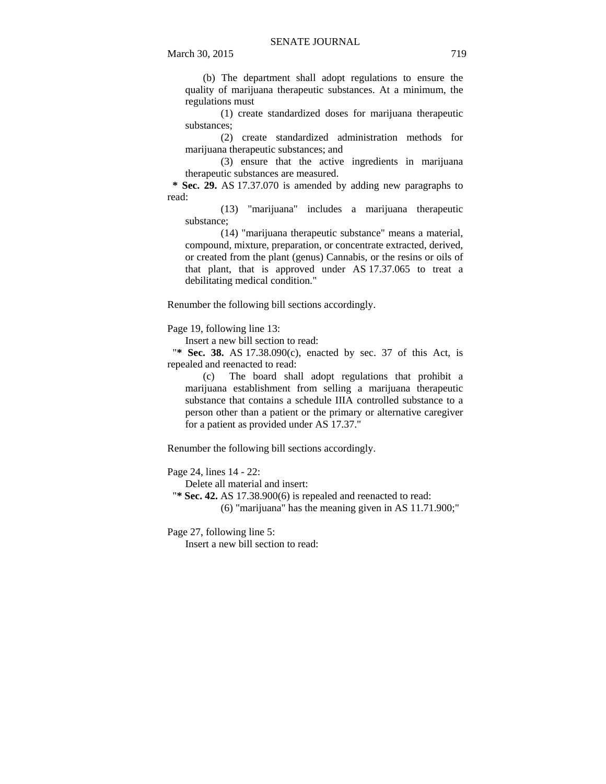(b) The department shall adopt regulations to ensure the quality of marijuana therapeutic substances. At a minimum, the regulations must

(1) create standardized doses for marijuana therapeutic substances;

(2) create standardized administration methods for marijuana therapeutic substances; and

(3) ensure that the active ingredients in marijuana therapeutic substances are measured.

 **\* Sec. 29.** AS 17.37.070 is amended by adding new paragraphs to read:

(13) "marijuana" includes a marijuana therapeutic substance;

(14) "marijuana therapeutic substance" means a material, compound, mixture, preparation, or concentrate extracted, derived, or created from the plant (genus) Cannabis, or the resins or oils of that plant, that is approved under AS 17.37.065 to treat a debilitating medical condition."

Renumber the following bill sections accordingly.

Page 19, following line 13:

Insert a new bill section to read:

"**\* Sec. 38.** AS 17.38.090(c), enacted by sec. 37 of this Act, is repealed and reenacted to read:

(c) The board shall adopt regulations that prohibit a marijuana establishment from selling a marijuana therapeutic substance that contains a schedule IIIA controlled substance to a person other than a patient or the primary or alternative caregiver for a patient as provided under AS 17.37."

Renumber the following bill sections accordingly.

Page 24, lines 14 - 22:

Delete all material and insert:

"**\* Sec. 42.** AS 17.38.900(6) is repealed and reenacted to read:

(6) "marijuana" has the meaning given in AS 11.71.900;"

Page 27, following line 5:

Insert a new bill section to read: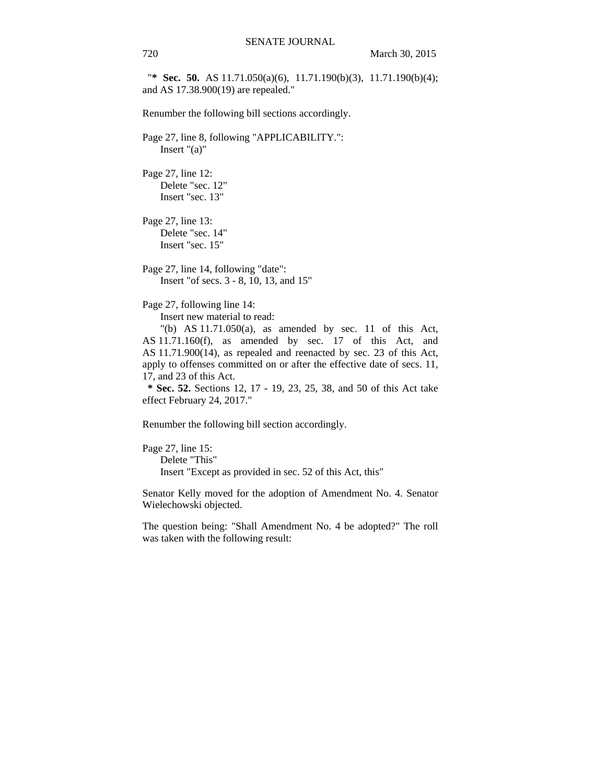"**\* Sec. 50.** AS 11.71.050(a)(6), 11.71.190(b)(3), 11.71.190(b)(4); and AS 17.38.900(19) are repealed."

Renumber the following bill sections accordingly.

Page 27, line 8, following "APPLICABILITY.": Insert "(a)"

Page 27, line 12: Delete "sec. 12" Insert "sec. 13"

Page 27, line 13: Delete "sec. 14" Insert "sec. 15"

Page 27, line 14, following "date": Insert "of secs. 3 - 8, 10, 13, and 15"

Page 27, following line 14:

Insert new material to read:

"(b) AS  $11.71.050(a)$ , as amended by sec. 11 of this Act, AS 11.71.160(f), as amended by sec. 17 of this Act, and AS 11.71.900(14), as repealed and reenacted by sec. 23 of this Act, apply to offenses committed on or after the effective date of secs. 11, 17, and 23 of this Act.

 **\* Sec. 52.** Sections 12, 17 - 19, 23, 25, 38, and 50 of this Act take effect February 24, 2017."

Renumber the following bill section accordingly.

Page 27, line 15: Delete "This" Insert "Except as provided in sec. 52 of this Act, this"

Senator Kelly moved for the adoption of Amendment No. 4. Senator Wielechowski objected.

The question being: "Shall Amendment No. 4 be adopted?" The roll was taken with the following result: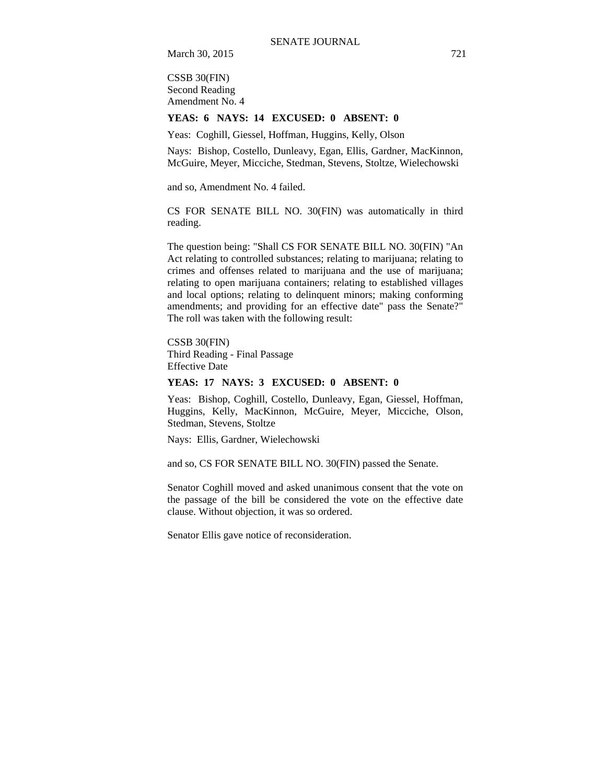March 30, 2015 721

CSSB 30(FIN) Second Reading Amendment No. 4

#### **YEAS: 6 NAYS: 14 EXCUSED: 0 ABSENT: 0**

Yeas: Coghill, Giessel, Hoffman, Huggins, Kelly, Olson

Nays: Bishop, Costello, Dunleavy, Egan, Ellis, Gardner, MacKinnon, McGuire, Meyer, Micciche, Stedman, Stevens, Stoltze, Wielechowski

and so, Amendment No. 4 failed.

CS FOR SENATE BILL NO. 30(FIN) was automatically in third reading.

The question being: "Shall CS FOR SENATE BILL NO. 30(FIN) "An Act relating to controlled substances; relating to marijuana; relating to crimes and offenses related to marijuana and the use of marijuana; relating to open marijuana containers; relating to established villages and local options; relating to delinquent minors; making conforming amendments; and providing for an effective date" pass the Senate?" The roll was taken with the following result:

CSSB 30(FIN) Third Reading - Final Passage Effective Date

## **YEAS: 17 NAYS: 3 EXCUSED: 0 ABSENT: 0**

Yeas: Bishop, Coghill, Costello, Dunleavy, Egan, Giessel, Hoffman, Huggins, Kelly, MacKinnon, McGuire, Meyer, Micciche, Olson, Stedman, Stevens, Stoltze

Nays: Ellis, Gardner, Wielechowski

and so, CS FOR SENATE BILL NO. 30(FIN) passed the Senate.

Senator Coghill moved and asked unanimous consent that the vote on the passage of the bill be considered the vote on the effective date clause. Without objection, it was so ordered.

Senator Ellis gave notice of reconsideration.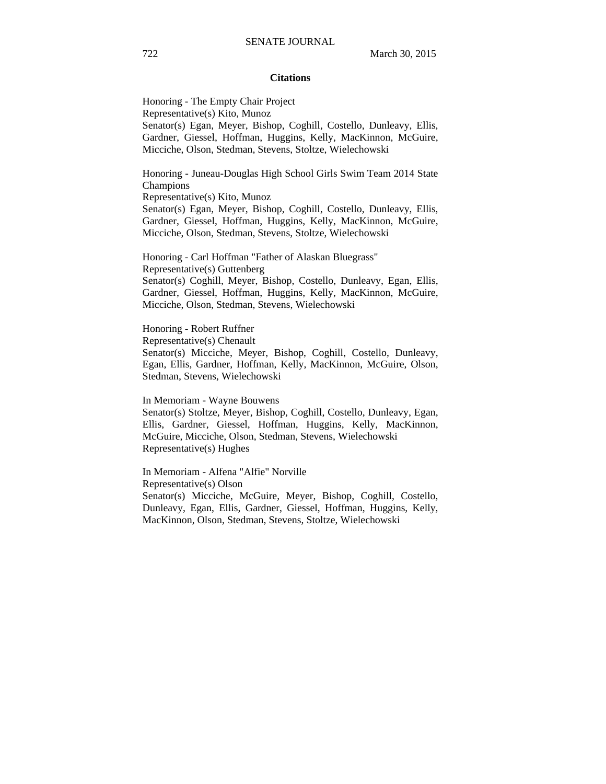#### **Citations**

Honoring - The Empty Chair Project Representative(s) Kito, Munoz Senator(s) Egan, Meyer, Bishop, Coghill, Costello, Dunleavy, Ellis, Gardner, Giessel, Hoffman, Huggins, Kelly, MacKinnon, McGuire, Micciche, Olson, Stedman, Stevens, Stoltze, Wielechowski

Honoring - Juneau-Douglas High School Girls Swim Team 2014 State Champions

Representative(s) Kito, Munoz

Senator(s) Egan, Meyer, Bishop, Coghill, Costello, Dunleavy, Ellis, Gardner, Giessel, Hoffman, Huggins, Kelly, MacKinnon, McGuire, Micciche, Olson, Stedman, Stevens, Stoltze, Wielechowski

Honoring - Carl Hoffman "Father of Alaskan Bluegrass" Representative(s) Guttenberg Senator(s) Coghill, Meyer, Bishop, Costello, Dunleavy, Egan, Ellis, Gardner, Giessel, Hoffman, Huggins, Kelly, MacKinnon, McGuire, Micciche, Olson, Stedman, Stevens, Wielechowski

## Honoring - Robert Ruffner

Representative(s) Chenault

Senator(s) Micciche, Meyer, Bishop, Coghill, Costello, Dunleavy, Egan, Ellis, Gardner, Hoffman, Kelly, MacKinnon, McGuire, Olson, Stedman, Stevens, Wielechowski

In Memoriam - Wayne Bouwens

Senator(s) Stoltze, Meyer, Bishop, Coghill, Costello, Dunleavy, Egan, Ellis, Gardner, Giessel, Hoffman, Huggins, Kelly, MacKinnon, McGuire, Micciche, Olson, Stedman, Stevens, Wielechowski Representative(s) Hughes

In Memoriam - Alfena "Alfie" Norville Representative(s) Olson Senator(s) Micciche, McGuire, Meyer, Bishop, Coghill, Costello, Dunleavy, Egan, Ellis, Gardner, Giessel, Hoffman, Huggins, Kelly, MacKinnon, Olson, Stedman, Stevens, Stoltze, Wielechowski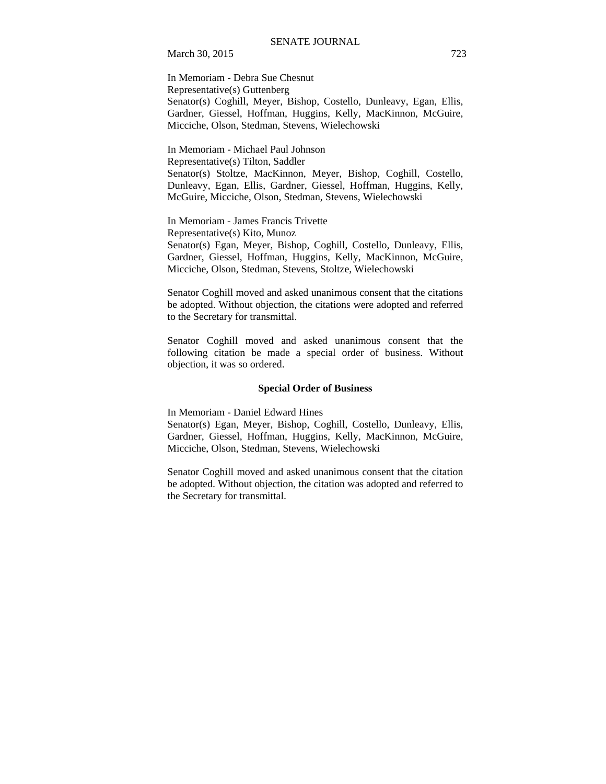March 30, 2015 723

In Memoriam - Debra Sue Chesnut Representative(s) Guttenberg Senator(s) Coghill, Meyer, Bishop, Costello, Dunleavy, Egan, Ellis, Gardner, Giessel, Hoffman, Huggins, Kelly, MacKinnon, McGuire, Micciche, Olson, Stedman, Stevens, Wielechowski

In Memoriam - Michael Paul Johnson Representative(s) Tilton, Saddler Senator(s) Stoltze, MacKinnon, Meyer, Bishop, Coghill, Costello, Dunleavy, Egan, Ellis, Gardner, Giessel, Hoffman, Huggins, Kelly, McGuire, Micciche, Olson, Stedman, Stevens, Wielechowski

In Memoriam - James Francis Trivette Representative(s) Kito, Munoz Senator(s) Egan, Meyer, Bishop, Coghill, Costello, Dunleavy, Ellis, Gardner, Giessel, Hoffman, Huggins, Kelly, MacKinnon, McGuire, Micciche, Olson, Stedman, Stevens, Stoltze, Wielechowski

Senator Coghill moved and asked unanimous consent that the citations be adopted. Without objection, the citations were adopted and referred to the Secretary for transmittal.

Senator Coghill moved and asked unanimous consent that the following citation be made a special order of business. Without objection, it was so ordered.

#### **Special Order of Business**

In Memoriam - Daniel Edward Hines

Senator(s) Egan, Meyer, Bishop, Coghill, Costello, Dunleavy, Ellis, Gardner, Giessel, Hoffman, Huggins, Kelly, MacKinnon, McGuire, Micciche, Olson, Stedman, Stevens, Wielechowski

Senator Coghill moved and asked unanimous consent that the citation be adopted. Without objection, the citation was adopted and referred to the Secretary for transmittal.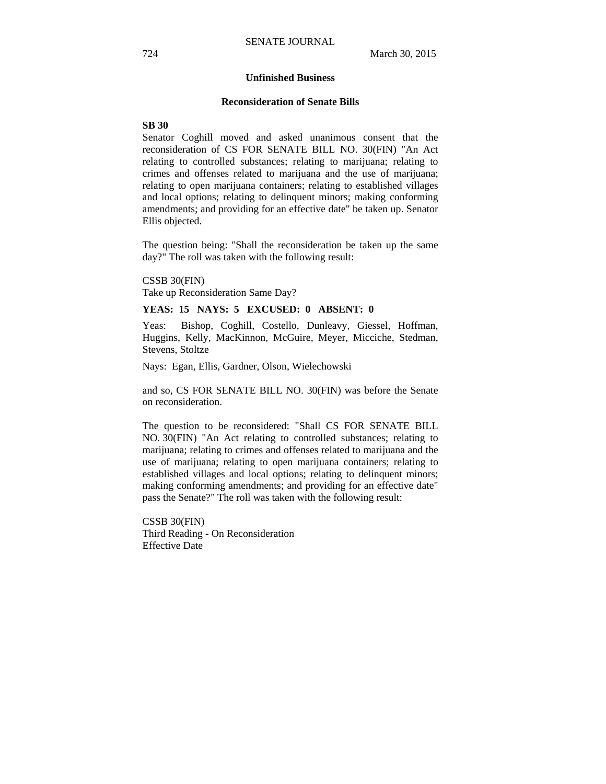#### **Unfinished Business**

#### **Reconsideration of Senate Bills**

### **SB 30**

Senator Coghill moved and asked unanimous consent that the reconsideration of CS FOR SENATE BILL NO. 30(FIN) "An Act relating to controlled substances; relating to marijuana; relating to crimes and offenses related to marijuana and the use of marijuana; relating to open marijuana containers; relating to established villages and local options; relating to delinquent minors; making conforming amendments; and providing for an effective date" be taken up. Senator Ellis objected.

The question being: "Shall the reconsideration be taken up the same day?" The roll was taken with the following result:

CSSB 30(FIN) Take up Reconsideration Same Day?

#### **YEAS: 15 NAYS: 5 EXCUSED: 0 ABSENT: 0**

Yeas: Bishop, Coghill, Costello, Dunleavy, Giessel, Hoffman, Huggins, Kelly, MacKinnon, McGuire, Meyer, Micciche, Stedman, Stevens, Stoltze

Nays: Egan, Ellis, Gardner, Olson, Wielechowski

and so, CS FOR SENATE BILL NO. 30(FIN) was before the Senate on reconsideration.

The question to be reconsidered: "Shall CS FOR SENATE BILL NO. 30(FIN) "An Act relating to controlled substances; relating to marijuana; relating to crimes and offenses related to marijuana and the use of marijuana; relating to open marijuana containers; relating to established villages and local options; relating to delinquent minors; making conforming amendments; and providing for an effective date" pass the Senate?" The roll was taken with the following result:

CSSB 30(FIN) Third Reading - On Reconsideration Effective Date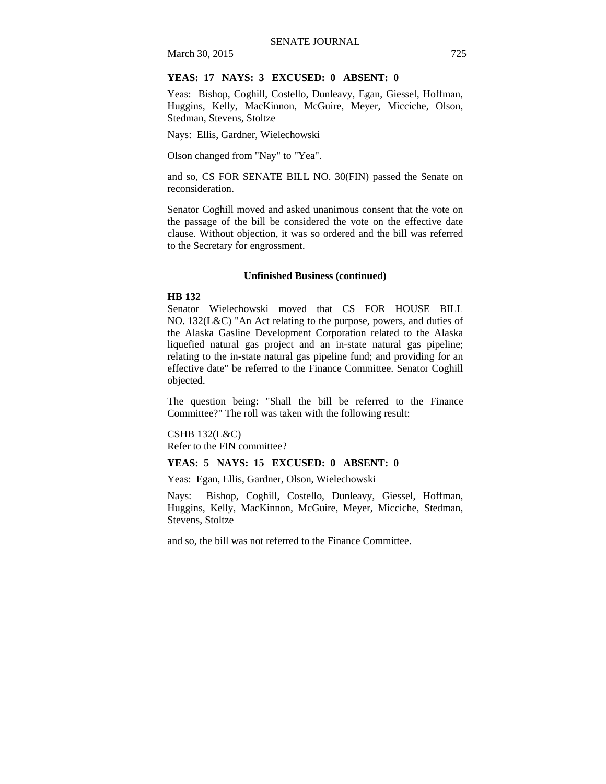# March 30, 2015 725

### **YEAS: 17 NAYS: 3 EXCUSED: 0 ABSENT: 0**

Yeas: Bishop, Coghill, Costello, Dunleavy, Egan, Giessel, Hoffman, Huggins, Kelly, MacKinnon, McGuire, Meyer, Micciche, Olson, Stedman, Stevens, Stoltze

Nays: Ellis, Gardner, Wielechowski

Olson changed from "Nay" to "Yea".

and so, CS FOR SENATE BILL NO. 30(FIN) passed the Senate on reconsideration.

Senator Coghill moved and asked unanimous consent that the vote on the passage of the bill be considered the vote on the effective date clause. Without objection, it was so ordered and the bill was referred to the Secretary for engrossment.

#### **Unfinished Business (continued)**

#### **HB 132**

Senator Wielechowski moved that CS FOR HOUSE BILL NO. 132(L&C) "An Act relating to the purpose, powers, and duties of the Alaska Gasline Development Corporation related to the Alaska liquefied natural gas project and an in-state natural gas pipeline; relating to the in-state natural gas pipeline fund; and providing for an effective date" be referred to the Finance Committee. Senator Coghill objected.

The question being: "Shall the bill be referred to the Finance Committee?" The roll was taken with the following result:

CSHB 132(L&C) Refer to the FIN committee?

## **YEAS: 5 NAYS: 15 EXCUSED: 0 ABSENT: 0**

Yeas: Egan, Ellis, Gardner, Olson, Wielechowski

Nays: Bishop, Coghill, Costello, Dunleavy, Giessel, Hoffman, Huggins, Kelly, MacKinnon, McGuire, Meyer, Micciche, Stedman, Stevens, Stoltze

and so, the bill was not referred to the Finance Committee.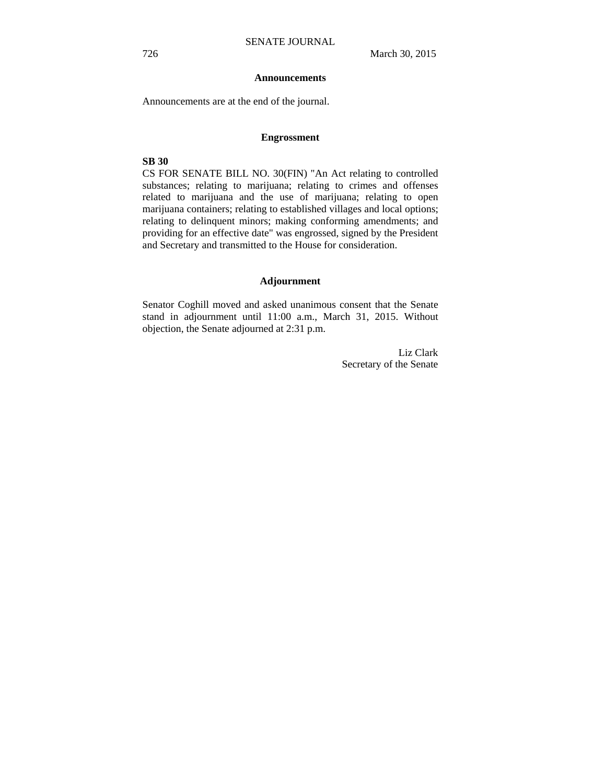#### **Announcements**

Announcements are at the end of the journal.

#### **Engrossment**

# **SB 30**

CS FOR SENATE BILL NO. 30(FIN) "An Act relating to controlled substances; relating to marijuana; relating to crimes and offenses related to marijuana and the use of marijuana; relating to open marijuana containers; relating to established villages and local options; relating to delinquent minors; making conforming amendments; and providing for an effective date" was engrossed, signed by the President and Secretary and transmitted to the House for consideration.

#### **Adjournment**

Senator Coghill moved and asked unanimous consent that the Senate stand in adjournment until 11:00 a.m., March 31, 2015. Without objection, the Senate adjourned at 2:31 p.m.

> Liz Clark Secretary of the Senate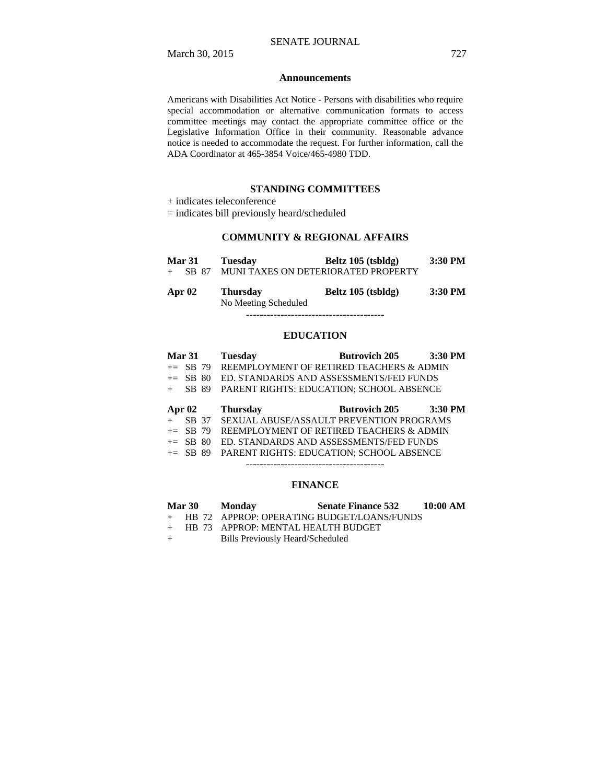#### **Announcements**

Americans with Disabilities Act Notice - Persons with disabilities who require special accommodation or alternative communication formats to access committee meetings may contact the appropriate committee office or the Legislative Information Office in their community. Reasonable advance notice is needed to accommodate the request. For further information, call the ADA Coordinator at 465-3854 Voice/465-4980 TDD.

#### **STANDING COMMITTEES**

+ indicates teleconference

= indicates bill previously heard/scheduled

# **COMMUNITY & REGIONAL AFFAIRS**

| <b>Mar 31</b> | <b>Tuesday</b>                          | Beltz 105 (tsbldg)                  | 3:30 PM   |
|---------------|-----------------------------------------|-------------------------------------|-----------|
| SB 87         |                                         | MUNI TAXES ON DETERIORATED PROPERTY |           |
| Apr 02        | <b>Thursday</b><br>No Mooting Cohoduled | Beltz 105 (tsbldg)                  | $3:30$ PM |

 No Meeting Scheduled ----------------------------------------

#### **EDUCATION**

| Mar 31   |            | <b>Tuesday</b>                                  | <b>Butrovich 205</b>                                | $3:30$ PM |
|----------|------------|-------------------------------------------------|-----------------------------------------------------|-----------|
|          |            |                                                 | $+=$ SB 79 REEMPLOYMENT OF RETIRED TEACHERS & ADMIN |           |
|          | $+=$ SB 80 |                                                 | ED. STANDARDS AND ASSESSMENTS/FED FUNDS             |           |
| $+$      | SB 89      | <b>PARENT RIGHTS: EDUCATION: SCHOOL ABSENCE</b> |                                                     |           |
|          |            |                                                 |                                                     |           |
| Apr $02$ |            | <b>Thursday</b>                                 | <b>Butrovich 205</b>                                | $3:30$ PM |
|          |            |                                                 | + SB 37 SEXUAL ABUSE/ASSAULT PREVENTION PROGRAMS    |           |
|          | $+=$ SB 79 |                                                 | REEMPLOYMENT OF RETIRED TEACHERS & ADMIN            |           |
|          | $+=$ SB 80 |                                                 | ED. STANDARDS AND ASSESSMENTS/FED FUNDS             |           |
|          | $+=$ SB 89 |                                                 | <b>PARENT RIGHTS: EDUCATION: SCHOOL ABSENCE</b>     |           |
|          |            |                                                 |                                                     |           |

# **FINANCE**

| <b>Mar 30</b> | <b>Monday</b>                        | <b>Senate Finance 532</b>                    | 10:00 AM |
|---------------|--------------------------------------|----------------------------------------------|----------|
|               |                                      | + HB 72 APPROP: OPERATING BUDGET/LOANS/FUNDS |          |
|               | + HB 73 APPROP: MENTAL HEALTH BUDGET |                                              |          |

- + Bills Previously Heard/Scheduled
	-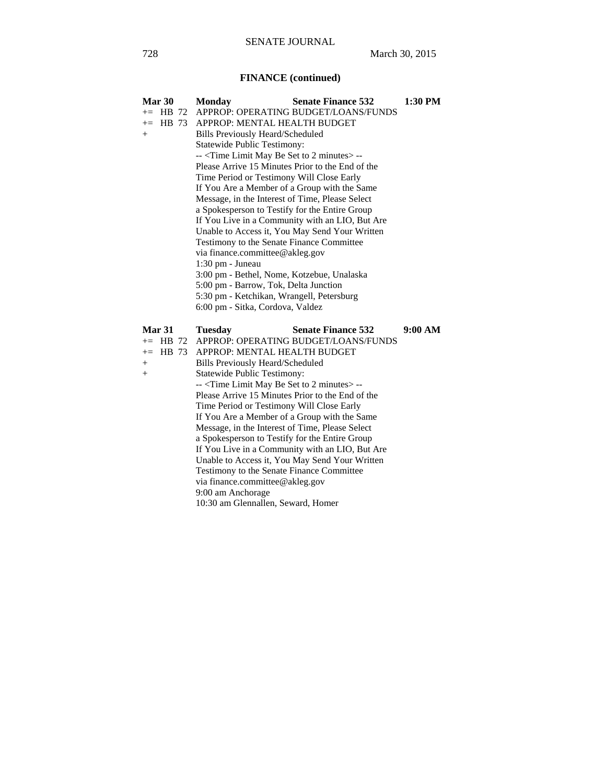# **FINANCE (continued)**

| Mar 30        | <b>Monday</b>                                                                                                               | <b>Senate Finance 532</b>                       | 1:30 PM |  |
|---------------|-----------------------------------------------------------------------------------------------------------------------------|-------------------------------------------------|---------|--|
| $+=$ HB 72    |                                                                                                                             | APPROP: OPERATING BUDGET/LOANS/FUNDS            |         |  |
| HB 73<br>$+=$ | APPROP: MENTAL HEALTH BUDGET                                                                                                |                                                 |         |  |
| $+$           | <b>Bills Previously Heard/Scheduled</b>                                                                                     |                                                 |         |  |
|               | Statewide Public Testimony:                                                                                                 |                                                 |         |  |
|               | -- <time 2="" be="" limit="" may="" minutes="" set="" to=""> --</time>                                                      |                                                 |         |  |
|               | Please Arrive 15 Minutes Prior to the End of the                                                                            |                                                 |         |  |
|               | Time Period or Testimony Will Close Early                                                                                   |                                                 |         |  |
|               | If You Are a Member of a Group with the Same                                                                                |                                                 |         |  |
|               | Message, in the Interest of Time, Please Select                                                                             |                                                 |         |  |
|               | a Spokesperson to Testify for the Entire Group                                                                              |                                                 |         |  |
|               |                                                                                                                             | If You Live in a Community with an LIO, But Are |         |  |
|               |                                                                                                                             | Unable to Access it, You May Send Your Written  |         |  |
|               | Testimony to the Senate Finance Committee                                                                                   |                                                 |         |  |
|               |                                                                                                                             | via finance.committee@akleg.gov                 |         |  |
|               | 1:30 pm - Juneau                                                                                                            |                                                 |         |  |
|               | 3:00 pm - Bethel, Nome, Kotzebue, Unalaska                                                                                  |                                                 |         |  |
|               | 5:00 pm - Barrow, Tok, Delta Junction                                                                                       |                                                 |         |  |
|               |                                                                                                                             | 5:30 pm - Ketchikan, Wrangell, Petersburg       |         |  |
|               |                                                                                                                             |                                                 |         |  |
|               | 6:00 pm - Sitka, Cordova, Valdez                                                                                            |                                                 |         |  |
|               |                                                                                                                             |                                                 |         |  |
| Mar 31        | <b>Tuesday</b>                                                                                                              | <b>Senate Finance 532</b>                       | 9:00 AM |  |
| $+=$ HB 72    |                                                                                                                             | APPROP: OPERATING BUDGET/LOANS/FUNDS            |         |  |
| $+=$ HB 73    | APPROP: MENTAL HEALTH BUDGET                                                                                                |                                                 |         |  |
| $+$<br>$+$    | <b>Bills Previously Heard/Scheduled</b>                                                                                     |                                                 |         |  |
|               | <b>Statewide Public Testimony:</b>                                                                                          |                                                 |         |  |
|               | -- <time 2="" be="" limit="" may="" minutes="" set="" to=""> --<br/>Please Arrive 15 Minutes Prior to the End of the</time> |                                                 |         |  |
|               | Time Period or Testimony Will Close Early                                                                                   |                                                 |         |  |
|               | If You Are a Member of a Group with the Same                                                                                |                                                 |         |  |
|               | Message, in the Interest of Time, Please Select                                                                             |                                                 |         |  |
|               | a Spokesperson to Testify for the Entire Group                                                                              |                                                 |         |  |
|               |                                                                                                                             | If You Live in a Community with an LIO, But Are |         |  |
|               |                                                                                                                             | Unable to Access it, You May Send Your Written  |         |  |
|               | Testimony to the Senate Finance Committee                                                                                   |                                                 |         |  |
|               | via finance.committee@akleg.gov                                                                                             |                                                 |         |  |
|               | 9:00 am Anchorage<br>10:30 am Glennallen, Seward, Homer                                                                     |                                                 |         |  |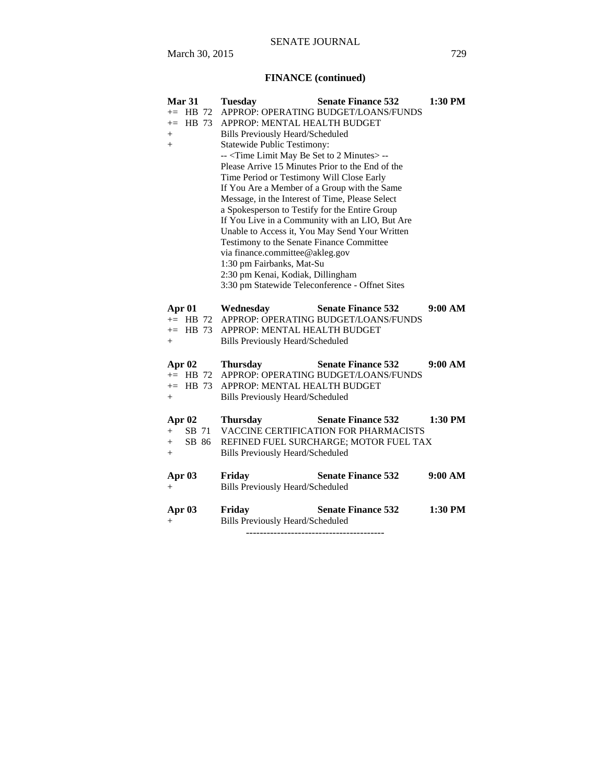# **FINANCE (continued)**

| Mar 31<br>$+=$ HB 72<br>HB 73<br>$+=$<br>$+$<br>$+$ | <b>Tuesday</b><br><b>Senate Finance 532</b><br>APPROP: OPERATING BUDGET/LOANS/FUNDS<br>APPROP: MENTAL HEALTH BUDGET<br><b>Bills Previously Heard/Scheduled</b><br><b>Statewide Public Testimony:</b><br>-- <time 2="" be="" limit="" may="" minutes="" set="" to=""> --<br/>Please Arrive 15 Minutes Prior to the End of the<br/>Time Period or Testimony Will Close Early<br/>If You Are a Member of a Group with the Same<br/>Message, in the Interest of Time, Please Select<br/>a Spokesperson to Testify for the Entire Group<br/>If You Live in a Community with an LIO, But Are<br/>Unable to Access it, You May Send Your Written<br/>Testimony to the Senate Finance Committee<br/>via finance.committee@akleg.gov<br/>1:30 pm Fairbanks, Mat-Su<br/>2:30 pm Kenai, Kodiak, Dillingham<br/>3:30 pm Statewide Teleconference - Offnet Sites</time> | 1:30 PM   |
|-----------------------------------------------------|------------------------------------------------------------------------------------------------------------------------------------------------------------------------------------------------------------------------------------------------------------------------------------------------------------------------------------------------------------------------------------------------------------------------------------------------------------------------------------------------------------------------------------------------------------------------------------------------------------------------------------------------------------------------------------------------------------------------------------------------------------------------------------------------------------------------------------------------------------|-----------|
| Apr 01<br>$+=$ HB 72<br>$+=$ HB 73<br>$+$           | <b>Senate Finance 532</b><br>Wednesday<br>APPROP: OPERATING BUDGET/LOANS/FUNDS<br>APPROP: MENTAL HEALTH BUDGET<br>Bills Previously Heard/Scheduled                                                                                                                                                                                                                                                                                                                                                                                                                                                                                                                                                                                                                                                                                                         | 9:00 AM   |
| Apr $02$<br>$+=$ HB 72<br>$+=$ HB 73<br>$+$         | <b>Senate Finance 532</b><br><b>Thursday</b><br>APPROP: OPERATING BUDGET/LOANS/FUNDS<br>APPROP: MENTAL HEALTH BUDGET<br><b>Bills Previously Heard/Scheduled</b>                                                                                                                                                                                                                                                                                                                                                                                                                                                                                                                                                                                                                                                                                            | 9:00 AM   |
| Apr $02$<br>SB 71<br>$+$<br>SB 86<br>$+$<br>$+$     | <b>Senate Finance 532</b><br><b>Thursday</b><br>VACCINE CERTIFICATION FOR PHARMACISTS<br>REFINED FUEL SURCHARGE; MOTOR FUEL TAX<br><b>Bills Previously Heard/Scheduled</b>                                                                                                                                                                                                                                                                                                                                                                                                                                                                                                                                                                                                                                                                                 | $1:30$ PM |
| Apr 03<br>$+$                                       | Friday<br><b>Senate Finance 532</b><br><b>Bills Previously Heard/Scheduled</b>                                                                                                                                                                                                                                                                                                                                                                                                                                                                                                                                                                                                                                                                                                                                                                             | 9:00 AM   |
| Apr 03<br>$\hspace{0.1mm} +$                        | Friday<br><b>Senate Finance 532</b><br><b>Bills Previously Heard/Scheduled</b>                                                                                                                                                                                                                                                                                                                                                                                                                                                                                                                                                                                                                                                                                                                                                                             | $1:30$ PM |

----------------------------------------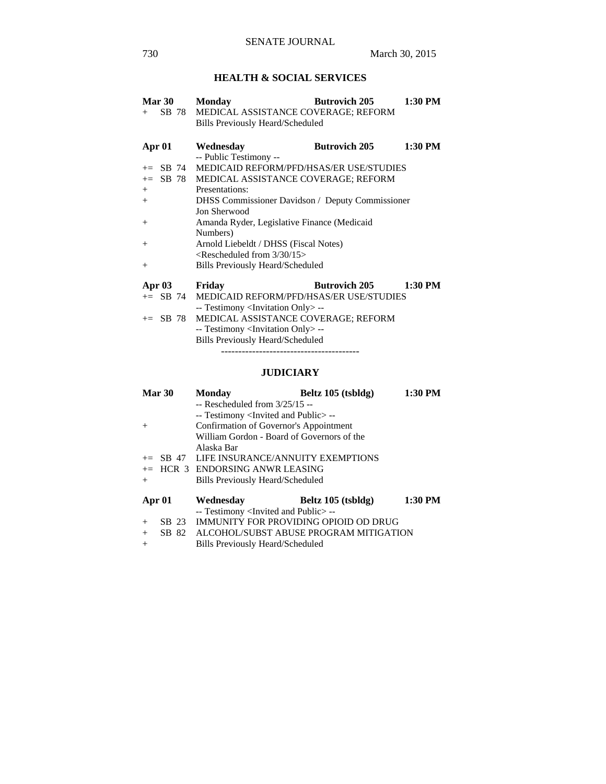# **HEALTH & SOCIAL SERVICES**

| Mar 30          | <b>Monday</b>                                           | <b>Butrovich 205</b> | 1:30 PM |
|-----------------|---------------------------------------------------------|----------------------|---------|
| SB 78<br>$^{+}$ | MEDICAL ASSISTANCE COVERAGE; REFORM                     |                      |         |
|                 | <b>Bills Previously Heard/Scheduled</b>                 |                      |         |
| Apr 01          | Wednesday                                               | <b>Butrovich 205</b> | 1:30 PM |
|                 | -- Public Testimony --                                  |                      |         |
| SB 74<br>$+=$   | MEDICAID REFORM/PFD/HSAS/ER USE/STUDIES                 |                      |         |
| SB 78<br>$+=$   | MEDICAL ASSISTANCE COVERAGE; REFORM                     |                      |         |
| $+$             | Presentations:                                          |                      |         |
| $+$             | <b>DHSS</b> Commissioner Davidson / Deputy Commissioner |                      |         |
|                 | Jon Sherwood                                            |                      |         |
| $+$             | Amanda Ryder, Legislative Finance (Medicaid             |                      |         |
|                 | Numbers)                                                |                      |         |
| $^{+}$          | Arnold Liebeldt / DHSS (Fiscal Notes)                   |                      |         |
|                 | $\leq$ Rescheduled from 3/30/15 $>$                     |                      |         |
| $^{+}$          | <b>Bills Previously Heard/Scheduled</b>                 |                      |         |
| Apr 03          | Friday                                                  | <b>Butrovich 205</b> | 1:30 PM |
| $+=$ SB 74      | <b>MEDICAID REFORM/PFD/HSAS/ER USE/STUDIES</b>          |                      |         |

 -- Testimony <Invitation Only> -- += SB 78 MEDICAL ASSISTANCE COVERAGE; REFORM -- Testimony <Invitation Only> -- Bills Previously Heard/Scheduled

----------------------------------------

## **JUDICIARY**

|        | Mar 30 | <b>Monday</b>                                       | Beltz 105 (tsbldg) | 1:30 PM |
|--------|--------|-----------------------------------------------------|--------------------|---------|
|        |        | $-$ Rescheduled from $3/25/15 -$                    |                    |         |
|        |        | -- Testimony <invited and="" public="">--</invited> |                    |         |
| $+$    |        | Confirmation of Governor's Appointment              |                    |         |
|        |        | William Gordon - Board of Governors of the          |                    |         |
|        |        | Alaska Bar                                          |                    |         |
|        |        | $+=$ SB 47 LIFE INSURANCE/ANNUITY EXEMPTIONS        |                    |         |
|        |        | $+=$ HCR 3 ENDORSING ANWR LEASING                   |                    |         |
| $+$    |        | <b>Bills Previously Heard/Scheduled</b>             |                    |         |
| Apr 01 |        | Wednesday                                           | Beltz 105 (tsbldg) | 1:30 PM |
|        |        | -- Testimony <invited and="" public="">--</invited> |                    |         |
| $+$    |        | SB 23 IMMUNITY FOR PROVIDING OPIOID OD DRUG         |                    |         |
| $+$    |        | SB 82 ALCOHOL/SUBST ABUSE PROGRAM MITIGATION        |                    |         |
| $+$    |        | Bills Previously Heard/Scheduled                    |                    |         |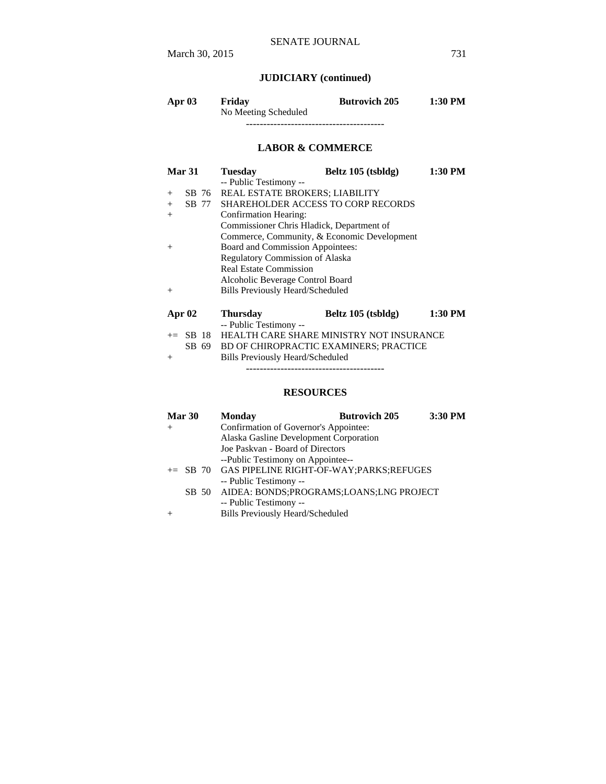# **JUDICIARY (continued)**

| Apr $03$ | Friday               | <b>Butrovich 205</b> | 1:30 PM |
|----------|----------------------|----------------------|---------|
|          | No Meeting Scheduled |                      |         |
|          |                      |                      |         |

# **LABOR & COMMERCE**

| Mar 31 |                    | <b>Tuesday</b>                            | Beltz 105 (tsbldg)                          | 1:30 PM |
|--------|--------------------|-------------------------------------------|---------------------------------------------|---------|
|        |                    | -- Public Testimony --                    |                                             |         |
| $^{+}$ | SB 76              | <b>REAL ESTATE BROKERS; LIABILITY</b>     |                                             |         |
| $+$    | SB 77              |                                           | <b>SHAREHOLDER ACCESS TO CORP RECORDS</b>   |         |
| $+$    |                    | Confirmation Hearing:                     |                                             |         |
|        |                    | Commissioner Chris Hladick, Department of |                                             |         |
|        |                    |                                           | Commerce, Community, & Economic Development |         |
| $\pm$  |                    | Board and Commission Appointees:          |                                             |         |
|        |                    | Regulatory Commission of Alaska           |                                             |         |
|        |                    | <b>Real Estate Commission</b>             |                                             |         |
|        |                    | Alcoholic Beverage Control Board          |                                             |         |
| $^{+}$ |                    | Bills Previously Heard/Scheduled          |                                             |         |
|        |                    |                                           |                                             |         |
|        | <b>Apr 02</b>      | <b>Thursday</b>                           | Beltz $105$ (tsbldg)                        | 1:30 PM |
|        |                    | -- Public Testimony --                    |                                             |         |
|        | -18<br>$\equiv$ SB | HEALTH CARE SHARE MINISTRY NOT INSURANCE  |                                             |         |

|        | $\pm$ 5D 18 REALIN CANE SHANE MINISTRIT NOT INSURANCE |
|--------|-------------------------------------------------------|
|        | SB 69 BD OF CHIROPRACTIC EXAMINERS; PRACTICE          |
| $^{+}$ | <b>Bills Previously Heard/Scheduled</b>               |

----------------------------------------

# **RESOURCES**

| Mar 30 | <b>Monday</b>                                      | <b>Butrovich 205</b> | 3:30 PM |
|--------|----------------------------------------------------|----------------------|---------|
| $^{+}$ | Confirmation of Governor's Appointee:              |                      |         |
|        | Alaska Gasline Development Corporation             |                      |         |
|        | Joe Paskvan - Board of Directors                   |                      |         |
|        | --Public Testimony on Appointee--                  |                      |         |
|        | += SB 70 GAS PIPELINE RIGHT-OF-WAY; PARKS; REFUGES |                      |         |
|        | -- Public Testimony --                             |                      |         |
|        | SB 50 AIDEA: BONDS;PROGRAMS;LOANS;LNG PROJECT      |                      |         |
|        | -- Public Testimony --                             |                      |         |
|        | <b>Bills Previously Heard/Scheduled</b>            |                      |         |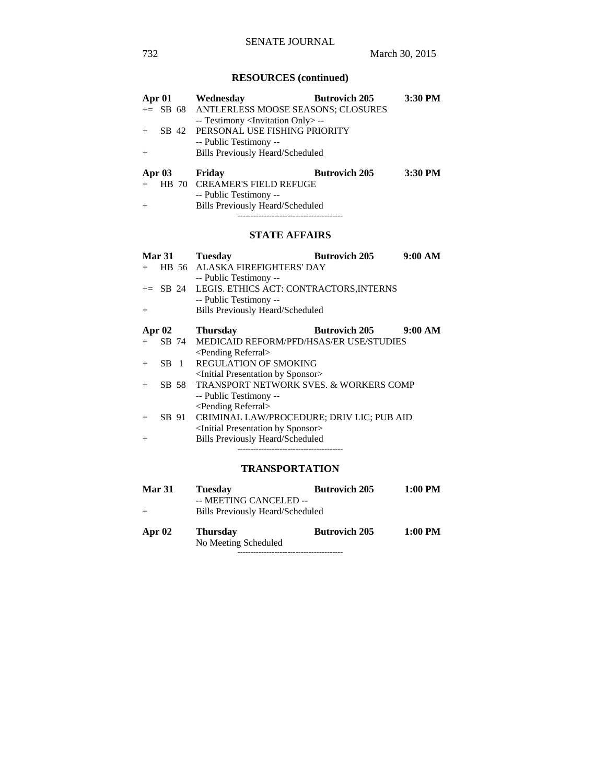# **RESOURCES (continued)**

| Apr 01   |  | Wednesday                                         | <b>Butrovich 205</b> | 3:30 PM |
|----------|--|---------------------------------------------------|----------------------|---------|
|          |  | += SB 68 ANTLERLESS MOOSE SEASONS; CLOSURES       |                      |         |
|          |  | -- Testimony <invitation only=""> --</invitation> |                      |         |
|          |  | SB 42 PERSONAL USE FISHING PRIORITY               |                      |         |
|          |  | -- Public Testimony --                            |                      |         |
| $+$      |  | <b>Bills Previously Heard/Scheduled</b>           |                      |         |
| Apr $03$ |  | Friday                                            | <b>Butrovich 205</b> | 3:30 PM |
|          |  | HB 70 CREAMER'S FIELD REFUGE                      |                      |         |
|          |  | -- Public Testimony --                            |                      |         |
| $+$      |  | <b>Bills Previously Heard/Scheduled</b>           |                      |         |

+ Bills Previously Heard/Scheduled ----------------------------------------

# **STATE AFFAIRS**

| <b>Mar 31</b> |                       | <b>Tuesday</b>                  | <b>Butrovich 205</b>                                 | 9:00 AM |
|---------------|-----------------------|---------------------------------|------------------------------------------------------|---------|
|               |                       |                                 | HB 56 ALASKA FIREFIGHTERS' DAY                       |         |
|               |                       | -- Public Testimony --          |                                                      |         |
|               |                       |                                 | += SB 24 LEGIS. ETHICS ACT: CONTRACTORS, INTERNS     |         |
|               |                       | -- Public Testimony --          |                                                      |         |
| $+$           |                       |                                 | <b>Bills Previously Heard/Scheduled</b>              |         |
|               |                       |                                 |                                                      |         |
|               |                       |                                 |                                                      |         |
| Apr $02$      |                       | <b>Thursday</b>                 | <b>Butrovich 205</b>                                 | 9:00 AM |
|               |                       |                                 | SB 74 MEDICAID REFORM/PFD/HSAS/ER USE/STUDIES        |         |
|               |                       | <pending referral=""></pending> |                                                      |         |
|               | SB.<br>$\overline{1}$ |                                 | <b>REGULATION OF SMOKING</b>                         |         |
|               |                       |                                 | <initial by="" presentation="" sponsor=""></initial> |         |

 <Pending Referral> + SB 91 CRIMINAL LAW/PROCEDURE; DRIV LIC; PUB AID <Initial Presentation by Sponsor>

+ Bills Previously Heard/Scheduled ----------------------------------------

-- Public Testimony --

# **TRANSPORTATION**

| <b>Mar 31</b><br>$^{+}$ | 1:00 PM<br><b>Butrovich 205</b><br><b>Tuesday</b><br>-- MEETING CANCELED --<br>Bills Previously Heard/Scheduled |                      |         |
|-------------------------|-----------------------------------------------------------------------------------------------------------------|----------------------|---------|
| Apr 02                  | <b>Thursday</b><br>No Meeting Scheduled                                                                         | <b>Butrovich 205</b> | 1:00 PM |
|                         |                                                                                                                 |                      |         |